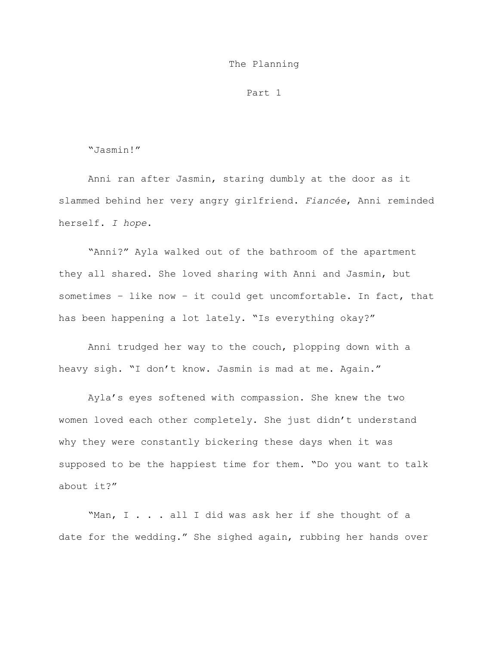### The Planning

### Part 1

# "Jasmin!"

Anni ran after Jasmin, staring dumbly at the door as it slammed behind her very angry girlfriend. *Fiancée*, Anni reminded herself. *I hope*.

"Anni?" Ayla walked out of the bathroom of the apartment they all shared. She loved sharing with Anni and Jasmin, but sometimes – like now – it could get uncomfortable. In fact, that has been happening a lot lately. "Is everything okay?"

Anni trudged her way to the couch, plopping down with a heavy sigh. "I don't know. Jasmin is mad at me. Again."

Ayla's eyes softened with compassion. She knew the two women loved each other completely. She just didn't understand why they were constantly bickering these days when it was supposed to be the happiest time for them. "Do you want to talk about it?"

"Man, I . . . all I did was ask her if she thought of a date for the wedding." She sighed again, rubbing her hands over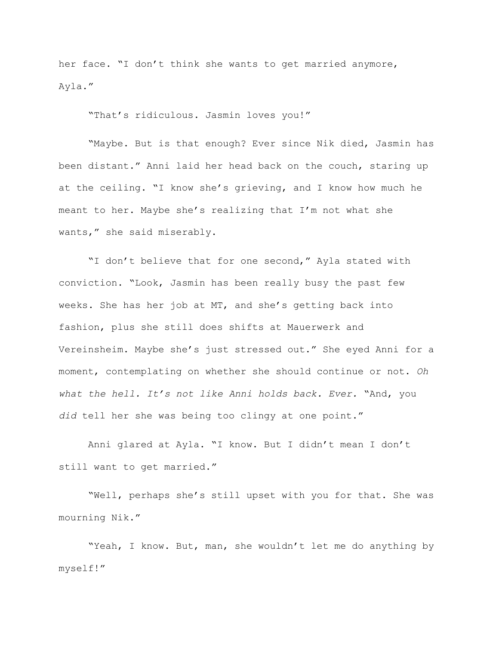her face. "I don't think she wants to get married anymore, Ayla."

"That's ridiculous. Jasmin loves you!"

"Maybe. But is that enough? Ever since Nik died, Jasmin has been distant." Anni laid her head back on the couch, staring up at the ceiling. "I know she's grieving, and I know how much he meant to her. Maybe she's realizing that I'm not what she wants," she said miserably.

"I don't believe that for one second," Ayla stated with conviction. "Look, Jasmin has been really busy the past few weeks. She has her job at MT, and she's getting back into fashion, plus she still does shifts at Mauerwerk and Vereinsheim. Maybe she's just stressed out." She eyed Anni for a moment, contemplating on whether she should continue or not. *Oh what the hell. It's not like Anni holds back. Ever.* "And, you *did* tell her she was being too clingy at one point."

Anni glared at Ayla. "I know. But I didn't mean I don't still want to get married."

"Well, perhaps she's still upset with you for that. She was mourning Nik."

"Yeah, I know. But, man, she wouldn't let me do anything by myself!"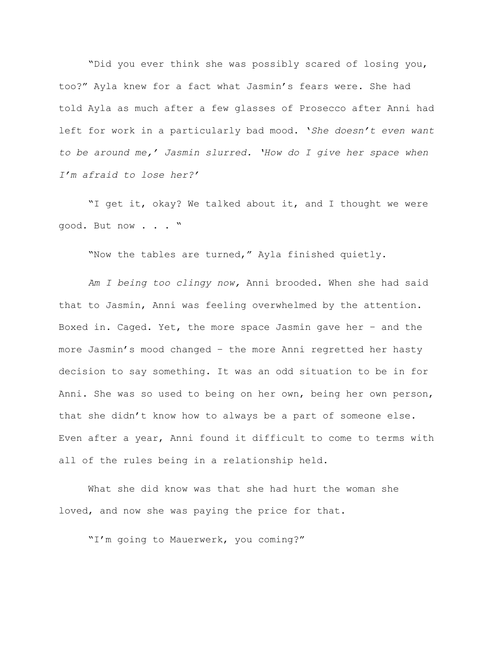"Did you ever think she was possibly scared of losing you, too?" Ayla knew for a fact what Jasmin's fears were. She had told Ayla as much after a few glasses of Prosecco after Anni had left for work in a particularly bad mood. '*She doesn't even want to be around me,' Jasmin slurred. 'How do I give her space when I'm afraid to lose her?'*

"I get it, okay? We talked about it, and I thought we were good. But now . . . "

"Now the tables are turned," Ayla finished quietly.

*Am I being too clingy now,* Anni brooded. When she had said that to Jasmin, Anni was feeling overwhelmed by the attention. Boxed in. Caged. Yet, the more space Jasmin gave her – and the more Jasmin's mood changed – the more Anni regretted her hasty decision to say something. It was an odd situation to be in for Anni. She was so used to being on her own, being her own person, that she didn't know how to always be a part of someone else. Even after a year, Anni found it difficult to come to terms with all of the rules being in a relationship held.

What she did know was that she had hurt the woman she loved, and now she was paying the price for that.

"I'm going to Mauerwerk, you coming?"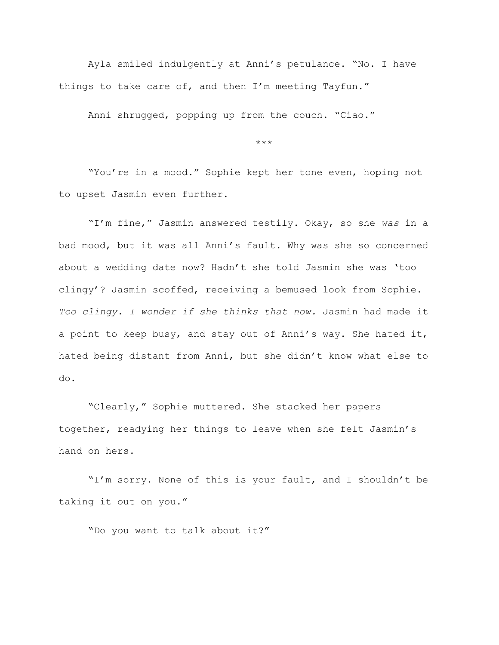Ayla smiled indulgently at Anni's petulance. "No. I have things to take care of, and then I'm meeting Tayfun."

Anni shrugged, popping up from the couch. "Ciao."

\*\*\*

"You're in a mood." Sophie kept her tone even, hoping not to upset Jasmin even further.

"I'm fine," Jasmin answered testily. Okay, so she *was* in a bad mood, but it was all Anni's fault. Why was she so concerned about a wedding date now? Hadn't she told Jasmin she was 'too clingy'? Jasmin scoffed, receiving a bemused look from Sophie. *Too clingy. I wonder if she thinks that now.* Jasmin had made it a point to keep busy, and stay out of Anni's way. She hated it, hated being distant from Anni, but she didn't know what else to do.

"Clearly," Sophie muttered. She stacked her papers together, readying her things to leave when she felt Jasmin's hand on hers.

"I'm sorry. None of this is your fault, and I shouldn't be taking it out on you."

"Do you want to talk about it?"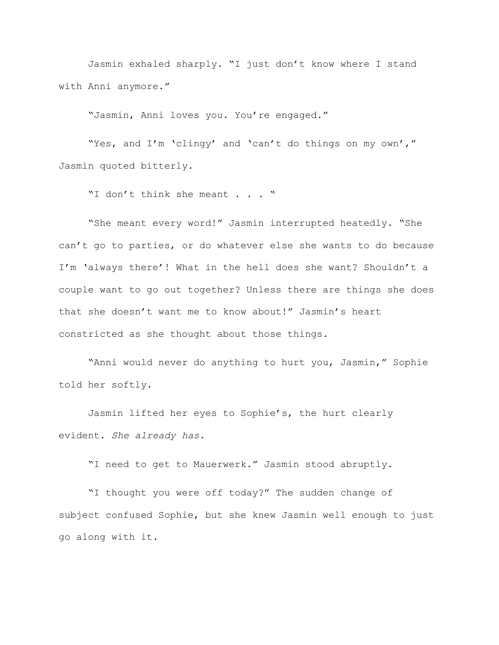Jasmin exhaled sharply. "I just don't know where I stand with Anni anymore."

"Jasmin, Anni loves you. You're engaged."

"Yes, and I'm 'clingy' and 'can't do things on my own'," Jasmin quoted bitterly.

"I don't think she meant . . . "

"She meant every word!" Jasmin interrupted heatedly. "She can't go to parties, or do whatever else she wants to do because I'm 'always there'! What in the hell does she want? Shouldn't a couple want to go out together? Unless there are things she does that she doesn't want me to know about!" Jasmin's heart constricted as she thought about those things.

"Anni would never do anything to hurt you, Jasmin," Sophie told her softly.

Jasmin lifted her eyes to Sophie's, the hurt clearly evident. *She already has*.

"I need to get to Mauerwerk." Jasmin stood abruptly.

"I thought you were off today?" The sudden change of subject confused Sophie, but she knew Jasmin well enough to just go along with it.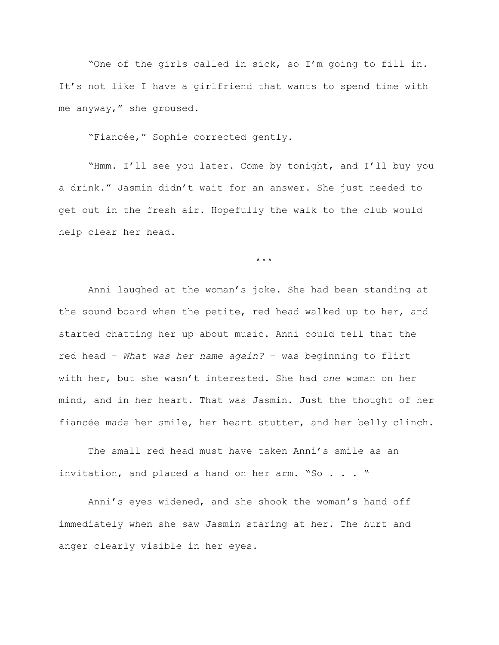"One of the girls called in sick, so I'm going to fill in. It's not like I have a girlfriend that wants to spend time with me anyway," she groused.

"Fiancée," Sophie corrected gently.

"Hmm. I'll see you later. Come by tonight, and I'll buy you a drink." Jasmin didn't wait for an answer. She just needed to get out in the fresh air. Hopefully the walk to the club would help clear her head.

\*\*\*

Anni laughed at the woman's joke. She had been standing at the sound board when the petite, red head walked up to her, and started chatting her up about music. Anni could tell that the red head – *What was her name again?* – was beginning to flirt with her, but she wasn't interested. She had *one* woman on her mind, and in her heart. That was Jasmin. Just the thought of her fiancée made her smile, her heart stutter, and her belly clinch.

The small red head must have taken Anni's smile as an invitation, and placed a hand on her arm. "So . . . "

Anni's eyes widened, and she shook the woman's hand off immediately when she saw Jasmin staring at her. The hurt and anger clearly visible in her eyes.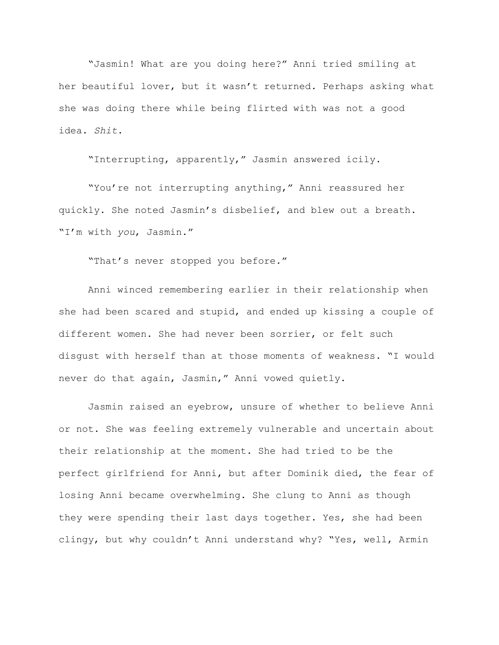"Jasmin! What are you doing here?" Anni tried smiling at her beautiful lover, but it wasn't returned. Perhaps asking what she was doing there while being flirted with was not a good idea. *Shit*.

"Interrupting, apparently," Jasmin answered icily.

"You're not interrupting anything," Anni reassured her quickly. She noted Jasmin's disbelief, and blew out a breath. "I'm with *you*, Jasmin."

"That's never stopped you before."

Anni winced remembering earlier in their relationship when she had been scared and stupid, and ended up kissing a couple of different women. She had never been sorrier, or felt such disgust with herself than at those moments of weakness. "I would never do that again, Jasmin," Anni vowed quietly.

Jasmin raised an eyebrow, unsure of whether to believe Anni or not. She was feeling extremely vulnerable and uncertain about their relationship at the moment. She had tried to be the perfect girlfriend for Anni, but after Dominik died, the fear of losing Anni became overwhelming. She clung to Anni as though they were spending their last days together. Yes, she had been clingy, but why couldn't Anni understand why? "Yes, well, Armin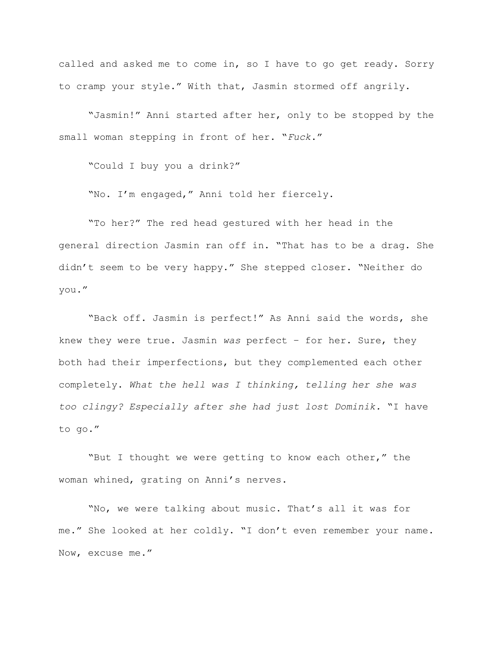called and asked me to come in, so I have to go get ready. Sorry to cramp your style." With that, Jasmin stormed off angrily.

"Jasmin!" Anni started after her, only to be stopped by the small woman stepping in front of her. "*Fuck*."

"Could I buy you a drink?"

"No. I'm engaged," Anni told her fiercely.

"To her?" The red head gestured with her head in the general direction Jasmin ran off in. "That has to be a drag. She didn't seem to be very happy." She stepped closer. "Neither do you."

"Back off. Jasmin is perfect!" As Anni said the words, she knew they were true. Jasmin *was* perfect – for her. Sure, they both had their imperfections, but they complemented each other completely. *What the hell was I thinking, telling her she was too clingy? Especially after she had just lost Dominik.* "I have to go."

"But I thought we were getting to know each other," the woman whined, grating on Anni's nerves.

"No, we were talking about music. That's all it was for me." She looked at her coldly. "I don't even remember your name. Now, excuse me."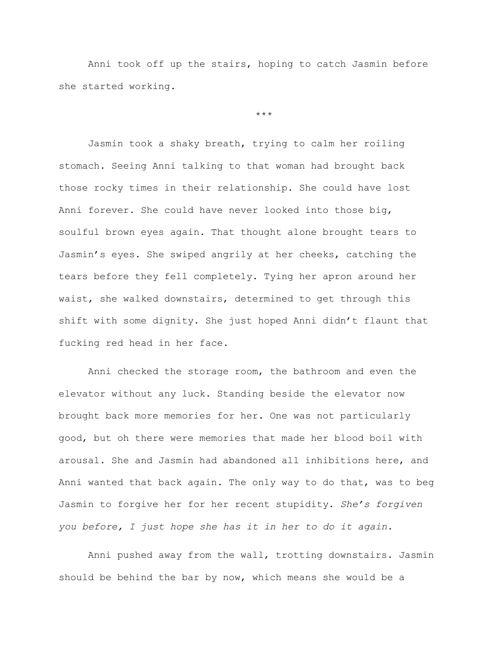Anni took off up the stairs, hoping to catch Jasmin before she started working.

\*\*\*

Jasmin took a shaky breath, trying to calm her roiling stomach. Seeing Anni talking to that woman had brought back those rocky times in their relationship. She could have lost Anni forever. She could have never looked into those big, soulful brown eyes again. That thought alone brought tears to Jasmin's eyes. She swiped angrily at her cheeks, catching the tears before they fell completely. Tying her apron around her waist, she walked downstairs, determined to get through this shift with some dignity. She just hoped Anni didn't flaunt that fucking red head in her face.

Anni checked the storage room, the bathroom and even the elevator without any luck. Standing beside the elevator now brought back more memories for her. One was not particularly good, but oh there were memories that made her blood boil with arousal. She and Jasmin had abandoned all inhibitions here, and Anni wanted that back again. The only way to do that, was to beg Jasmin to forgive her for her recent stupidity. *She's forgiven you before, I just hope she has it in her to do it again.*

Anni pushed away from the wall, trotting downstairs. Jasmin should be behind the bar by now, which means she would be a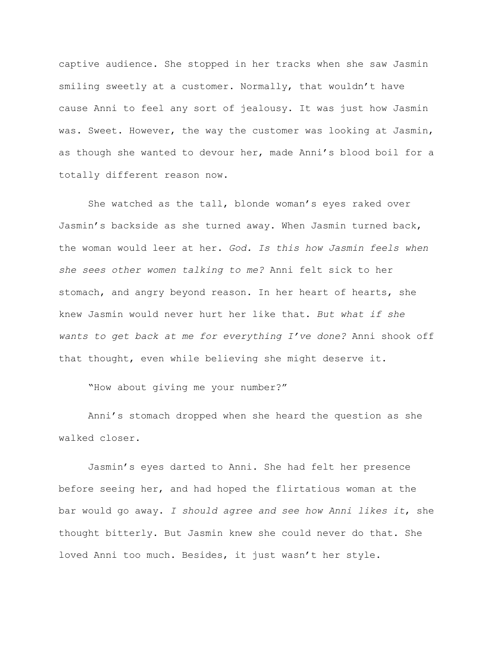captive audience. She stopped in her tracks when she saw Jasmin smiling sweetly at a customer. Normally, that wouldn't have cause Anni to feel any sort of jealousy. It was just how Jasmin was. Sweet. However, the way the customer was looking at Jasmin, as though she wanted to devour her, made Anni's blood boil for a totally different reason now.

She watched as the tall, blonde woman's eyes raked over Jasmin's backside as she turned away. When Jasmin turned back, the woman would leer at her. *God. Is this how Jasmin feels when she sees other women talking to me?* Anni felt sick to her stomach, and angry beyond reason. In her heart of hearts, she knew Jasmin would never hurt her like that. *But what if she wants to get back at me for everything I've done?* Anni shook off that thought, even while believing she might deserve it.

"How about giving me your number?"

Anni's stomach dropped when she heard the question as she walked closer.

Jasmin's eyes darted to Anni. She had felt her presence before seeing her, and had hoped the flirtatious woman at the bar would go away. *I should agree and see how Anni likes it*, she thought bitterly. But Jasmin knew she could never do that. She loved Anni too much. Besides, it just wasn't her style.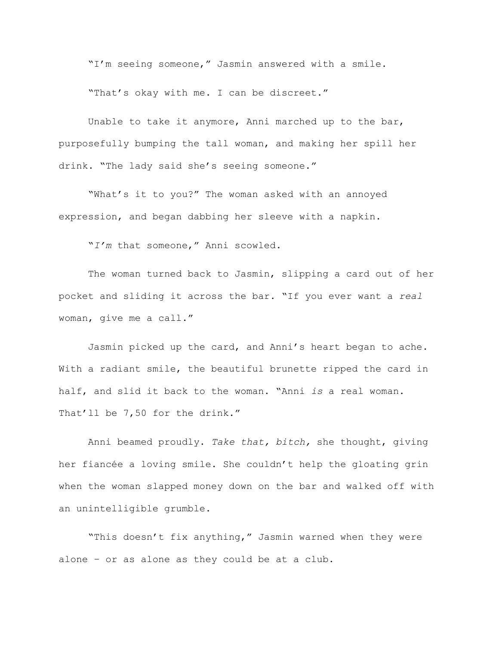"I'm seeing someone," Jasmin answered with a smile.

"That's okay with me. I can be discreet."

Unable to take it anymore, Anni marched up to the bar, purposefully bumping the tall woman, and making her spill her drink. "The lady said she's seeing someone."

"What's it to you?" The woman asked with an annoyed expression, and began dabbing her sleeve with a napkin.

"*I'm* that someone," Anni scowled.

The woman turned back to Jasmin, slipping a card out of her pocket and sliding it across the bar. "If you ever want a *real* woman, give me a call."

Jasmin picked up the card, and Anni's heart began to ache. With a radiant smile, the beautiful brunette ripped the card in half, and slid it back to the woman. "Anni *is* a real woman. That'll be 7,50 for the drink."

Anni beamed proudly. *Take that, bitch,* she thought, giving her fiancée a loving smile. She couldn't help the gloating grin when the woman slapped money down on the bar and walked off with an unintelligible grumble.

"This doesn't fix anything," Jasmin warned when they were alone – or as alone as they could be at a club.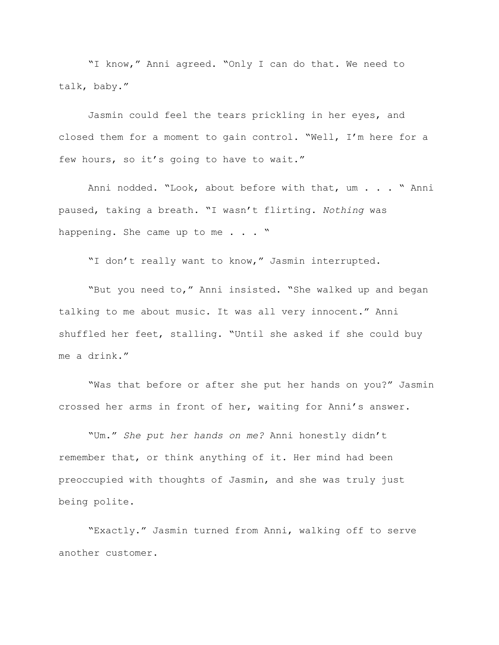"I know," Anni agreed. "Only I can do that. We need to talk, baby."

Jasmin could feel the tears prickling in her eyes, and closed them for a moment to gain control. "Well, I'm here for a few hours, so it's going to have to wait."

Anni nodded. "Look, about before with that, um . . . " Anni paused, taking a breath. "I wasn't flirting. *Nothing* was happening. She came up to me . . . "

"I don't really want to know," Jasmin interrupted.

"But you need to," Anni insisted. "She walked up and began talking to me about music. It was all very innocent." Anni shuffled her feet, stalling. "Until she asked if she could buy me a drink."

"Was that before or after she put her hands on you?" Jasmin crossed her arms in front of her, waiting for Anni's answer.

"Um." *She put her hands on me?* Anni honestly didn't remember that, or think anything of it. Her mind had been preoccupied with thoughts of Jasmin, and she was truly just being polite.

"Exactly." Jasmin turned from Anni, walking off to serve another customer.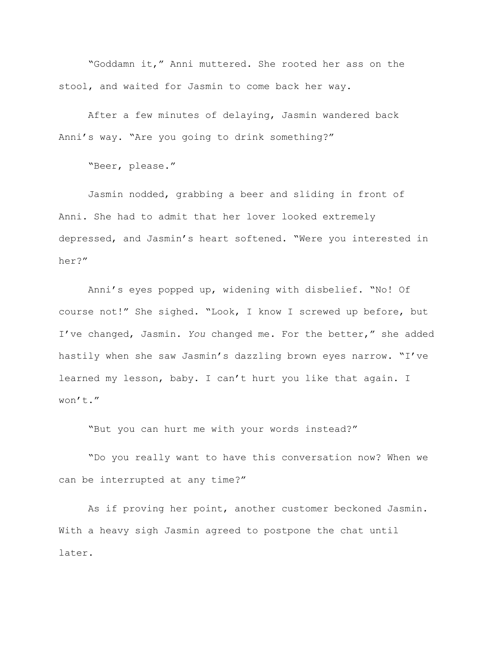"Goddamn it," Anni muttered. She rooted her ass on the stool, and waited for Jasmin to come back her way.

After a few minutes of delaying, Jasmin wandered back Anni's way. "Are you going to drink something?"

"Beer, please."

Jasmin nodded, grabbing a beer and sliding in front of Anni. She had to admit that her lover looked extremely depressed, and Jasmin's heart softened. "Were you interested in her?"

Anni's eyes popped up, widening with disbelief. "No! Of course not!" She sighed. "Look, I know I screwed up before, but I've changed, Jasmin. *You* changed me. For the better," she added hastily when she saw Jasmin's dazzling brown eyes narrow. "I've learned my lesson, baby. I can't hurt you like that again. I won't."

"But you can hurt me with your words instead?"

"Do you really want to have this conversation now? When we can be interrupted at any time?"

As if proving her point, another customer beckoned Jasmin. With a heavy sigh Jasmin agreed to postpone the chat until later.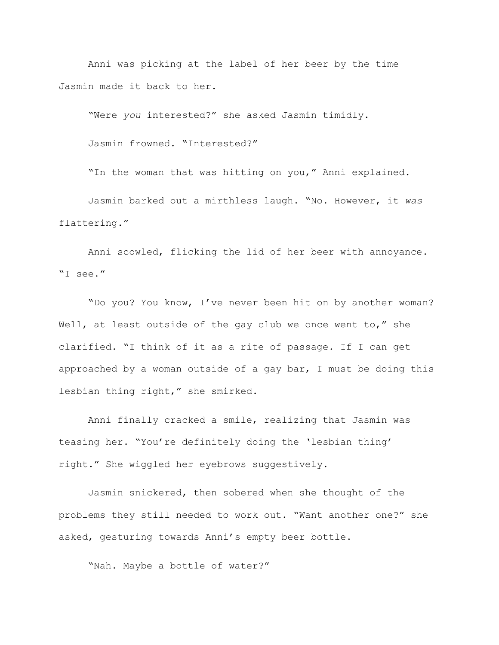Anni was picking at the label of her beer by the time Jasmin made it back to her.

"Were *you* interested?" she asked Jasmin timidly.

Jasmin frowned. "Interested?"

"In the woman that was hitting on you," Anni explained.

Jasmin barked out a mirthless laugh. "No. However, it *was* flattering."

Anni scowled, flicking the lid of her beer with annoyance. "I see."

"Do you? You know, I've never been hit on by another woman? Well, at least outside of the gay club we once went to," she clarified. "I think of it as a rite of passage. If I can get approached by a woman outside of a gay bar, I must be doing this lesbian thing right," she smirked.

Anni finally cracked a smile, realizing that Jasmin was teasing her. "You're definitely doing the 'lesbian thing' right." She wiggled her eyebrows suggestively.

Jasmin snickered, then sobered when she thought of the problems they still needed to work out. "Want another one?" she asked, gesturing towards Anni's empty beer bottle.

"Nah. Maybe a bottle of water?"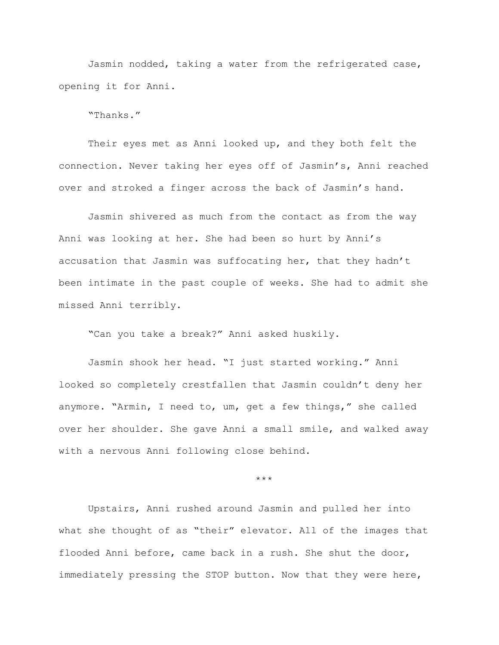Jasmin nodded, taking a water from the refrigerated case, opening it for Anni.

"Thanks."

Their eyes met as Anni looked up, and they both felt the connection. Never taking her eyes off of Jasmin's, Anni reached over and stroked a finger across the back of Jasmin's hand.

Jasmin shivered as much from the contact as from the way Anni was looking at her. She had been so hurt by Anni's accusation that Jasmin was suffocating her, that they hadn't been intimate in the past couple of weeks. She had to admit she missed Anni terribly.

"Can you take a break?" Anni asked huskily.

Jasmin shook her head. "I just started working." Anni looked so completely crestfallen that Jasmin couldn't deny her anymore. "Armin, I need to, um, get a few things," she called over her shoulder. She gave Anni a small smile, and walked away with a nervous Anni following close behind.

\*\*\*

Upstairs, Anni rushed around Jasmin and pulled her into what she thought of as "their" elevator. All of the images that flooded Anni before, came back in a rush. She shut the door, immediately pressing the STOP button. Now that they were here,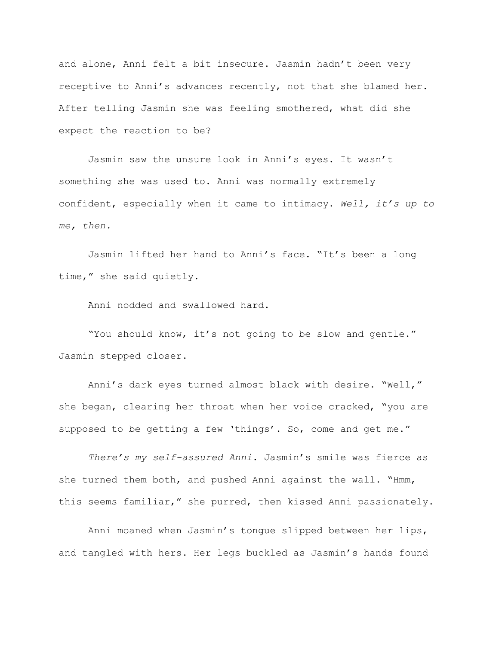and alone, Anni felt a bit insecure. Jasmin hadn't been very receptive to Anni's advances recently, not that she blamed her. After telling Jasmin she was feeling smothered, what did she expect the reaction to be?

Jasmin saw the unsure look in Anni's eyes. It wasn't something she was used to. Anni was normally extremely confident, especially when it came to intimacy. *Well, it's up to me, then.*

Jasmin lifted her hand to Anni's face. "It's been a long time," she said quietly.

Anni nodded and swallowed hard.

"You should know, it's not going to be slow and gentle." Jasmin stepped closer.

Anni's dark eyes turned almost black with desire. "Well," she began, clearing her throat when her voice cracked, "you are supposed to be getting a few 'things'. So, come and get me."

*There's my self-assured Anni.* Jasmin's smile was fierce as she turned them both, and pushed Anni against the wall. "Hmm, this seems familiar," she purred, then kissed Anni passionately.

Anni moaned when Jasmin's tongue slipped between her lips, and tangled with hers. Her legs buckled as Jasmin's hands found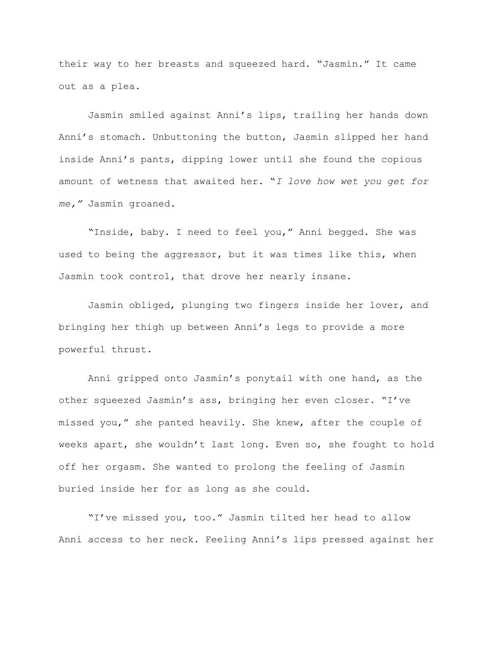their way to her breasts and squeezed hard. "Jasmin." It came out as a plea.

Jasmin smiled against Anni's lips, trailing her hands down Anni's stomach. Unbuttoning the button, Jasmin slipped her hand inside Anni's pants, dipping lower until she found the copious amount of wetness that awaited her. "*I love how wet you get for me,"* Jasmin groaned.

"Inside, baby. I need to feel you," Anni begged. She was used to being the aggressor, but it was times like this, when Jasmin took control, that drove her nearly insane.

Jasmin obliged, plunging two fingers inside her lover, and bringing her thigh up between Anni's legs to provide a more powerful thrust.

Anni gripped onto Jasmin's ponytail with one hand, as the other squeezed Jasmin's ass, bringing her even closer. "I've missed you," she panted heavily. She knew, after the couple of weeks apart, she wouldn't last long. Even so, she fought to hold off her orgasm. She wanted to prolong the feeling of Jasmin buried inside her for as long as she could.

"I've missed you, too." Jasmin tilted her head to allow Anni access to her neck. Feeling Anni's lips pressed against her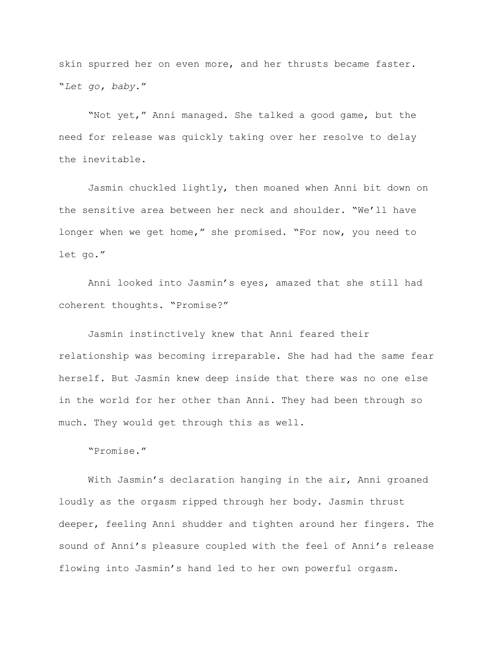skin spurred her on even more, and her thrusts became faster. "*Let go, baby*."

"Not yet," Anni managed. She talked a good game, but the need for release was quickly taking over her resolve to delay the inevitable.

Jasmin chuckled lightly, then moaned when Anni bit down on the sensitive area between her neck and shoulder. "We'll have longer when we get home," she promised. "For now, you need to let go."

Anni looked into Jasmin's eyes, amazed that she still had coherent thoughts. "Promise?"

Jasmin instinctively knew that Anni feared their relationship was becoming irreparable. She had had the same fear herself. But Jasmin knew deep inside that there was no one else in the world for her other than Anni. They had been through so much. They would get through this as well.

"Promise."

With Jasmin's declaration hanging in the air, Anni groaned loudly as the orgasm ripped through her body. Jasmin thrust deeper, feeling Anni shudder and tighten around her fingers. The sound of Anni's pleasure coupled with the feel of Anni's release flowing into Jasmin's hand led to her own powerful orgasm.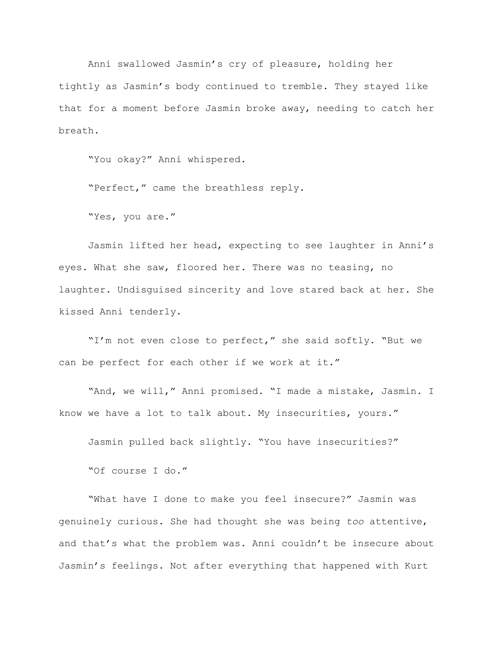Anni swallowed Jasmin's cry of pleasure, holding her tightly as Jasmin's body continued to tremble. They stayed like that for a moment before Jasmin broke away, needing to catch her breath.

"You okay?" Anni whispered.

"Perfect," came the breathless reply.

"Yes, you are."

Jasmin lifted her head, expecting to see laughter in Anni's eyes. What she saw, floored her. There was no teasing, no laughter. Undisguised sincerity and love stared back at her. She kissed Anni tenderly.

"I'm not even close to perfect," she said softly. "But we can be perfect for each other if we work at it."

"And, we will," Anni promised. "I made a mistake, Jasmin. I know we have a lot to talk about. My insecurities, yours."

Jasmin pulled back slightly. "You have insecurities?"

"Of course I do."

"What have I done to make you feel insecure?" Jasmin was genuinely curious. She had thought she was being *too* attentive, and that's what the problem was. Anni couldn't be insecure about Jasmin's feelings. Not after everything that happened with Kurt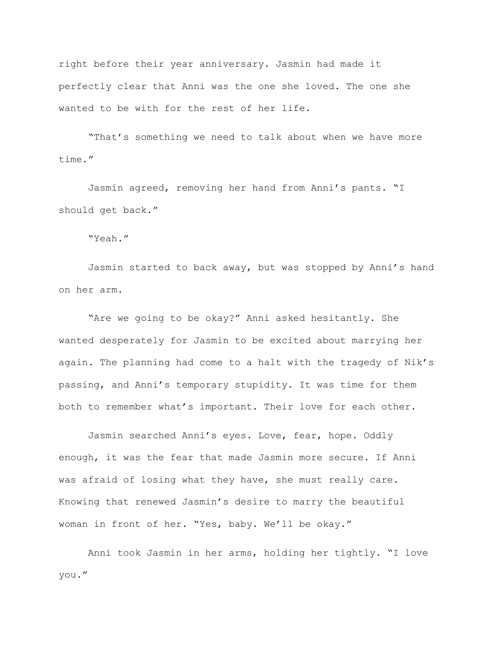right before their year anniversary. Jasmin had made it perfectly clear that Anni was the one she loved. The one she wanted to be with for the rest of her life.

"That's something we need to talk about when we have more time."

Jasmin agreed, removing her hand from Anni's pants. "I should get back."

"Yeah."

Jasmin started to back away, but was stopped by Anni's hand on her arm.

"Are we going to be okay?" Anni asked hesitantly. She wanted desperately for Jasmin to be excited about marrying her again. The planning had come to a halt with the tragedy of Nik's passing, and Anni's temporary stupidity. It was time for them both to remember what's important. Their love for each other.

Jasmin searched Anni's eyes. Love, fear, hope. Oddly enough, it was the fear that made Jasmin more secure. If Anni was afraid of losing what they have, she must really care. Knowing that renewed Jasmin's desire to marry the beautiful woman in front of her. "Yes, baby. We'll be okay."

Anni took Jasmin in her arms, holding her tightly. "I love you."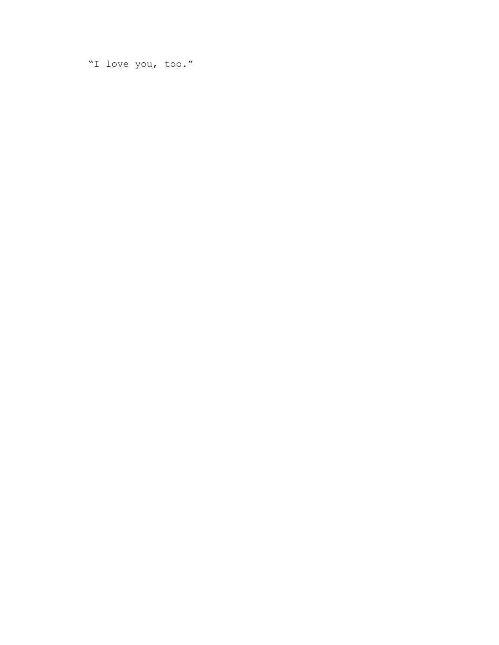"I love you, too."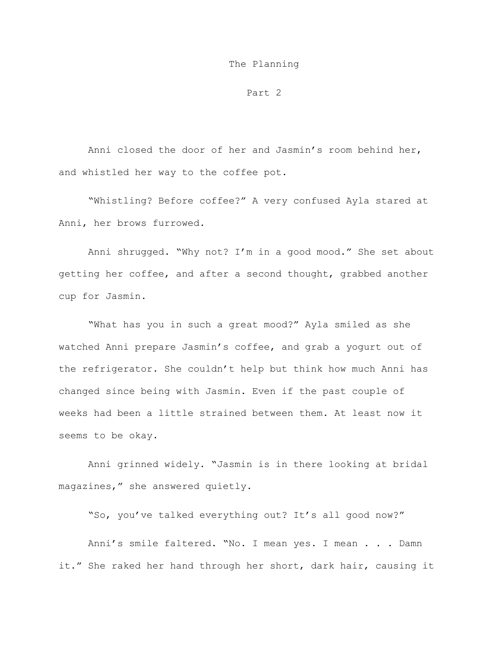#### The Planning

Part 2

Anni closed the door of her and Jasmin's room behind her, and whistled her way to the coffee pot.

"Whistling? Before coffee?" A very confused Ayla stared at Anni, her brows furrowed.

Anni shrugged. "Why not? I'm in a good mood." She set about getting her coffee, and after a second thought, grabbed another cup for Jasmin.

"What has you in such a great mood?" Ayla smiled as she watched Anni prepare Jasmin's coffee, and grab a yogurt out of the refrigerator. She couldn't help but think how much Anni has changed since being with Jasmin. Even if the past couple of weeks had been a little strained between them. At least now it seems to be okay.

Anni grinned widely. "Jasmin is in there looking at bridal magazines," she answered quietly.

"So, you've talked everything out? It's all good now?"

Anni's smile faltered. "No. I mean yes. I mean . . . Damn it." She raked her hand through her short, dark hair, causing it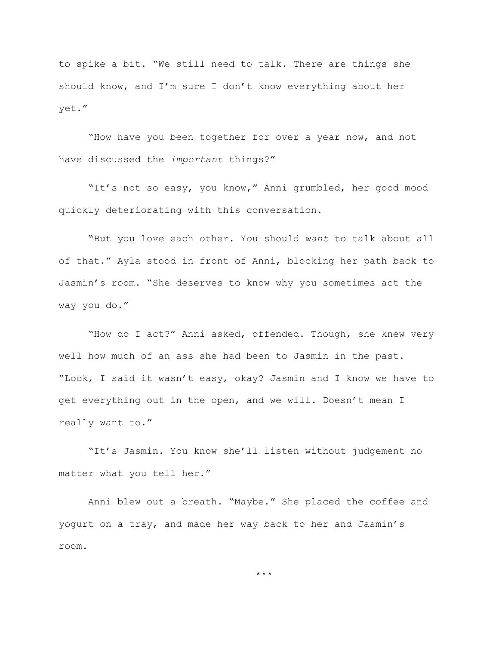to spike a bit. "We still need to talk. There are things she should know, and I'm sure I don't know everything about her yet."

"How have you been together for over a year now, and not have discussed the *important* things?"

"It's not so easy, you know," Anni grumbled, her good mood quickly deteriorating with this conversation.

"But you love each other. You should *want* to talk about all of that." Ayla stood in front of Anni, blocking her path back to Jasmin's room. "She deserves to know why you sometimes act the way you do."

"How do I act?" Anni asked, offended. Though, she knew very well how much of an ass she had been to Jasmin in the past. "Look, I said it wasn't easy, okay? Jasmin and I know we have to get everything out in the open, and we will. Doesn't mean I really want to."

"It's Jasmin. You know she'll listen without judgement no matter what you tell her."

Anni blew out a breath. "Maybe." She placed the coffee and yogurt on a tray, and made her way back to her and Jasmin's room.

\*\*\*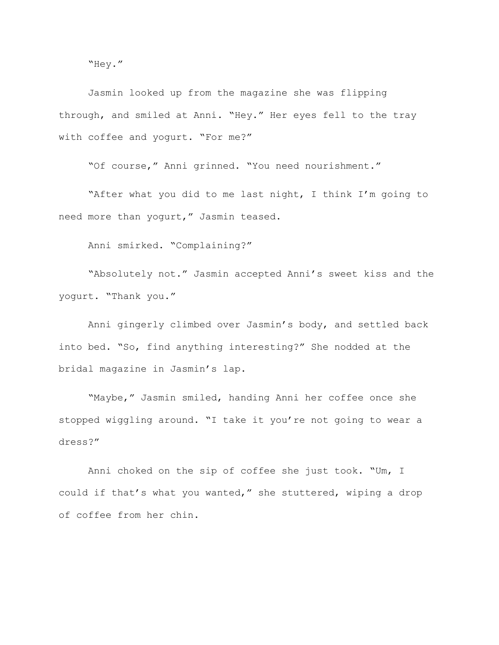"Hey."

Jasmin looked up from the magazine she was flipping through, and smiled at Anni. "Hey." Her eyes fell to the tray with coffee and yogurt. "For me?"

"Of course," Anni grinned. "You need nourishment."

"After what you did to me last night, I think I'm going to need more than yogurt," Jasmin teased.

Anni smirked. "Complaining?"

"Absolutely not." Jasmin accepted Anni's sweet kiss and the yogurt. "Thank you."

Anni gingerly climbed over Jasmin's body, and settled back into bed. "So, find anything interesting?" She nodded at the bridal magazine in Jasmin's lap.

"Maybe," Jasmin smiled, handing Anni her coffee once she stopped wiggling around. "I take it you're not going to wear a dress?"

Anni choked on the sip of coffee she just took. "Um, I could if that's what you wanted," she stuttered, wiping a drop of coffee from her chin.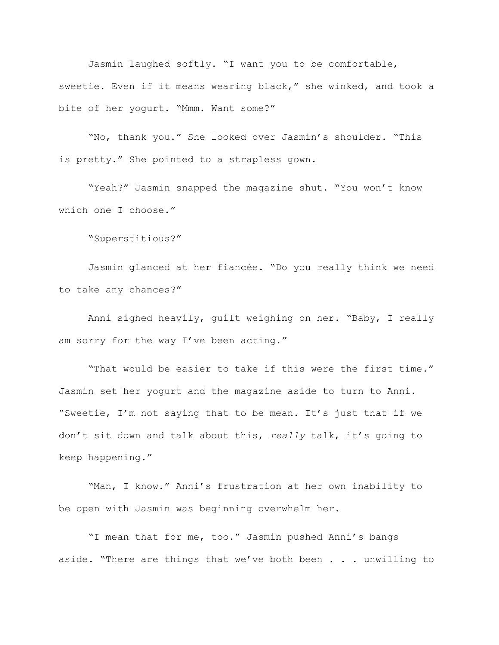Jasmin laughed softly. "I want you to be comfortable, sweetie. Even if it means wearing black," she winked, and took a bite of her yogurt. "Mmm. Want some?"

"No, thank you." She looked over Jasmin's shoulder. "This is pretty." She pointed to a strapless gown.

"Yeah?" Jasmin snapped the magazine shut. "You won't know which one I choose."

"Superstitious?"

Jasmin glanced at her fiancée. "Do you really think we need to take any chances?"

Anni sighed heavily, guilt weighing on her. "Baby, I really am sorry for the way I've been acting."

"That would be easier to take if this were the first time." Jasmin set her yogurt and the magazine aside to turn to Anni. "Sweetie, I'm not saying that to be mean. It's just that if we don't sit down and talk about this, *really* talk, it's going to keep happening."

"Man, I know." Anni's frustration at her own inability to be open with Jasmin was beginning overwhelm her.

"I mean that for me, too." Jasmin pushed Anni's bangs aside. "There are things that we've both been . . . unwilling to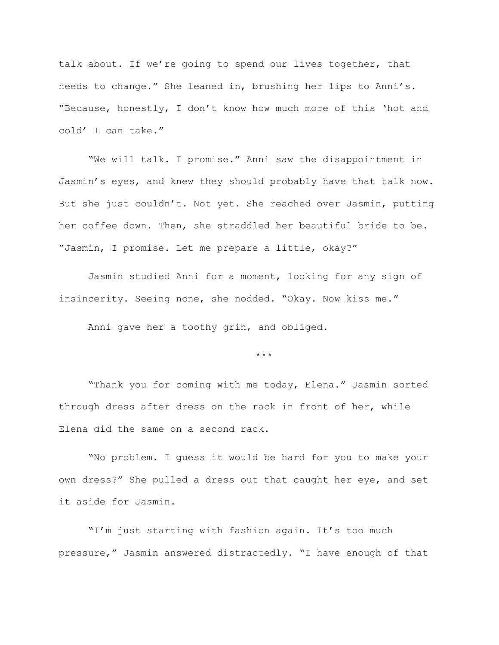talk about. If we're going to spend our lives together, that needs to change." She leaned in, brushing her lips to Anni's. "Because, honestly, I don't know how much more of this 'hot and cold' I can take."

"We will talk. I promise." Anni saw the disappointment in Jasmin's eyes, and knew they should probably have that talk now. But she just couldn't. Not yet. She reached over Jasmin, putting her coffee down. Then, she straddled her beautiful bride to be. "Jasmin, I promise. Let me prepare a little, okay?"

Jasmin studied Anni for a moment, looking for any sign of insincerity. Seeing none, she nodded. "Okay. Now kiss me."

Anni gave her a toothy grin, and obliged.

## \*\*\*

"Thank you for coming with me today, Elena." Jasmin sorted through dress after dress on the rack in front of her, while Elena did the same on a second rack.

"No problem. I guess it would be hard for you to make your own dress?" She pulled a dress out that caught her eye, and set it aside for Jasmin.

"I'm just starting with fashion again. It's too much pressure," Jasmin answered distractedly. "I have enough of that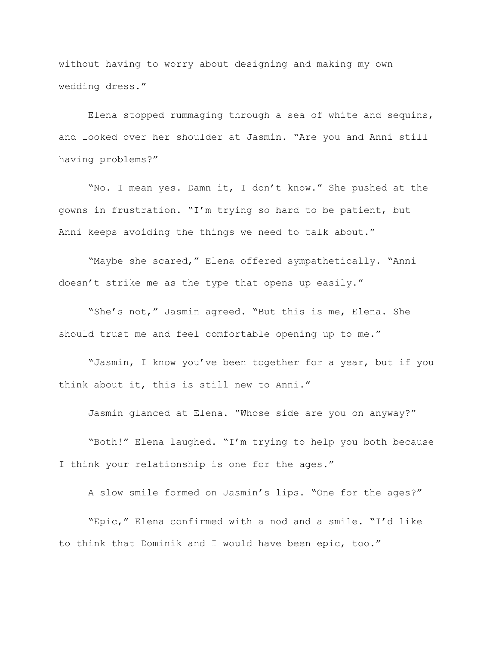without having to worry about designing and making my own wedding dress."

Elena stopped rummaging through a sea of white and sequins, and looked over her shoulder at Jasmin. "Are you and Anni still having problems?"

"No. I mean yes. Damn it, I don't know." She pushed at the gowns in frustration. "I'm trying so hard to be patient, but Anni keeps avoiding the things we need to talk about."

"Maybe she scared," Elena offered sympathetically. "Anni doesn't strike me as the type that opens up easily."

"She's not," Jasmin agreed. "But this is me, Elena. She should trust me and feel comfortable opening up to me."

"Jasmin, I know you've been together for a year, but if you think about it, this is still new to Anni."

Jasmin glanced at Elena. "Whose side are you on anyway?"

"Both!" Elena laughed. "I'm trying to help you both because I think your relationship is one for the ages."

A slow smile formed on Jasmin's lips. "One for the ages?"

"Epic," Elena confirmed with a nod and a smile. "I'd like to think that Dominik and I would have been epic, too."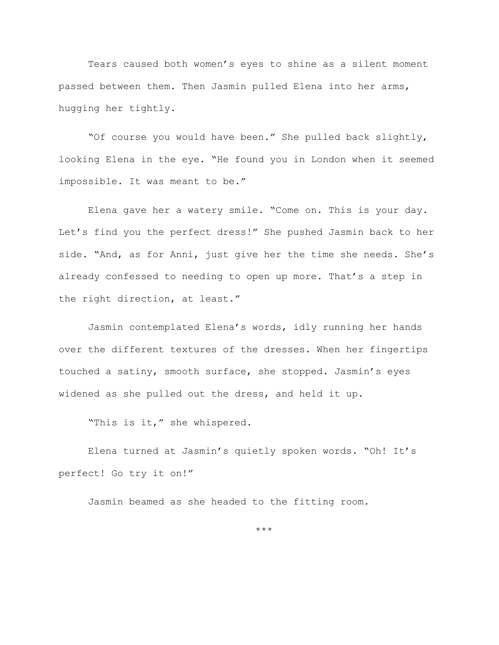Tears caused both women's eyes to shine as a silent moment passed between them. Then Jasmin pulled Elena into her arms, hugging her tightly.

"Of course you would have been." She pulled back slightly, looking Elena in the eye. "He found you in London when it seemed impossible. It was meant to be."

Elena gave her a watery smile. "Come on. This is your day. Let's find you the perfect dress!" She pushed Jasmin back to her side. "And, as for Anni, just give her the time she needs. She's already confessed to needing to open up more. That's a step in the right direction, at least."

Jasmin contemplated Elena's words, idly running her hands over the different textures of the dresses. When her fingertips touched a satiny, smooth surface, she stopped. Jasmin's eyes widened as she pulled out the dress, and held it up.

"This is it," she whispered.

Elena turned at Jasmin's quietly spoken words. "Oh! It's perfect! Go try it on!"

Jasmin beamed as she headed to the fitting room.

\*\*\*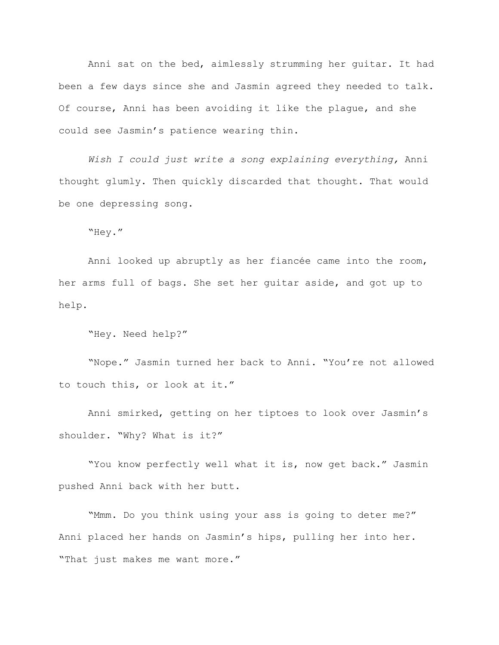Anni sat on the bed, aimlessly strumming her guitar. It had been a few days since she and Jasmin agreed they needed to talk. Of course, Anni has been avoiding it like the plague, and she could see Jasmin's patience wearing thin.

*Wish I could just write a song explaining everything,* Anni thought glumly. Then quickly discarded that thought. That would be one depressing song.

"Hey."

Anni looked up abruptly as her fiancée came into the room, her arms full of bags. She set her guitar aside, and got up to help.

```
"Hey. Need help?"
```
"Nope." Jasmin turned her back to Anni. "You're not allowed to touch this, or look at it."

Anni smirked, getting on her tiptoes to look over Jasmin's shoulder. "Why? What is it?"

"You know perfectly well what it is, now get back." Jasmin pushed Anni back with her butt.

"Mmm. Do you think using your ass is going to deter me?" Anni placed her hands on Jasmin's hips, pulling her into her. "That just makes me want more."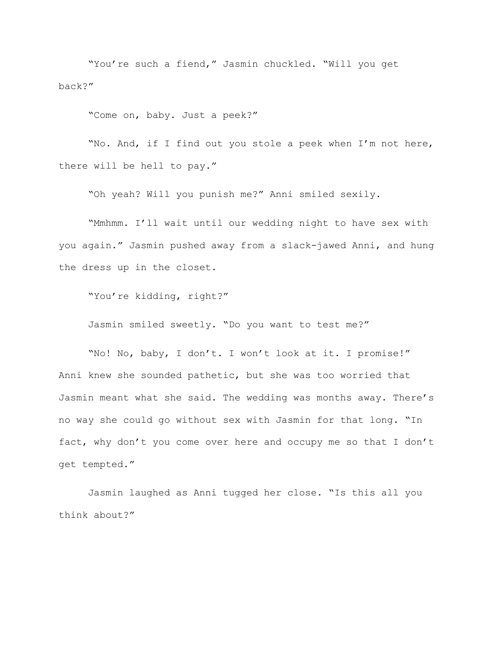"You're such a fiend," Jasmin chuckled. "Will you get back?"

"Come on, baby. Just a peek?"

"No. And, if I find out you stole a peek when I'm not here, there will be hell to pay."

"Oh yeah? Will you punish me?" Anni smiled sexily.

"Mmhmm. I'll wait until our wedding night to have sex with you again." Jasmin pushed away from a slack-jawed Anni, and hung the dress up in the closet.

"You're kidding, right?"

Jasmin smiled sweetly. "Do you want to test me?"

"No! No, baby, I don't. I won't look at it. I promise!" Anni knew she sounded pathetic, but she was too worried that Jasmin meant what she said. The wedding was months away. There's no way she could go without sex with Jasmin for that long. "In fact, why don't you come over here and occupy me so that I don't get tempted."

Jasmin laughed as Anni tugged her close. "Is this all you think about?"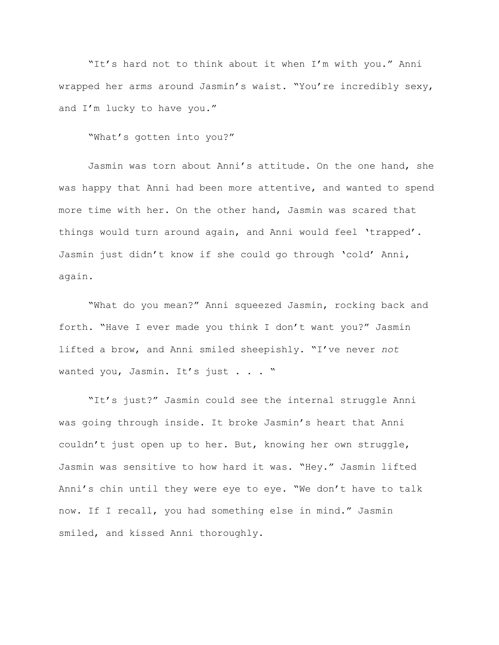"It's hard not to think about it when I'm with you." Anni wrapped her arms around Jasmin's waist. "You're incredibly sexy, and I'm lucky to have you."

"What's gotten into you?"

Jasmin was torn about Anni's attitude. On the one hand, she was happy that Anni had been more attentive, and wanted to spend more time with her. On the other hand, Jasmin was scared that things would turn around again, and Anni would feel 'trapped'. Jasmin just didn't know if she could go through 'cold' Anni, again.

"What do you mean?" Anni squeezed Jasmin, rocking back and forth. "Have I ever made you think I don't want you?" Jasmin lifted a brow, and Anni smiled sheepishly. "I've never *not* wanted you, Jasmin. It's just . . . "

"It's just?" Jasmin could see the internal struggle Anni was going through inside. It broke Jasmin's heart that Anni couldn't just open up to her. But, knowing her own struggle, Jasmin was sensitive to how hard it was. "Hey." Jasmin lifted Anni's chin until they were eye to eye. "We don't have to talk now. If I recall, you had something else in mind." Jasmin smiled, and kissed Anni thoroughly.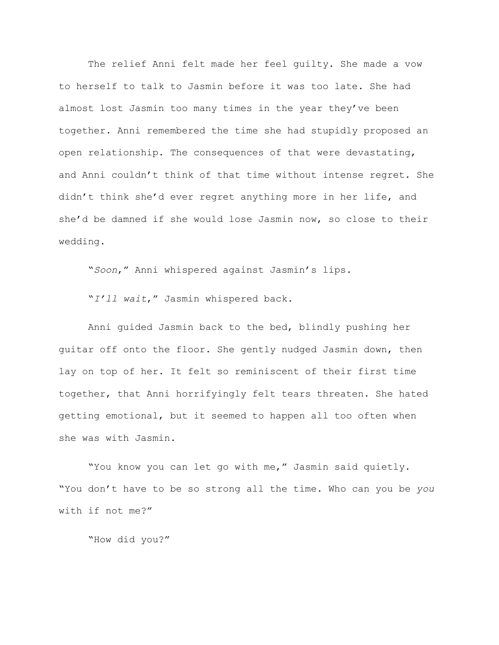The relief Anni felt made her feel guilty. She made a vow to herself to talk to Jasmin before it was too late. She had almost lost Jasmin too many times in the year they've been together. Anni remembered the time she had stupidly proposed an open relationship. The consequences of that were devastating, and Anni couldn't think of that time without intense regret. She didn't think she'd ever regret anything more in her life, and she'd be damned if she would lose Jasmin now, so close to their wedding.

"*Soon*," Anni whispered against Jasmin's lips.

"*I'll wait*," Jasmin whispered back.

Anni guided Jasmin back to the bed, blindly pushing her guitar off onto the floor. She gently nudged Jasmin down, then lay on top of her. It felt so reminiscent of their first time together, that Anni horrifyingly felt tears threaten. She hated getting emotional, but it seemed to happen all too often when she was with Jasmin.

"You know you can let go with me," Jasmin said quietly. "You don't have to be so strong all the time. Who can you be *you* with if not me?"

"How did you?"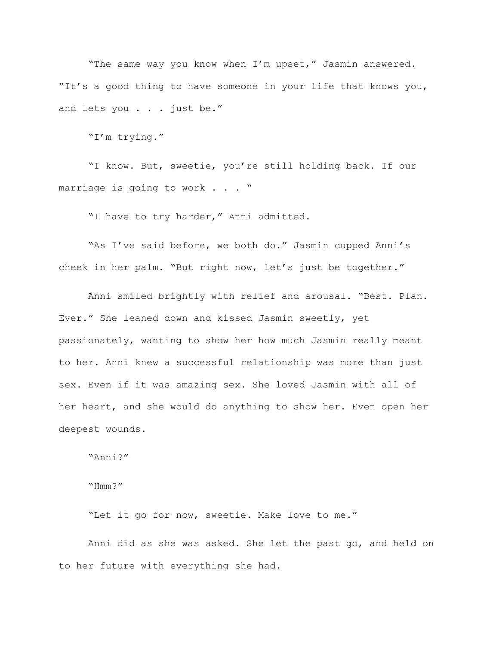"The same way you know when I'm upset," Jasmin answered. "It's a good thing to have someone in your life that knows you, and lets you . . . just be."

"I'm trying."

"I know. But, sweetie, you're still holding back. If our marriage is going to work . . . "

"I have to try harder," Anni admitted.

"As I've said before, we both do." Jasmin cupped Anni's cheek in her palm. "But right now, let's just be together."

Anni smiled brightly with relief and arousal. "Best. Plan. Ever." She leaned down and kissed Jasmin sweetly, yet passionately, wanting to show her how much Jasmin really meant to her. Anni knew a successful relationship was more than just sex. Even if it was amazing sex. She loved Jasmin with all of her heart, and she would do anything to show her. Even open her deepest wounds.

"Anni?"

"Hmm?"

"Let it go for now, sweetie. Make love to me."

Anni did as she was asked. She let the past go, and held on to her future with everything she had.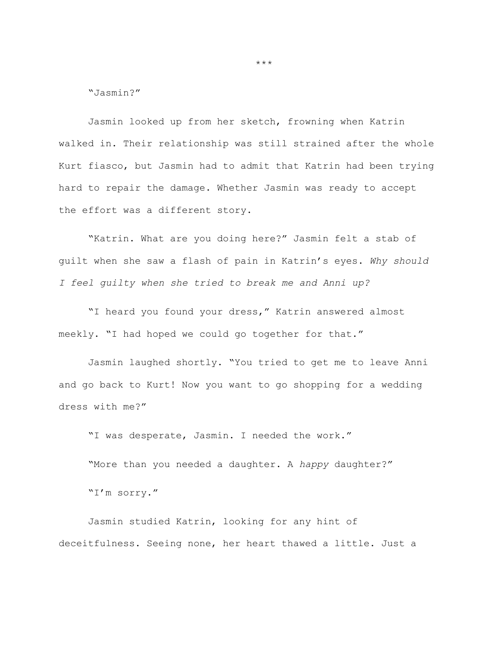"Jasmin?"

Jasmin looked up from her sketch, frowning when Katrin walked in. Their relationship was still strained after the whole Kurt fiasco, but Jasmin had to admit that Katrin had been trying hard to repair the damage. Whether Jasmin was ready to accept the effort was a different story.

"Katrin. What are you doing here?" Jasmin felt a stab of guilt when she saw a flash of pain in Katrin's eyes. *Why should I feel guilty when she tried to break me and Anni up?*

"I heard you found your dress," Katrin answered almost meekly. "I had hoped we could go together for that."

Jasmin laughed shortly. "You tried to get me to leave Anni and go back to Kurt! Now you want to go shopping for a wedding dress with me?"

"I was desperate, Jasmin. I needed the work."

"More than you needed a daughter. A *happy* daughter?" "I'm sorry."

Jasmin studied Katrin, looking for any hint of deceitfulness. Seeing none, her heart thawed a little. Just a

\*\*\*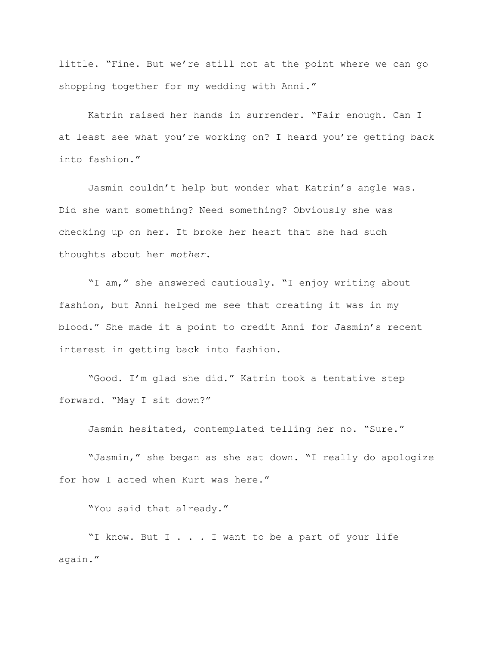little. "Fine. But we're still not at the point where we can go shopping together for my wedding with Anni."

Katrin raised her hands in surrender. "Fair enough. Can I at least see what you're working on? I heard you're getting back into fashion."

Jasmin couldn't help but wonder what Katrin's angle was. Did she want something? Need something? Obviously she was checking up on her. It broke her heart that she had such thoughts about her *mother*.

"I am," she answered cautiously. "I enjoy writing about fashion, but Anni helped me see that creating it was in my blood." She made it a point to credit Anni for Jasmin's recent interest in getting back into fashion.

"Good. I'm glad she did." Katrin took a tentative step forward. "May I sit down?"

Jasmin hesitated, contemplated telling her no. "Sure."

"Jasmin," she began as she sat down. "I really do apologize for how I acted when Kurt was here."

"You said that already."

"I know. But I . . . I want to be a part of your life again."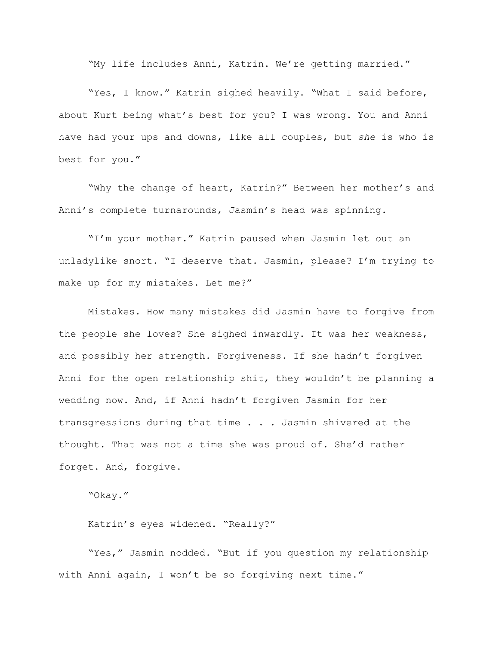"My life includes Anni, Katrin. We're getting married."

"Yes, I know." Katrin sighed heavily. "What I said before, about Kurt being what's best for you? I was wrong. You and Anni have had your ups and downs, like all couples, but *she* is who is best for you."

"Why the change of heart, Katrin?" Between her mother's and Anni's complete turnarounds, Jasmin's head was spinning.

"I'm your mother." Katrin paused when Jasmin let out an unladylike snort. "I deserve that. Jasmin, please? I'm trying to make up for my mistakes. Let me?"

Mistakes. How many mistakes did Jasmin have to forgive from the people she loves? She sighed inwardly. It was her weakness, and possibly her strength. Forgiveness. If she hadn't forgiven Anni for the open relationship shit, they wouldn't be planning a wedding now. And, if Anni hadn't forgiven Jasmin for her transgressions during that time . . . Jasmin shivered at the thought. That was not a time she was proud of. She'd rather forget. And, forgive.

"Okay."

Katrin's eyes widened. "Really?"

"Yes," Jasmin nodded. "But if you question my relationship with Anni again, I won't be so forgiving next time."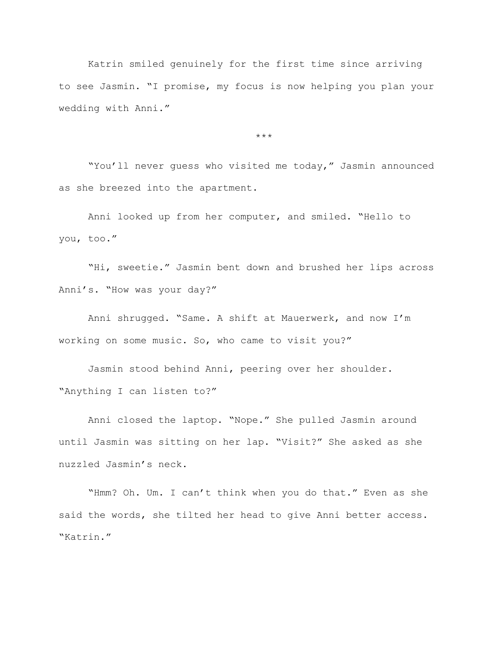Katrin smiled genuinely for the first time since arriving to see Jasmin. "I promise, my focus is now helping you plan your wedding with Anni."

\*\*\*

"You'll never guess who visited me today," Jasmin announced as she breezed into the apartment.

Anni looked up from her computer, and smiled. "Hello to you, too."

"Hi, sweetie." Jasmin bent down and brushed her lips across Anni's. "How was your day?"

Anni shrugged. "Same. A shift at Mauerwerk, and now I'm working on some music. So, who came to visit you?"

Jasmin stood behind Anni, peering over her shoulder. "Anything I can listen to?"

Anni closed the laptop. "Nope." She pulled Jasmin around until Jasmin was sitting on her lap. "Visit?" She asked as she nuzzled Jasmin's neck.

"Hmm? Oh. Um. I can't think when you do that." Even as she said the words, she tilted her head to give Anni better access. "Katrin."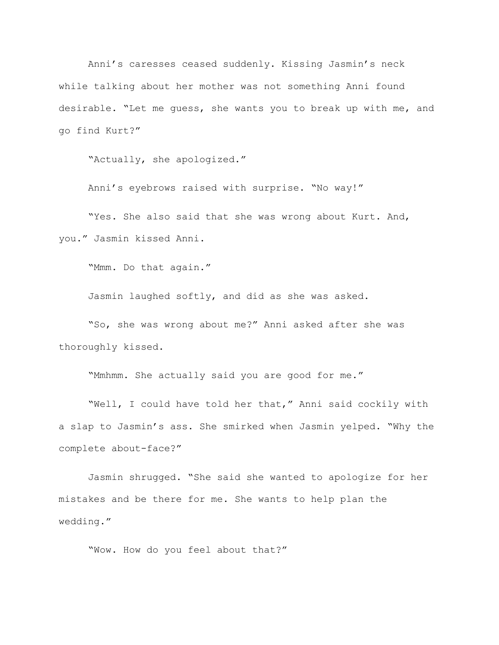Anni's caresses ceased suddenly. Kissing Jasmin's neck while talking about her mother was not something Anni found desirable. "Let me guess, she wants you to break up with me, and go find Kurt?"

"Actually, she apologized."

Anni's eyebrows raised with surprise. "No way!"

"Yes. She also said that she was wrong about Kurt. And, you." Jasmin kissed Anni.

"Mmm. Do that again."

Jasmin laughed softly, and did as she was asked.

"So, she was wrong about me?" Anni asked after she was thoroughly kissed.

"Mmhmm. She actually said you are good for me."

"Well, I could have told her that," Anni said cockily with a slap to Jasmin's ass. She smirked when Jasmin yelped. "Why the complete about-face?"

Jasmin shrugged. "She said she wanted to apologize for her mistakes and be there for me. She wants to help plan the wedding."

"Wow. How do you feel about that?"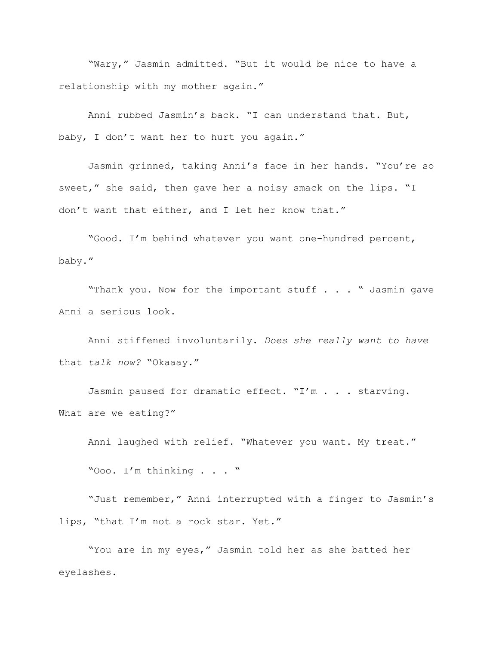"Wary," Jasmin admitted. "But it would be nice to have a relationship with my mother again."

Anni rubbed Jasmin's back. "I can understand that. But, baby, I don't want her to hurt you again."

Jasmin grinned, taking Anni's face in her hands. "You're so sweet," she said, then gave her a noisy smack on the lips. "I don't want that either, and I let her know that."

"Good. I'm behind whatever you want one-hundred percent, baby."

"Thank you. Now for the important stuff . . . " Jasmin gave Anni a serious look.

Anni stiffened involuntarily. *Does she really want to have*  that *talk now?* "Okaaay."

Jasmin paused for dramatic effect. "I'm . . . starving. What are we eating?"

Anni laughed with relief. "Whatever you want. My treat."

"Ooo. I'm thinking . . . "

"Just remember," Anni interrupted with a finger to Jasmin's lips, "that I'm not a rock star. Yet."

"You are in my eyes," Jasmin told her as she batted her eyelashes.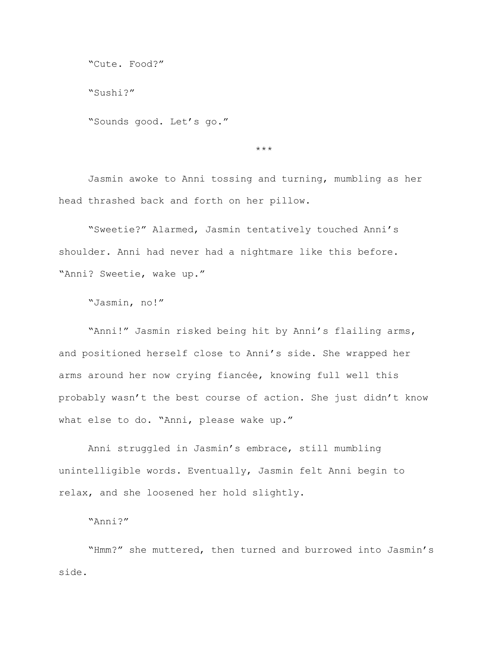```
"Cute. Food?"
```
"Sushi?"

"Sounds good. Let's go."

 $\star\star\star$ 

Jasmin awoke to Anni tossing and turning, mumbling as her head thrashed back and forth on her pillow.

"Sweetie?" Alarmed, Jasmin tentatively touched Anni's shoulder. Anni had never had a nightmare like this before. "Anni? Sweetie, wake up."

"Jasmin, no!"

"Anni!" Jasmin risked being hit by Anni's flailing arms, and positioned herself close to Anni's side. She wrapped her arms around her now crying fiancée, knowing full well this probably wasn't the best course of action. She just didn't know what else to do. "Anni, please wake up."

Anni struggled in Jasmin's embrace, still mumbling unintelligible words. Eventually, Jasmin felt Anni begin to relax, and she loosened her hold slightly.

"Anni?"

"Hmm?" she muttered, then turned and burrowed into Jasmin's side.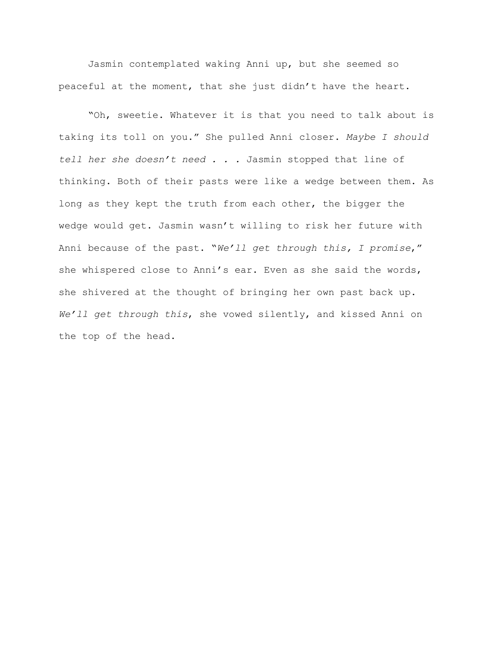Jasmin contemplated waking Anni up, but she seemed so peaceful at the moment, that she just didn't have the heart.

"Oh, sweetie. Whatever it is that you need to talk about is taking its toll on you." She pulled Anni closer. *Maybe I should tell her she doesn't need . . .* Jasmin stopped that line of thinking. Both of their pasts were like a wedge between them. As long as they kept the truth from each other, the bigger the wedge would get. Jasmin wasn't willing to risk her future with Anni because of the past. "*We'll get through this, I promise*," she whispered close to Anni's ear. Even as she said the words, she shivered at the thought of bringing her own past back up. *We'll get through this*, she vowed silently, and kissed Anni on the top of the head.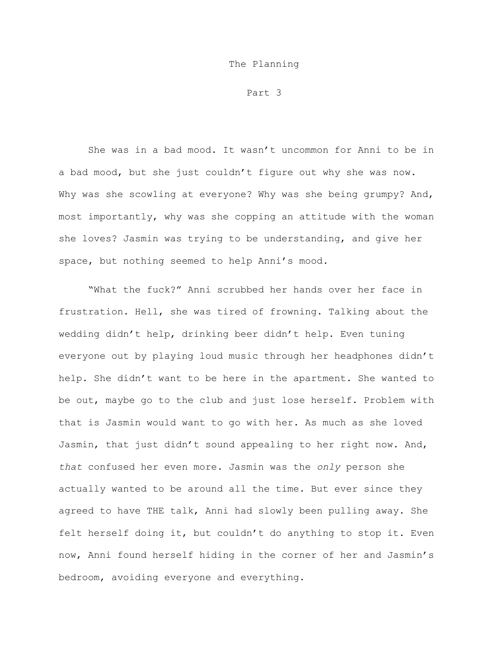## The Planning

Part 3

She was in a bad mood. It wasn't uncommon for Anni to be in a bad mood, but she just couldn't figure out why she was now. Why was she scowling at everyone? Why was she being grumpy? And, most importantly, why was she copping an attitude with the woman she loves? Jasmin was trying to be understanding, and give her space, but nothing seemed to help Anni's mood.

"What the fuck?" Anni scrubbed her hands over her face in frustration. Hell, she was tired of frowning. Talking about the wedding didn't help, drinking beer didn't help. Even tuning everyone out by playing loud music through her headphones didn't help. She didn't want to be here in the apartment. She wanted to be out, maybe go to the club and just lose herself. Problem with that is Jasmin would want to go with her. As much as she loved Jasmin, that just didn't sound appealing to her right now. And, *that* confused her even more. Jasmin was the *only* person she actually wanted to be around all the time. But ever since they agreed to have THE talk, Anni had slowly been pulling away. She felt herself doing it, but couldn't do anything to stop it. Even now, Anni found herself hiding in the corner of her and Jasmin's bedroom, avoiding everyone and everything.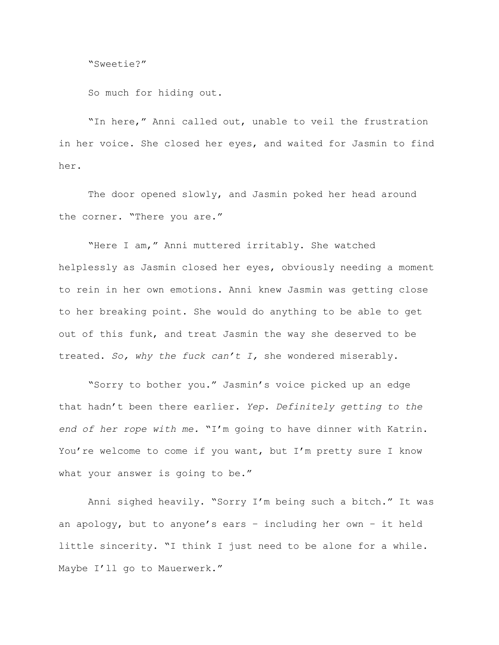"Sweetie?"

So much for hiding out.

"In here," Anni called out, unable to veil the frustration in her voice. She closed her eyes, and waited for Jasmin to find her.

The door opened slowly, and Jasmin poked her head around the corner. "There you are."

"Here I am," Anni muttered irritably. She watched helplessly as Jasmin closed her eyes, obviously needing a moment to rein in her own emotions. Anni knew Jasmin was getting close to her breaking point. She would do anything to be able to get out of this funk, and treat Jasmin the way she deserved to be treated. *So, why the fuck can't I,* she wondered miserably.

"Sorry to bother you." Jasmin's voice picked up an edge that hadn't been there earlier. *Yep. Definitely getting to the end of her rope with me.* "I'm going to have dinner with Katrin. You're welcome to come if you want, but I'm pretty sure I know what your answer is going to be."

Anni sighed heavily. "Sorry I'm being such a bitch." It was an apology, but to anyone's ears – including her own – it held little sincerity. "I think I just need to be alone for a while. Maybe I'll go to Mauerwerk."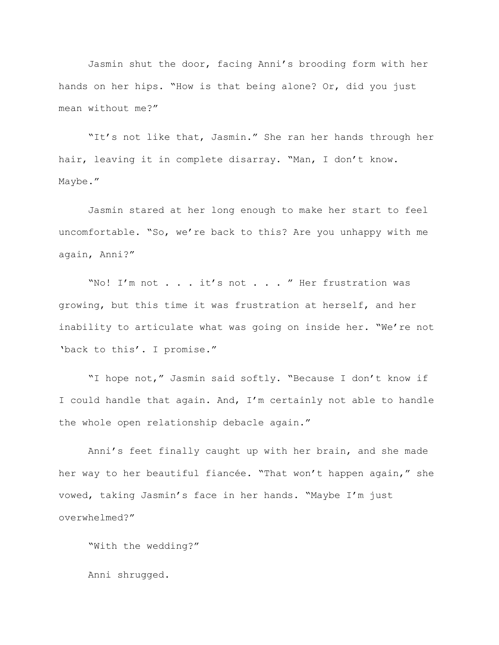Jasmin shut the door, facing Anni's brooding form with her hands on her hips. "How is that being alone? Or, did you just mean without me?"

"It's not like that, Jasmin." She ran her hands through her hair, leaving it in complete disarray. "Man, I don't know. Maybe."

Jasmin stared at her long enough to make her start to feel uncomfortable. "So, we're back to this? Are you unhappy with me again, Anni?"

"No! I'm not . . . it's not . . . " Her frustration was growing, but this time it was frustration at herself, and her inability to articulate what was going on inside her. "We're not 'back to this'. I promise."

"I hope not," Jasmin said softly. "Because I don't know if I could handle that again. And, I'm certainly not able to handle the whole open relationship debacle again."

Anni's feet finally caught up with her brain, and she made her way to her beautiful fiancée. "That won't happen again," she vowed, taking Jasmin's face in her hands. "Maybe I'm just overwhelmed?"

"With the wedding?"

Anni shrugged.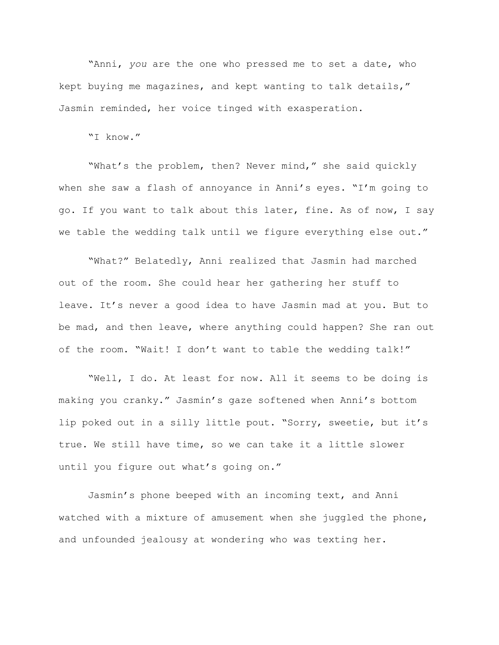"Anni, *you* are the one who pressed me to set a date, who kept buying me magazines, and kept wanting to talk details," Jasmin reminded, her voice tinged with exasperation.

"I know."

"What's the problem, then? Never mind," she said quickly when she saw a flash of annoyance in Anni's eyes. "I'm going to go. If you want to talk about this later, fine. As of now, I say we table the wedding talk until we figure everything else out."

"What?" Belatedly, Anni realized that Jasmin had marched out of the room. She could hear her gathering her stuff to leave. It's never a good idea to have Jasmin mad at you. But to be mad, and then leave, where anything could happen? She ran out of the room. "Wait! I don't want to table the wedding talk!"

"Well, I do. At least for now. All it seems to be doing is making you cranky." Jasmin's gaze softened when Anni's bottom lip poked out in a silly little pout. "Sorry, sweetie, but it's true. We still have time, so we can take it a little slower until you figure out what's going on."

Jasmin's phone beeped with an incoming text, and Anni watched with a mixture of amusement when she juggled the phone, and unfounded jealousy at wondering who was texting her.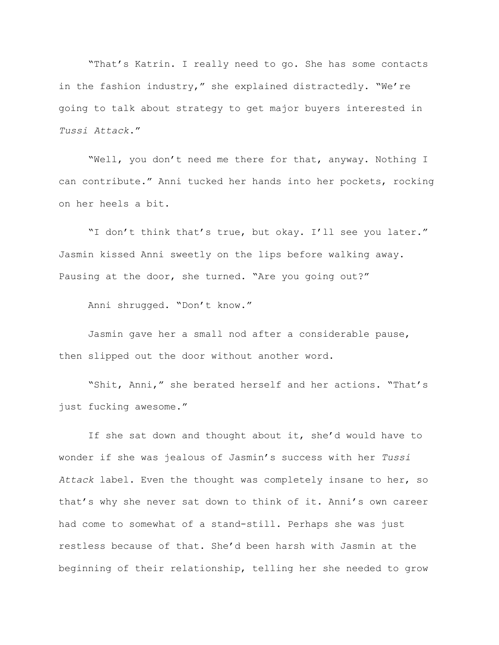"That's Katrin. I really need to go. She has some contacts in the fashion industry," she explained distractedly. "We're going to talk about strategy to get major buyers interested in *Tussi Attack*."

"Well, you don't need me there for that, anyway. Nothing I can contribute." Anni tucked her hands into her pockets, rocking on her heels a bit.

"I don't think that's true, but okay. I'll see you later." Jasmin kissed Anni sweetly on the lips before walking away. Pausing at the door, she turned. "Are you going out?"

Anni shrugged. "Don't know."

Jasmin gave her a small nod after a considerable pause, then slipped out the door without another word.

"Shit, Anni," she berated herself and her actions. "That's just fucking awesome."

If she sat down and thought about it, she'd would have to wonder if she was jealous of Jasmin's success with her *Tussi Attack* label. Even the thought was completely insane to her, so that's why she never sat down to think of it. Anni's own career had come to somewhat of a stand-still. Perhaps she was just restless because of that. She'd been harsh with Jasmin at the beginning of their relationship, telling her she needed to grow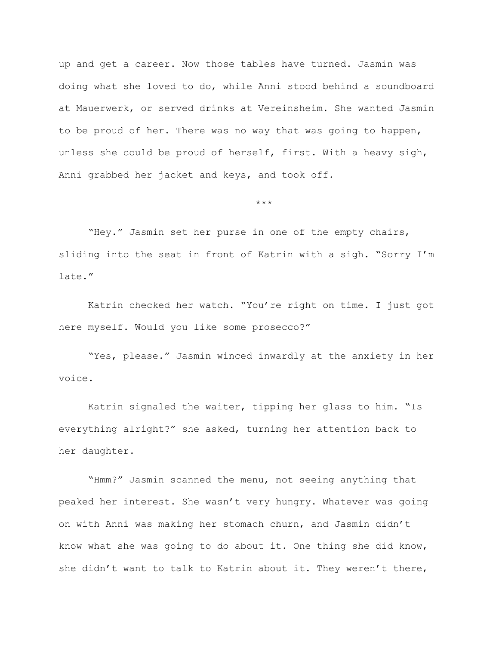up and get a career. Now those tables have turned. Jasmin was doing what she loved to do, while Anni stood behind a soundboard at Mauerwerk, or served drinks at Vereinsheim. She wanted Jasmin to be proud of her. There was no way that was going to happen, unless she could be proud of herself, first. With a heavy sigh, Anni grabbed her jacket and keys, and took off.

\*\*\*

"Hey." Jasmin set her purse in one of the empty chairs, sliding into the seat in front of Katrin with a sigh. "Sorry I'm late."

Katrin checked her watch. "You're right on time. I just got here myself. Would you like some prosecco?"

"Yes, please." Jasmin winced inwardly at the anxiety in her voice.

Katrin signaled the waiter, tipping her glass to him. "Is everything alright?" she asked, turning her attention back to her daughter.

"Hmm?" Jasmin scanned the menu, not seeing anything that peaked her interest. She wasn't very hungry. Whatever was going on with Anni was making her stomach churn, and Jasmin didn't know what she was going to do about it. One thing she did know, she didn't want to talk to Katrin about it. They weren't there,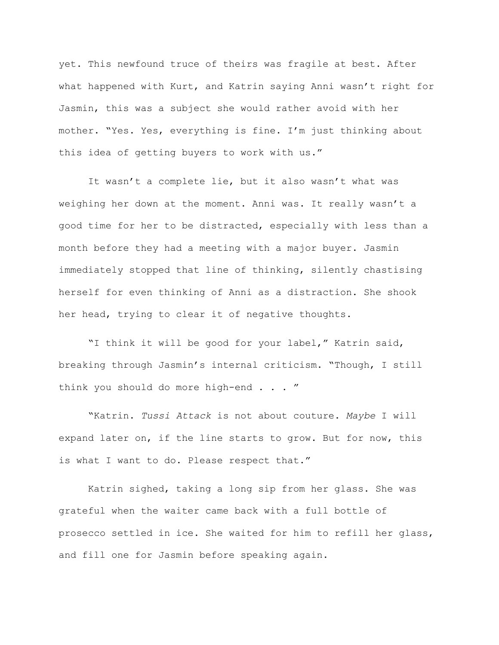yet. This newfound truce of theirs was fragile at best. After what happened with Kurt, and Katrin saying Anni wasn't right for Jasmin, this was a subject she would rather avoid with her mother. "Yes. Yes, everything is fine. I'm just thinking about this idea of getting buyers to work with us."

It wasn't a complete lie, but it also wasn't what was weighing her down at the moment. Anni was. It really wasn't a good time for her to be distracted, especially with less than a month before they had a meeting with a major buyer. Jasmin immediately stopped that line of thinking, silently chastising herself for even thinking of Anni as a distraction. She shook her head, trying to clear it of negative thoughts.

"I think it will be good for your label," Katrin said, breaking through Jasmin's internal criticism. "Though, I still think you should do more high-end . . . "

"Katrin. *Tussi Attack* is not about couture. *Maybe* I will expand later on, if the line starts to grow. But for now, this is what I want to do. Please respect that."

Katrin sighed, taking a long sip from her glass. She was grateful when the waiter came back with a full bottle of prosecco settled in ice. She waited for him to refill her glass, and fill one for Jasmin before speaking again.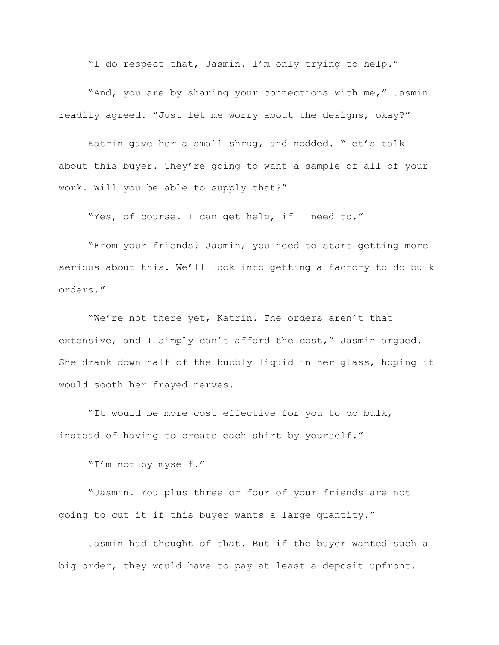"I do respect that, Jasmin. I'm only trying to help."

"And, you are by sharing your connections with me," Jasmin readily agreed. "Just let me worry about the designs, okay?"

Katrin gave her a small shrug, and nodded. "Let's talk about this buyer. They're going to want a sample of all of your work. Will you be able to supply that?"

"Yes, of course. I can get help, if I need to."

"From your friends? Jasmin, you need to start getting more serious about this. We'll look into getting a factory to do bulk orders."

"We're not there yet, Katrin. The orders aren't that extensive, and I simply can't afford the cost," Jasmin arqued. She drank down half of the bubbly liquid in her glass, hoping it would sooth her frayed nerves.

"It would be more cost effective for you to do bulk, instead of having to create each shirt by yourself."

"I'm not by myself."

"Jasmin. You plus three or four of your friends are not going to cut it if this buyer wants a large quantity."

Jasmin had thought of that. But if the buyer wanted such a big order, they would have to pay at least a deposit upfront.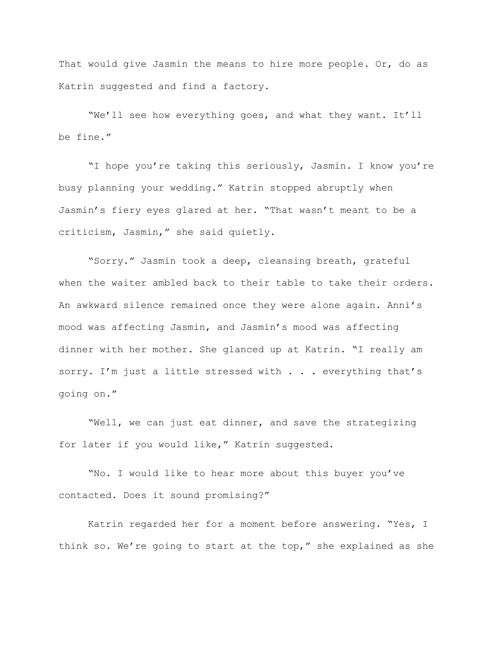That would give Jasmin the means to hire more people. Or, do as Katrin suggested and find a factory.

"We'll see how everything goes, and what they want. It'll be fine."

"I hope you're taking this seriously, Jasmin. I know you're busy planning your wedding." Katrin stopped abruptly when Jasmin's fiery eyes glared at her. "That wasn't meant to be a criticism, Jasmin," she said quietly.

"Sorry." Jasmin took a deep, cleansing breath, grateful when the waiter ambled back to their table to take their orders. An awkward silence remained once they were alone again. Anni's mood was affecting Jasmin, and Jasmin's mood was affecting dinner with her mother. She glanced up at Katrin. "I really am sorry. I'm just a little stressed with . . . everything that's going on."

"Well, we can just eat dinner, and save the strategizing for later if you would like," Katrin suggested.

"No. I would like to hear more about this buyer you've contacted. Does it sound promising?"

Katrin regarded her for a moment before answering. "Yes, I think so. We're going to start at the top," she explained as she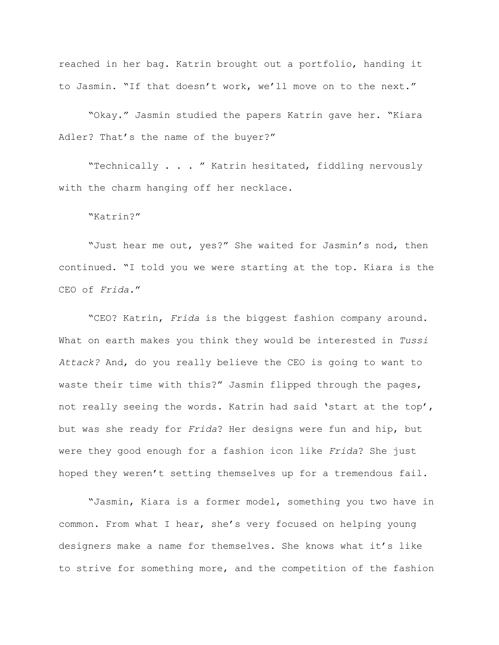reached in her bag. Katrin brought out a portfolio, handing it to Jasmin. "If that doesn't work, we'll move on to the next."

"Okay." Jasmin studied the papers Katrin gave her. "Kiara Adler? That's the name of the buyer?"

"Technically . . . " Katrin hesitated, fiddling nervously with the charm hanging off her necklace.

"Katrin?"

"Just hear me out, yes?" She waited for Jasmin's nod, then continued. "I told you we were starting at the top. Kiara is the CEO of *Frida*."

"CEO? Katrin, *Frida* is the biggest fashion company around. What on earth makes you think they would be interested in *Tussi Attack?* And, do you really believe the CEO is going to want to waste their time with this?" Jasmin flipped through the pages, not really seeing the words. Katrin had said 'start at the top', but was she ready for *Frida*? Her designs were fun and hip, but were they good enough for a fashion icon like *Frida*? She just hoped they weren't setting themselves up for a tremendous fail.

"Jasmin, Kiara is a former model, something you two have in common. From what I hear, she's very focused on helping young designers make a name for themselves. She knows what it's like to strive for something more, and the competition of the fashion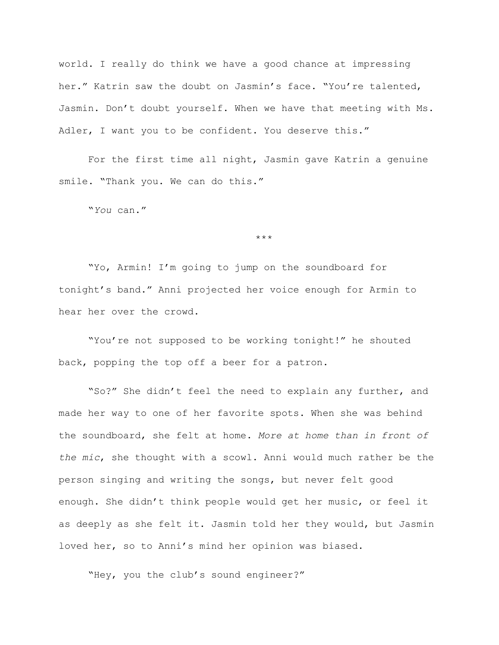world. I really do think we have a good chance at impressing her." Katrin saw the doubt on Jasmin's face. "You're talented, Jasmin. Don't doubt yourself. When we have that meeting with Ms. Adler, I want you to be confident. You deserve this."

For the first time all night, Jasmin gave Katrin a genuine smile. "Thank you. We can do this."

"*You* can."

\*\*\*

"Yo, Armin! I'm going to jump on the soundboard for tonight's band." Anni projected her voice enough for Armin to hear her over the crowd.

"You're not supposed to be working tonight!" he shouted back, popping the top off a beer for a patron.

"So?" She didn't feel the need to explain any further, and made her way to one of her favorite spots. When she was behind the soundboard, she felt at home. *More at home than in front of the mic*, she thought with a scowl. Anni would much rather be the person singing and writing the songs, but never felt good enough. She didn't think people would get her music, or feel it as deeply as she felt it. Jasmin told her they would, but Jasmin loved her, so to Anni's mind her opinion was biased.

"Hey, you the club's sound engineer?"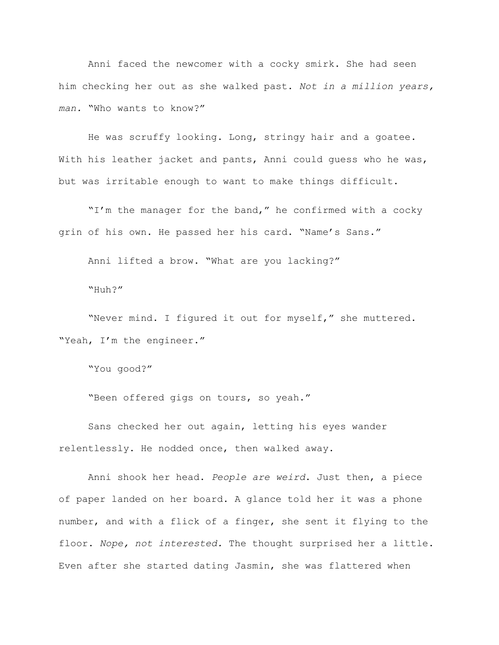Anni faced the newcomer with a cocky smirk. She had seen him checking her out as she walked past. *Not in a million years, man.* "Who wants to know?"

He was scruffy looking. Long, stringy hair and a goatee. With his leather jacket and pants, Anni could quess who he was, but was irritable enough to want to make things difficult.

"I'm the manager for the band," he confirmed with a cocky grin of his own. He passed her his card. "Name's Sans."

Anni lifted a brow. "What are you lacking?"

"Huh?"

"Never mind. I figured it out for myself," she muttered. "Yeah, I'm the engineer."

"You good?"

"Been offered gigs on tours, so yeah."

Sans checked her out again, letting his eyes wander relentlessly. He nodded once, then walked away.

Anni shook her head. *People are weird*. Just then, a piece of paper landed on her board. A glance told her it was a phone number, and with a flick of a finger, she sent it flying to the floor. *Nope, not interested.* The thought surprised her a little. Even after she started dating Jasmin, she was flattered when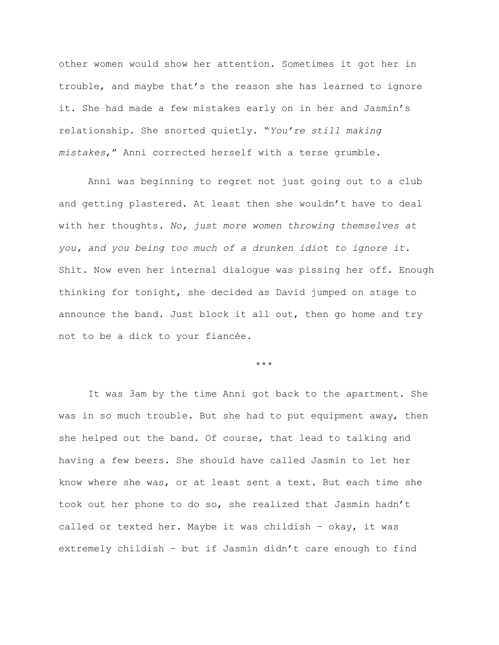other women would show her attention. Sometimes it got her in trouble, and maybe that's the reason she has learned to ignore it. She had made a few mistakes early on in her and Jasmin's relationship. She snorted quietly. "*You're still making mistakes*," Anni corrected herself with a terse grumble.

Anni was beginning to regret not just going out to a club and getting plastered. At least then she wouldn't have to deal with her thoughts. *No, just more women throwing themselves at you, and you being too much of a drunken idiot to ignore it*. Shit. Now even her internal dialogue was pissing her off. Enough thinking for tonight, she decided as David jumped on stage to announce the band. Just block it all out, then go home and try not to be a dick to your fiancée.

\*\*\*

It was 3am by the time Anni got back to the apartment. She was in so much trouble. But she had to put equipment away, then she helped out the band. Of course, that lead to talking and having a few beers. She should have called Jasmin to let her know where she was, or at least sent a text. But each time she took out her phone to do so, she realized that Jasmin hadn't called or texted her. Maybe it was childish – okay, it was extremely childish – but if Jasmin didn't care enough to find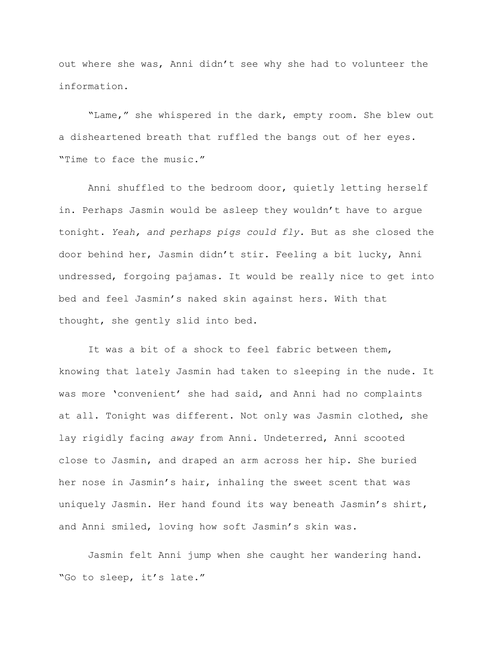out where she was, Anni didn't see why she had to volunteer the information.

"Lame," she whispered in the dark, empty room. She blew out a disheartened breath that ruffled the bangs out of her eyes. "Time to face the music."

Anni shuffled to the bedroom door, quietly letting herself in. Perhaps Jasmin would be asleep they wouldn't have to argue tonight. *Yeah, and perhaps pigs could fly.* But as she closed the door behind her, Jasmin didn't stir. Feeling a bit lucky, Anni undressed, forgoing pajamas. It would be really nice to get into bed and feel Jasmin's naked skin against hers. With that thought, she gently slid into bed.

It was a bit of a shock to feel fabric between them, knowing that lately Jasmin had taken to sleeping in the nude. It was more 'convenient' she had said, and Anni had no complaints at all. Tonight was different. Not only was Jasmin clothed, she lay rigidly facing *away* from Anni. Undeterred, Anni scooted close to Jasmin, and draped an arm across her hip. She buried her nose in Jasmin's hair, inhaling the sweet scent that was uniquely Jasmin. Her hand found its way beneath Jasmin's shirt, and Anni smiled, loving how soft Jasmin's skin was.

Jasmin felt Anni jump when she caught her wandering hand. "Go to sleep, it's late."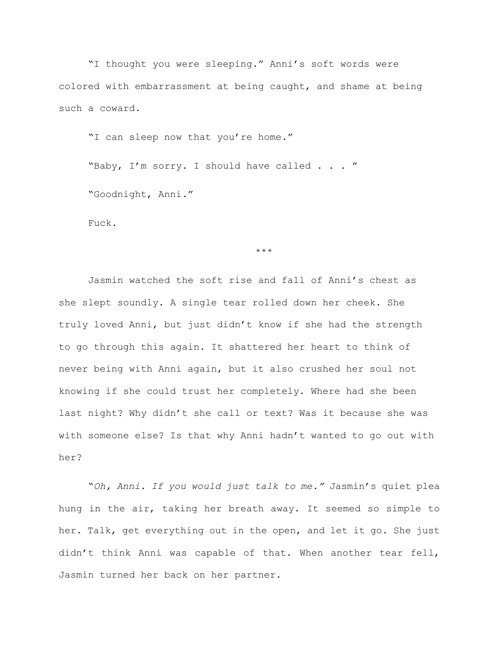"I thought you were sleeping." Anni's soft words were colored with embarrassment at being caught, and shame at being such a coward.

"I can sleep now that you're home."

"Baby, I'm sorry. I should have called . . . " "Goodnight, Anni."

Fuck.

\*\*\*

Jasmin watched the soft rise and fall of Anni's chest as she slept soundly. A single tear rolled down her cheek. She truly loved Anni, but just didn't know if she had the strength to go through this again. It shattered her heart to think of never being with Anni again, but it also crushed her soul not knowing if she could trust her completely. Where had she been last night? Why didn't she call or text? Was it because she was with someone else? Is that why Anni hadn't wanted to go out with her?

"*Oh, Anni. If you would just talk to me."* Jasmin's quiet plea hung in the air, taking her breath away. It seemed so simple to her. Talk, get everything out in the open, and let it go. She just didn't think Anni was capable of that. When another tear fell, Jasmin turned her back on her partner.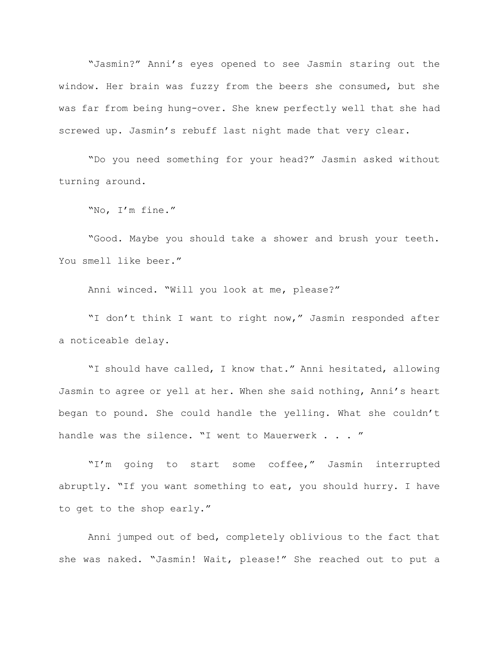"Jasmin?" Anni's eyes opened to see Jasmin staring out the window. Her brain was fuzzy from the beers she consumed, but she was far from being hung-over. She knew perfectly well that she had screwed up. Jasmin's rebuff last night made that very clear.

"Do you need something for your head?" Jasmin asked without turning around.

"No, I'm fine."

"Good. Maybe you should take a shower and brush your teeth. You smell like beer."

Anni winced. "Will you look at me, please?"

"I don't think I want to right now," Jasmin responded after a noticeable delay.

"I should have called, I know that." Anni hesitated, allowing Jasmin to agree or yell at her. When she said nothing, Anni's heart began to pound. She could handle the yelling. What she couldn't handle was the silence. "I went to Mauerwerk . . . "

"I'm going to start some coffee," Jasmin interrupted abruptly. "If you want something to eat, you should hurry. I have to get to the shop early."

Anni jumped out of bed, completely oblivious to the fact that she was naked. "Jasmin! Wait, please!" She reached out to put a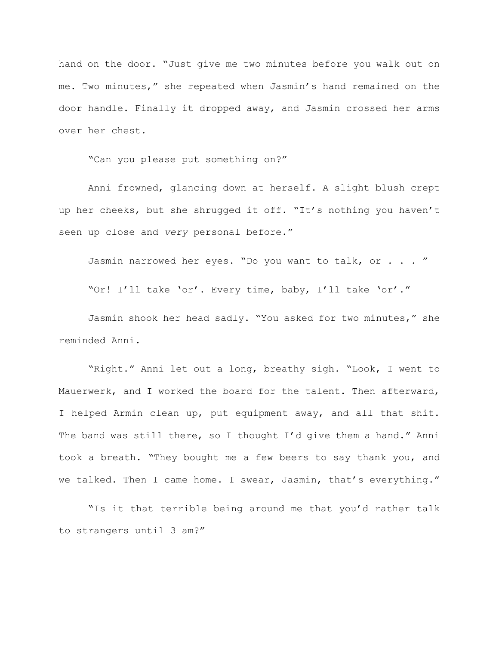hand on the door. "Just give me two minutes before you walk out on me. Two minutes," she repeated when Jasmin's hand remained on the door handle. Finally it dropped away, and Jasmin crossed her arms over her chest.

"Can you please put something on?"

Anni frowned, glancing down at herself. A slight blush crept up her cheeks, but she shrugged it off. "It's nothing you haven't seen up close and *very* personal before."

Jasmin narrowed her eyes. "Do you want to talk, or . . . "

"Or! I'll take 'or'. Every time, baby, I'll take 'or'."

Jasmin shook her head sadly. "You asked for two minutes," she reminded Anni.

"Right." Anni let out a long, breathy sigh. "Look, I went to Mauerwerk, and I worked the board for the talent. Then afterward, I helped Armin clean up, put equipment away, and all that shit. The band was still there, so I thought I'd give them a hand." Anni took a breath. "They bought me a few beers to say thank you, and we talked. Then I came home. I swear, Jasmin, that's everything."

"Is it that terrible being around me that you'd rather talk to strangers until 3 am?"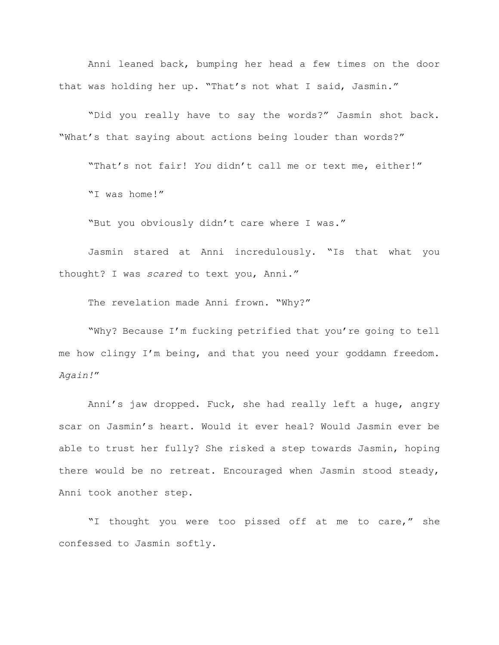Anni leaned back, bumping her head a few times on the door that was holding her up. "That's not what I said, Jasmin."

"Did you really have to say the words?" Jasmin shot back. "What's that saying about actions being louder than words?"

"That's not fair! *You* didn't call me or text me, either!"

"I was home!"

"But you obviously didn't care where I was."

Jasmin stared at Anni incredulously. "Is that what you thought? I was *scared* to text you, Anni."

The revelation made Anni frown. "Why?"

"Why? Because I'm fucking petrified that you're going to tell me how clingy I'm being, and that you need your goddamn freedom. *Again!*"

Anni's jaw dropped. Fuck, she had really left a huge, angry scar on Jasmin's heart. Would it ever heal? Would Jasmin ever be able to trust her fully? She risked a step towards Jasmin, hoping there would be no retreat. Encouraged when Jasmin stood steady, Anni took another step.

"I thought you were too pissed off at me to care," she confessed to Jasmin softly.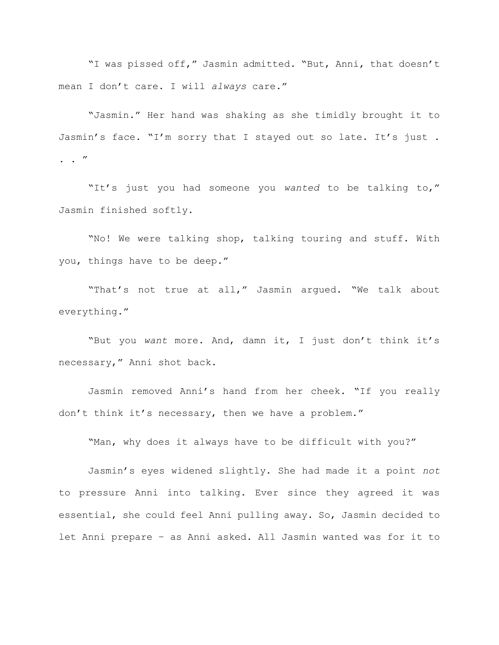"I was pissed off," Jasmin admitted. "But, Anni, that doesn't mean I don't care. I will *always* care."

"Jasmin." Her hand was shaking as she timidly brought it to Jasmin's face. "I'm sorry that I stayed out so late. It's just.  $\cdot$  . "

"It's just you had someone you *wanted* to be talking to," Jasmin finished softly.

"No! We were talking shop, talking touring and stuff. With you, things have to be deep."

"That's not true at all," Jasmin argued. "We talk about everything."

"But you *want* more. And, damn it, I just don't think it's necessary," Anni shot back.

Jasmin removed Anni's hand from her cheek. "If you really don't think it's necessary, then we have a problem."

"Man, why does it always have to be difficult with you?"

Jasmin's eyes widened slightly. She had made it a point *not* to pressure Anni into talking. Ever since they agreed it was essential, she could feel Anni pulling away. So, Jasmin decided to let Anni prepare – as Anni asked. All Jasmin wanted was for it to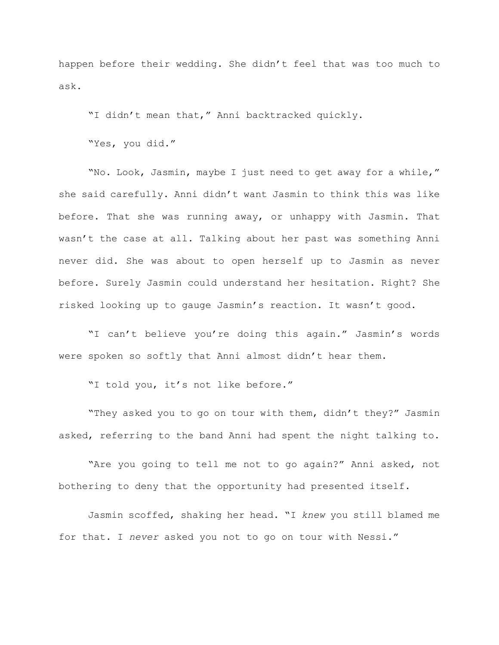happen before their wedding. She didn't feel that was too much to ask.

"I didn't mean that," Anni backtracked quickly.

"Yes, you did."

"No. Look, Jasmin, maybe I just need to get away for a while," she said carefully. Anni didn't want Jasmin to think this was like before. That she was running away, or unhappy with Jasmin. That wasn't the case at all. Talking about her past was something Anni never did. She was about to open herself up to Jasmin as never before. Surely Jasmin could understand her hesitation. Right? She risked looking up to gauge Jasmin's reaction. It wasn't good.

"I can't believe you're doing this again." Jasmin's words were spoken so softly that Anni almost didn't hear them.

"I told you, it's not like before."

"They asked you to go on tour with them, didn't they?" Jasmin asked, referring to the band Anni had spent the night talking to.

"Are you going to tell me not to go again?" Anni asked, not bothering to deny that the opportunity had presented itself.

Jasmin scoffed, shaking her head. "I *knew* you still blamed me for that. I *never* asked you not to go on tour with Nessi."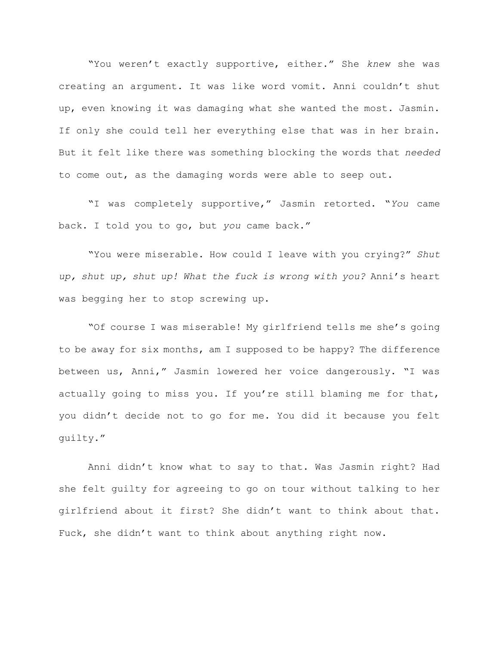"You weren't exactly supportive, either." She *knew* she was creating an argument. It was like word vomit. Anni couldn't shut up, even knowing it was damaging what she wanted the most. Jasmin. If only she could tell her everything else that was in her brain. But it felt like there was something blocking the words that *needed* to come out, as the damaging words were able to seep out.

"I was completely supportive," Jasmin retorted. "*You* came back. I told you to go, but *you* came back."

"You were miserable. How could I leave with you crying?" *Shut up, shut up, shut up! What the fuck is wrong with you?* Anni's heart was begging her to stop screwing up.

"Of course I was miserable! My girlfriend tells me she's going to be away for six months, am I supposed to be happy? The difference between us, Anni," Jasmin lowered her voice dangerously. "I was actually going to miss you. If you're still blaming me for that, you didn't decide not to go for me. You did it because you felt guilty."

Anni didn't know what to say to that. Was Jasmin right? Had she felt guilty for agreeing to go on tour without talking to her girlfriend about it first? She didn't want to think about that. Fuck, she didn't want to think about anything right now.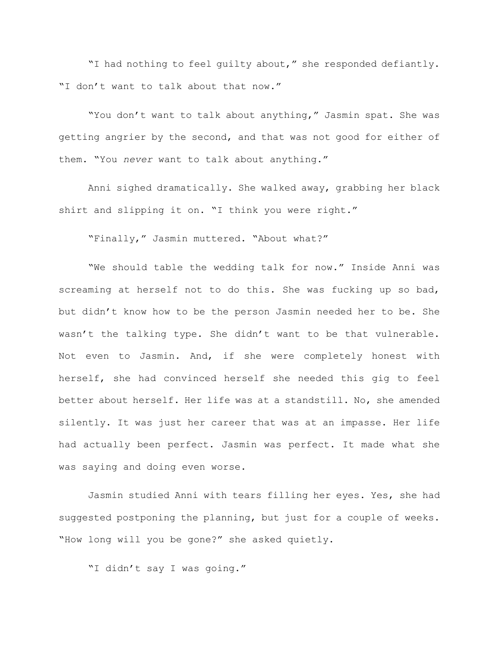"I had nothing to feel guilty about," she responded defiantly. "I don't want to talk about that now."

"You don't want to talk about anything," Jasmin spat. She was getting angrier by the second, and that was not good for either of them. "You *never* want to talk about anything."

Anni sighed dramatically. She walked away, grabbing her black shirt and slipping it on. "I think you were right."

"Finally," Jasmin muttered. "About what?"

"We should table the wedding talk for now." Inside Anni was screaming at herself not to do this. She was fucking up so bad, but didn't know how to be the person Jasmin needed her to be. She wasn't the talking type. She didn't want to be that vulnerable. Not even to Jasmin. And, if she were completely honest with herself, she had convinced herself she needed this gig to feel better about herself. Her life was at a standstill. No, she amended silently. It was just her career that was at an impasse. Her life had actually been perfect. Jasmin was perfect. It made what she was saying and doing even worse.

Jasmin studied Anni with tears filling her eyes. Yes, she had suggested postponing the planning, but just for a couple of weeks. "How long will you be gone?" she asked quietly.

"I didn't say I was going."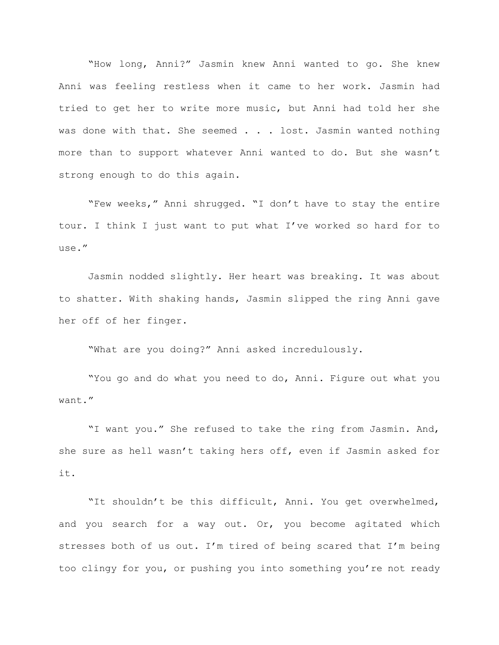"How long, Anni?" Jasmin knew Anni wanted to go. She knew Anni was feeling restless when it came to her work. Jasmin had tried to get her to write more music, but Anni had told her she was done with that. She seemed . . . lost. Jasmin wanted nothing more than to support whatever Anni wanted to do. But she wasn't strong enough to do this again.

"Few weeks," Anni shrugged. "I don't have to stay the entire tour. I think I just want to put what I've worked so hard for to use."

Jasmin nodded slightly. Her heart was breaking. It was about to shatter. With shaking hands, Jasmin slipped the ring Anni gave her off of her finger.

"What are you doing?" Anni asked incredulously.

"You go and do what you need to do, Anni. Figure out what you want."

"I want you." She refused to take the ring from Jasmin. And, she sure as hell wasn't taking hers off, even if Jasmin asked for it.

"It shouldn't be this difficult, Anni. You get overwhelmed, and you search for a way out. Or, you become agitated which stresses both of us out. I'm tired of being scared that I'm being too clingy for you, or pushing you into something you're not ready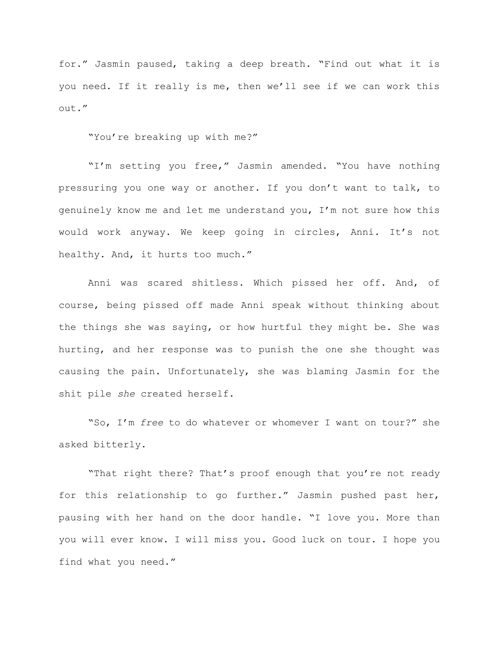for." Jasmin paused, taking a deep breath. "Find out what it is you need. If it really is me, then we'll see if we can work this out."

"You're breaking up with me?"

"I'm setting you free," Jasmin amended. "You have nothing pressuring you one way or another. If you don't want to talk, to genuinely know me and let me understand you, I'm not sure how this would work anyway. We keep going in circles, Anni. It's not healthy. And, it hurts too much."

Anni was scared shitless. Which pissed her off. And, of course, being pissed off made Anni speak without thinking about the things she was saying, or how hurtful they might be. She was hurting, and her response was to punish the one she thought was causing the pain. Unfortunately, she was blaming Jasmin for the shit pile *she* created herself.

"So, I'm *free* to do whatever or whomever I want on tour?" she asked bitterly.

"That right there? That's proof enough that you're not ready for this relationship to go further." Jasmin pushed past her, pausing with her hand on the door handle. "I love you. More than you will ever know. I will miss you. Good luck on tour. I hope you find what you need."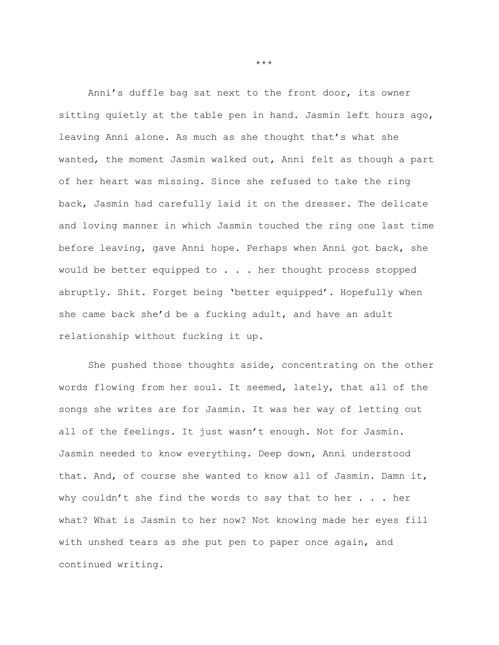Anni's duffle bag sat next to the front door, its owner sitting quietly at the table pen in hand. Jasmin left hours ago, leaving Anni alone. As much as she thought that's what she wanted, the moment Jasmin walked out, Anni felt as though a part of her heart was missing. Since she refused to take the ring back, Jasmin had carefully laid it on the dresser. The delicate and loving manner in which Jasmin touched the ring one last time before leaving, gave Anni hope. Perhaps when Anni got back, she would be better equipped to . . . her thought process stopped abruptly. Shit. Forget being 'better equipped'. Hopefully when she came back she'd be a fucking adult, and have an adult relationship without fucking it up.

She pushed those thoughts aside, concentrating on the other words flowing from her soul. It seemed, lately, that all of the songs she writes are for Jasmin. It was her way of letting out all of the feelings. It just wasn't enough. Not for Jasmin. Jasmin needed to know everything. Deep down, Anni understood that. And, of course she wanted to know all of Jasmin. Damn it, why couldn't she find the words to say that to her  $\ldots$  her what? What is Jasmin to her now? Not knowing made her eyes fill with unshed tears as she put pen to paper once again, and continued writing.

\*\*\*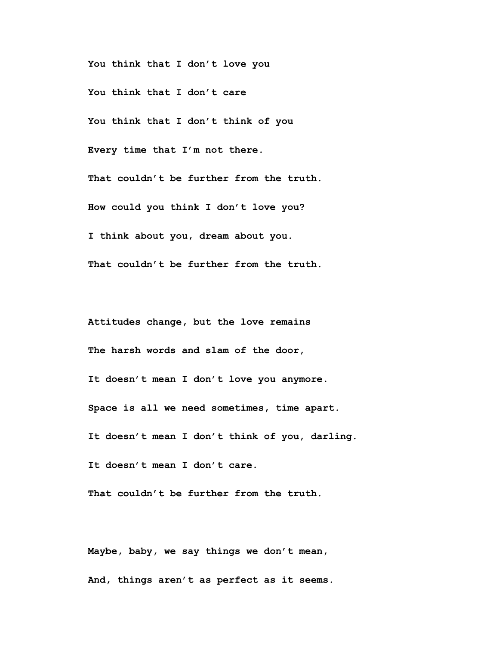**You think that I don't love you You think that I don't care You think that I don't think of you Every time that I'm not there. That couldn't be further from the truth. How could you think I don't love you? I think about you, dream about you. That couldn't be further from the truth.**

**Attitudes change, but the love remains The harsh words and slam of the door, It doesn't mean I don't love you anymore. Space is all we need sometimes, time apart. It doesn't mean I don't think of you, darling. It doesn't mean I don't care.**

**That couldn't be further from the truth.**

**Maybe, baby, we say things we don't mean, And, things aren't as perfect as it seems.**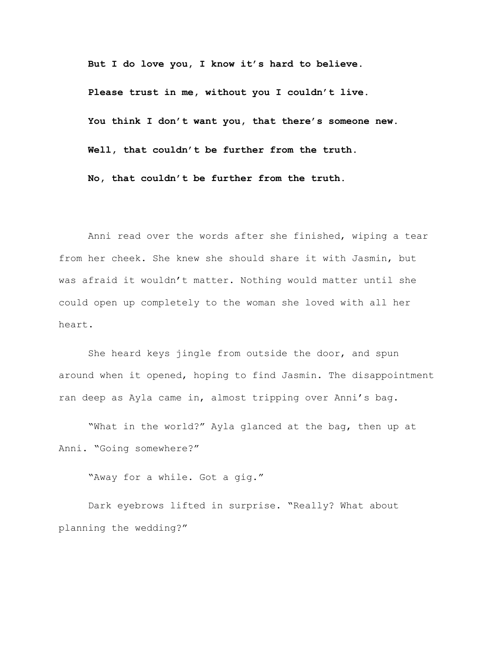**But I do love you, I know it's hard to believe. Please trust in me, without you I couldn't live. You think I don't want you, that there's someone new. Well, that couldn't be further from the truth. No, that couldn't be further from the truth.**

Anni read over the words after she finished, wiping a tear from her cheek. She knew she should share it with Jasmin, but was afraid it wouldn't matter. Nothing would matter until she could open up completely to the woman she loved with all her heart.

She heard keys jingle from outside the door, and spun around when it opened, hoping to find Jasmin. The disappointment ran deep as Ayla came in, almost tripping over Anni's bag.

"What in the world?" Ayla glanced at the bag, then up at Anni. "Going somewhere?"

"Away for a while. Got a gig."

Dark eyebrows lifted in surprise. "Really? What about planning the wedding?"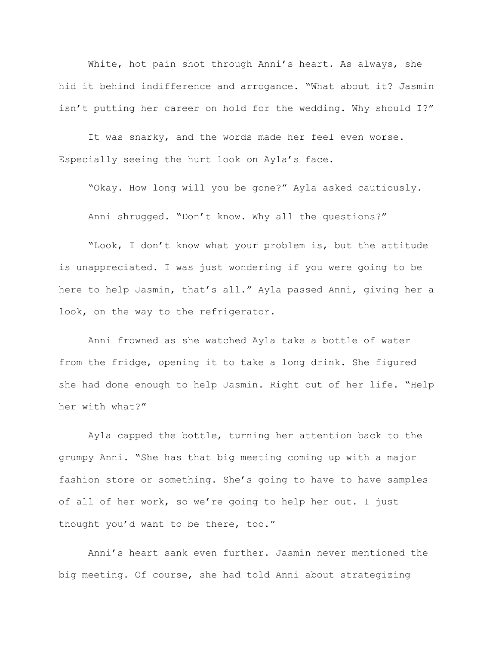White, hot pain shot through Anni's heart. As always, she hid it behind indifference and arrogance. "What about it? Jasmin isn't putting her career on hold for the wedding. Why should I?"

It was snarky, and the words made her feel even worse. Especially seeing the hurt look on Ayla's face.

"Okay. How long will you be gone?" Ayla asked cautiously. Anni shrugged. "Don't know. Why all the questions?"

"Look, I don't know what your problem is, but the attitude is unappreciated. I was just wondering if you were going to be here to help Jasmin, that's all." Ayla passed Anni, giving her a look, on the way to the refrigerator.

Anni frowned as she watched Ayla take a bottle of water from the fridge, opening it to take a long drink. She figured she had done enough to help Jasmin. Right out of her life. "Help her with what?"

Ayla capped the bottle, turning her attention back to the grumpy Anni. "She has that big meeting coming up with a major fashion store or something. She's going to have to have samples of all of her work, so we're going to help her out. I just thought you'd want to be there, too."

Anni's heart sank even further. Jasmin never mentioned the big meeting. Of course, she had told Anni about strategizing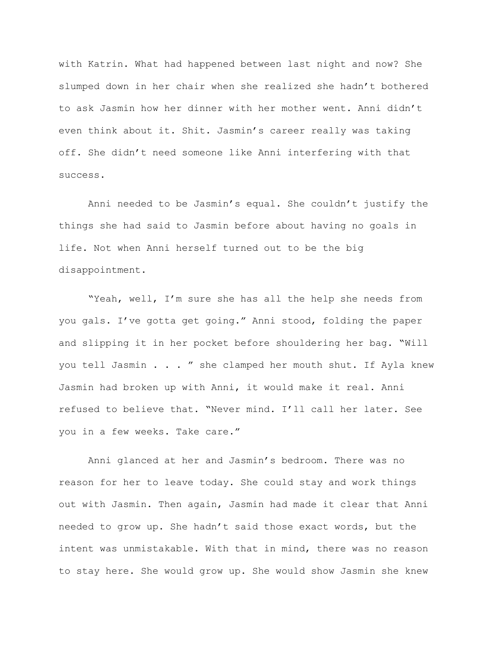with Katrin. What had happened between last night and now? She slumped down in her chair when she realized she hadn't bothered to ask Jasmin how her dinner with her mother went. Anni didn't even think about it. Shit. Jasmin's career really was taking off. She didn't need someone like Anni interfering with that success.

Anni needed to be Jasmin's equal. She couldn't justify the things she had said to Jasmin before about having no goals in life. Not when Anni herself turned out to be the big disappointment.

"Yeah, well, I'm sure she has all the help she needs from you gals. I've gotta get going." Anni stood, folding the paper and slipping it in her pocket before shouldering her bag. "Will you tell Jasmin . . . " she clamped her mouth shut. If Ayla knew Jasmin had broken up with Anni, it would make it real. Anni refused to believe that. "Never mind. I'll call her later. See you in a few weeks. Take care."

Anni glanced at her and Jasmin's bedroom. There was no reason for her to leave today. She could stay and work things out with Jasmin. Then again, Jasmin had made it clear that Anni needed to grow up. She hadn't said those exact words, but the intent was unmistakable. With that in mind, there was no reason to stay here. She would grow up. She would show Jasmin she knew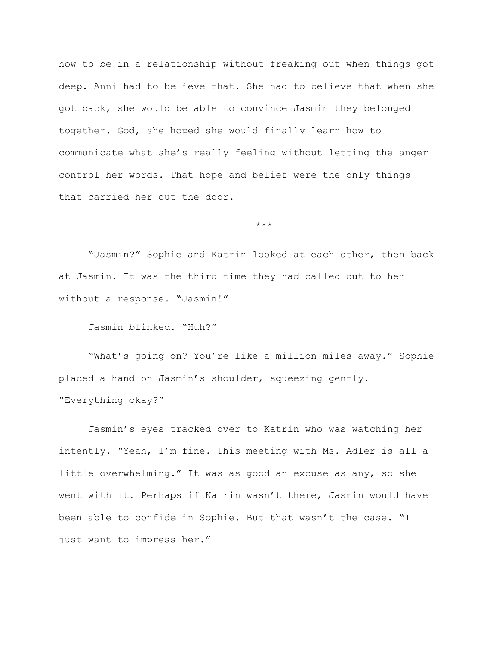how to be in a relationship without freaking out when things got deep. Anni had to believe that. She had to believe that when she got back, she would be able to convince Jasmin they belonged together. God, she hoped she would finally learn how to communicate what she's really feeling without letting the anger control her words. That hope and belief were the only things that carried her out the door.

\*\*\*

"Jasmin?" Sophie and Katrin looked at each other, then back at Jasmin. It was the third time they had called out to her without a response. "Jasmin!"

Jasmin blinked. "Huh?"

"What's going on? You're like a million miles away." Sophie placed a hand on Jasmin's shoulder, squeezing gently. "Everything okay?"

Jasmin's eyes tracked over to Katrin who was watching her intently. "Yeah, I'm fine. This meeting with Ms. Adler is all a little overwhelming." It was as good an excuse as any, so she went with it. Perhaps if Katrin wasn't there, Jasmin would have been able to confide in Sophie. But that wasn't the case. "I just want to impress her."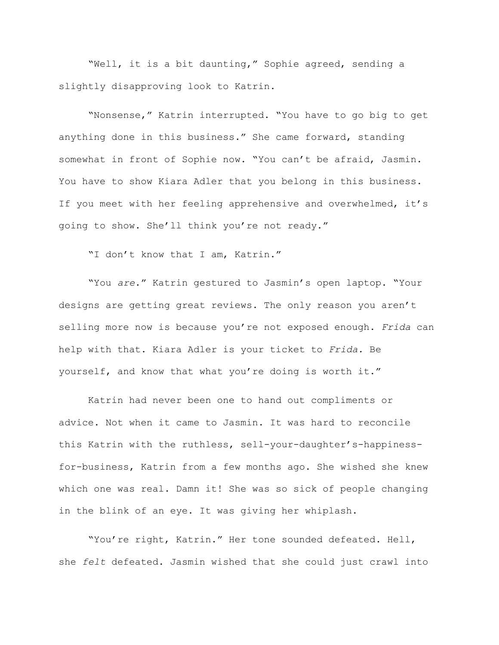"Well, it is a bit daunting," Sophie agreed, sending a slightly disapproving look to Katrin.

"Nonsense," Katrin interrupted. "You have to go big to get anything done in this business." She came forward, standing somewhat in front of Sophie now. "You can't be afraid, Jasmin. You have to show Kiara Adler that you belong in this business. If you meet with her feeling apprehensive and overwhelmed, it's going to show. She'll think you're not ready."

"I don't know that I am, Katrin."

"You *are*." Katrin gestured to Jasmin's open laptop. "Your designs are getting great reviews. The only reason you aren't selling more now is because you're not exposed enough. *Frida* can help with that. Kiara Adler is your ticket to *Frida.* Be yourself, and know that what you're doing is worth it."

Katrin had never been one to hand out compliments or advice. Not when it came to Jasmin. It was hard to reconcile this Katrin with the ruthless, sell-your-daughter's-happinessfor-business, Katrin from a few months ago. She wished she knew which one was real. Damn it! She was so sick of people changing in the blink of an eye. It was giving her whiplash.

"You're right, Katrin." Her tone sounded defeated. Hell, she *felt* defeated. Jasmin wished that she could just crawl into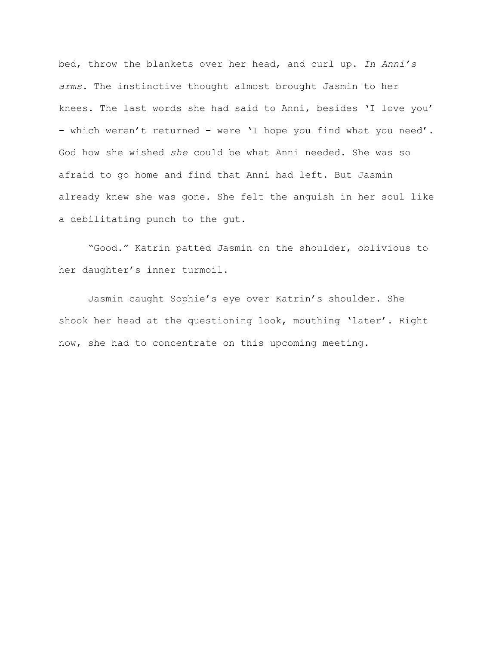bed, throw the blankets over her head, and curl up. *In Anni's arms.* The instinctive thought almost brought Jasmin to her knees. The last words she had said to Anni, besides 'I love you' – which weren't returned – were 'I hope you find what you need'. God how she wished *she* could be what Anni needed. She was so afraid to go home and find that Anni had left. But Jasmin already knew she was gone. She felt the anguish in her soul like a debilitating punch to the gut.

"Good." Katrin patted Jasmin on the shoulder, oblivious to her daughter's inner turmoil.

Jasmin caught Sophie's eye over Katrin's shoulder. She shook her head at the questioning look, mouthing 'later'. Right now, she had to concentrate on this upcoming meeting.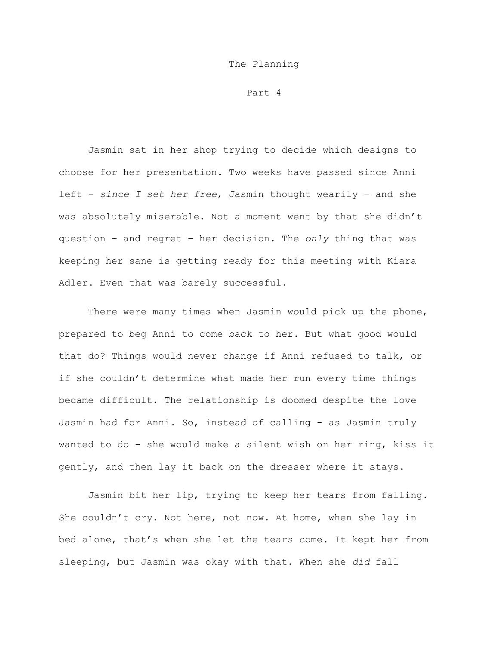## The Planning

Part 4

Jasmin sat in her shop trying to decide which designs to choose for her presentation. Two weeks have passed since Anni left - *since I set her free*, Jasmin thought wearily – and she was absolutely miserable. Not a moment went by that she didn't question – and regret – her decision. The *only* thing that was keeping her sane is getting ready for this meeting with Kiara Adler. Even that was barely successful.

There were many times when Jasmin would pick up the phone, prepared to beg Anni to come back to her. But what good would that do? Things would never change if Anni refused to talk, or if she couldn't determine what made her run every time things became difficult. The relationship is doomed despite the love Jasmin had for Anni. So, instead of calling - as Jasmin truly wanted to do - she would make a silent wish on her ring, kiss it gently, and then lay it back on the dresser where it stays.

Jasmin bit her lip, trying to keep her tears from falling. She couldn't cry. Not here, not now. At home, when she lay in bed alone, that's when she let the tears come. It kept her from sleeping, but Jasmin was okay with that. When she *did* fall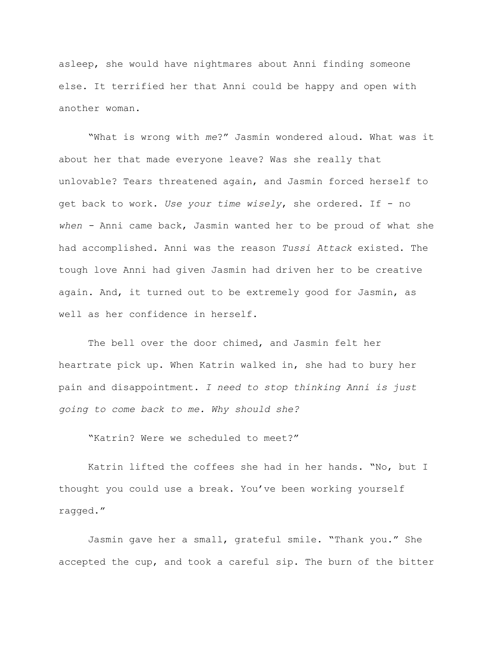asleep, she would have nightmares about Anni finding someone else. It terrified her that Anni could be happy and open with another woman.

"What is wrong with *me*?" Jasmin wondered aloud. What was it about her that made everyone leave? Was she really that unlovable? Tears threatened again, and Jasmin forced herself to get back to work. *Use your time wisely*, she ordered. If - no *when -* Anni came back, Jasmin wanted her to be proud of what she had accomplished. Anni was the reason *Tussi Attack* existed. The tough love Anni had given Jasmin had driven her to be creative again. And, it turned out to be extremely good for Jasmin, as well as her confidence in herself.

The bell over the door chimed, and Jasmin felt her heartrate pick up. When Katrin walked in, she had to bury her pain and disappointment. *I need to stop thinking Anni is just going to come back to me. Why should she?*

"Katrin? Were we scheduled to meet?"

Katrin lifted the coffees she had in her hands. "No, but I thought you could use a break. You've been working yourself ragged."

Jasmin gave her a small, grateful smile. "Thank you." She accepted the cup, and took a careful sip. The burn of the bitter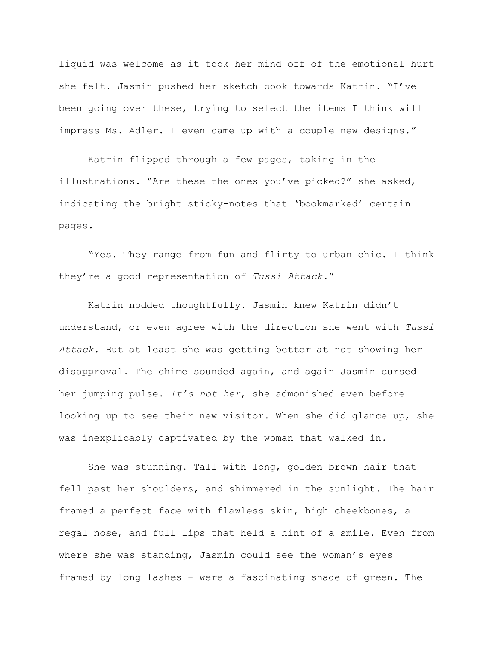liquid was welcome as it took her mind off of the emotional hurt she felt. Jasmin pushed her sketch book towards Katrin. "I've been going over these, trying to select the items I think will impress Ms. Adler. I even came up with a couple new designs."

Katrin flipped through a few pages, taking in the illustrations. "Are these the ones you've picked?" she asked, indicating the bright sticky-notes that 'bookmarked' certain pages.

"Yes. They range from fun and flirty to urban chic. I think they're a good representation of *Tussi Attack*."

Katrin nodded thoughtfully. Jasmin knew Katrin didn't understand, or even agree with the direction she went with *Tussi Attack*. But at least she was getting better at not showing her disapproval. The chime sounded again, and again Jasmin cursed her jumping pulse. *It's not her*, she admonished even before looking up to see their new visitor. When she did glance up, she was inexplicably captivated by the woman that walked in.

She was stunning. Tall with long, golden brown hair that fell past her shoulders, and shimmered in the sunlight. The hair framed a perfect face with flawless skin, high cheekbones, a regal nose, and full lips that held a hint of a smile. Even from where she was standing, Jasmin could see the woman's eyes – framed by long lashes - were a fascinating shade of green. The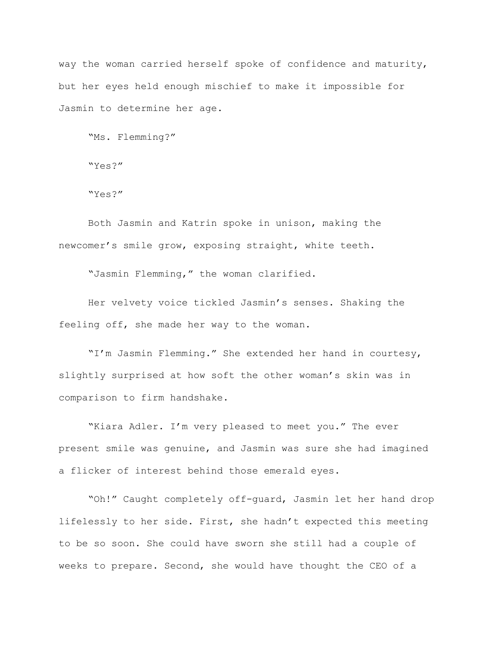way the woman carried herself spoke of confidence and maturity, but her eyes held enough mischief to make it impossible for Jasmin to determine her age.

"Ms. Flemming?"

"Yes?"

"Yes?"

Both Jasmin and Katrin spoke in unison, making the newcomer's smile grow, exposing straight, white teeth.

"Jasmin Flemming," the woman clarified.

Her velvety voice tickled Jasmin's senses. Shaking the feeling off, she made her way to the woman.

"I'm Jasmin Flemming." She extended her hand in courtesy, slightly surprised at how soft the other woman's skin was in comparison to firm handshake.

"Kiara Adler. I'm very pleased to meet you." The ever present smile was genuine, and Jasmin was sure she had imagined a flicker of interest behind those emerald eyes.

"Oh!" Caught completely off-guard, Jasmin let her hand drop lifelessly to her side. First, she hadn't expected this meeting to be so soon. She could have sworn she still had a couple of weeks to prepare. Second, she would have thought the CEO of a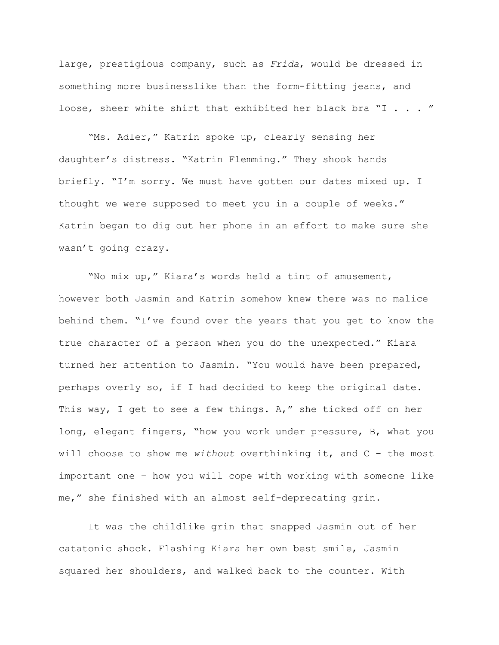large, prestigious company, such as *Frida*, would be dressed in something more businesslike than the form-fitting jeans, and loose, sheer white shirt that exhibited her black bra "I . . . "

"Ms. Adler," Katrin spoke up, clearly sensing her daughter's distress. "Katrin Flemming." They shook hands briefly. "I'm sorry. We must have gotten our dates mixed up. I thought we were supposed to meet you in a couple of weeks." Katrin began to dig out her phone in an effort to make sure she wasn't going crazy.

"No mix up," Kiara's words held a tint of amusement, however both Jasmin and Katrin somehow knew there was no malice behind them. "I've found over the years that you get to know the true character of a person when you do the unexpected." Kiara turned her attention to Jasmin. "You would have been prepared, perhaps overly so, if I had decided to keep the original date. This way, I get to see a few things. A," she ticked off on her long, elegant fingers, "how you work under pressure, B, what you will choose to show me *without* overthinking it, and C – the most important one – how you will cope with working with someone like me," she finished with an almost self-deprecating grin.

It was the childlike grin that snapped Jasmin out of her catatonic shock. Flashing Kiara her own best smile, Jasmin squared her shoulders, and walked back to the counter. With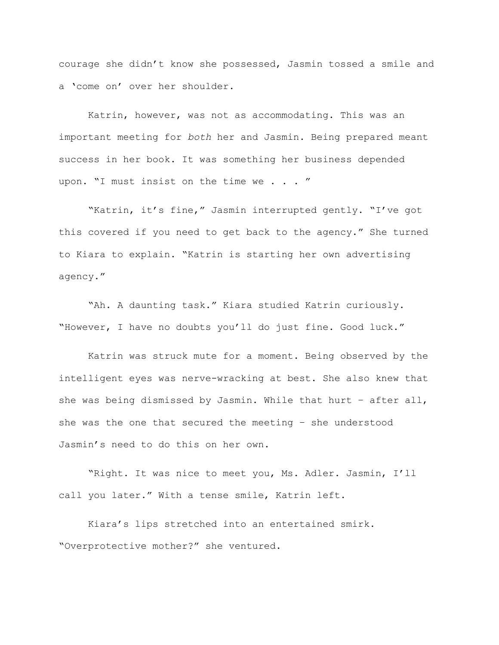courage she didn't know she possessed, Jasmin tossed a smile and a 'come on' over her shoulder.

Katrin, however, was not as accommodating. This was an important meeting for *both* her and Jasmin. Being prepared meant success in her book. It was something her business depended upon. "I must insist on the time we . . . "

"Katrin, it's fine," Jasmin interrupted gently. "I've got this covered if you need to get back to the agency." She turned to Kiara to explain. "Katrin is starting her own advertising agency."

"Ah. A daunting task." Kiara studied Katrin curiously. "However, I have no doubts you'll do just fine. Good luck."

Katrin was struck mute for a moment. Being observed by the intelligent eyes was nerve-wracking at best. She also knew that she was being dismissed by Jasmin. While that hurt – after all, she was the one that secured the meeting – she understood Jasmin's need to do this on her own.

"Right. It was nice to meet you, Ms. Adler. Jasmin, I'll call you later." With a tense smile, Katrin left.

Kiara's lips stretched into an entertained smirk. "Overprotective mother?" she ventured.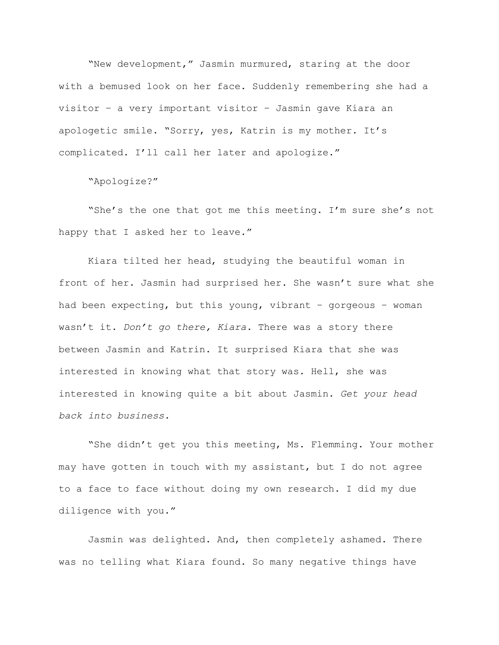"New development," Jasmin murmured, staring at the door with a bemused look on her face. Suddenly remembering she had a visitor – a very important visitor – Jasmin gave Kiara an apologetic smile. "Sorry, yes, Katrin is my mother. It's complicated. I'll call her later and apologize."

"Apologize?"

"She's the one that got me this meeting. I'm sure she's not happy that I asked her to leave."

Kiara tilted her head, studying the beautiful woman in front of her. Jasmin had surprised her. She wasn't sure what she had been expecting, but this young, vibrant – gorgeous – woman wasn't it. *Don't go there, Kiara.* There was a story there between Jasmin and Katrin. It surprised Kiara that she was interested in knowing what that story was. Hell, she was interested in knowing quite a bit about Jasmin. *Get your head back into business.*

"She didn't get you this meeting, Ms. Flemming. Your mother may have gotten in touch with my assistant, but I do not agree to a face to face without doing my own research. I did my due diligence with you."

Jasmin was delighted. And, then completely ashamed. There was no telling what Kiara found. So many negative things have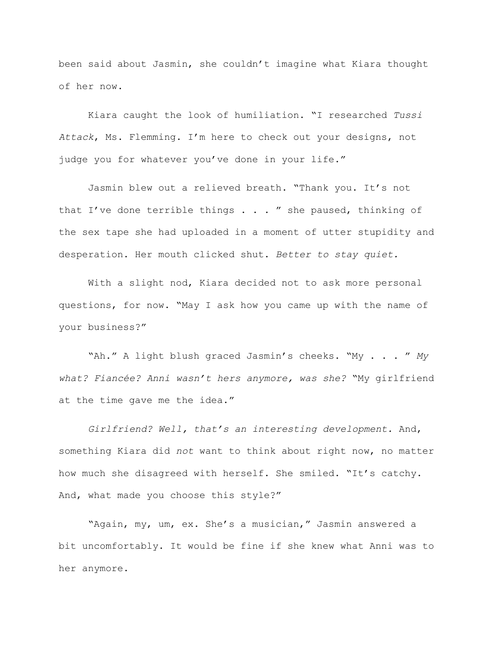been said about Jasmin, she couldn't imagine what Kiara thought of her now.

Kiara caught the look of humiliation. "I researched *Tussi Attack*, Ms. Flemming. I'm here to check out your designs, not judge you for whatever you've done in your life."

Jasmin blew out a relieved breath. "Thank you. It's not that I've done terrible things . . . " she paused, thinking of the sex tape she had uploaded in a moment of utter stupidity and desperation. Her mouth clicked shut. *Better to stay quiet.*

With a slight nod, Kiara decided not to ask more personal questions, for now. "May I ask how you came up with the name of your business?"

"Ah." A light blush graced Jasmin's cheeks. "My . . . " *My what? Fiancée? Anni wasn't hers anymore, was she?* "My girlfriend at the time gave me the idea."

*Girlfriend? Well, that's an interesting development.* And, something Kiara did *not* want to think about right now, no matter how much she disagreed with herself. She smiled. "It's catchy. And, what made you choose this style?"

"Again, my, um, ex. She's a musician," Jasmin answered a bit uncomfortably. It would be fine if she knew what Anni was to her anymore.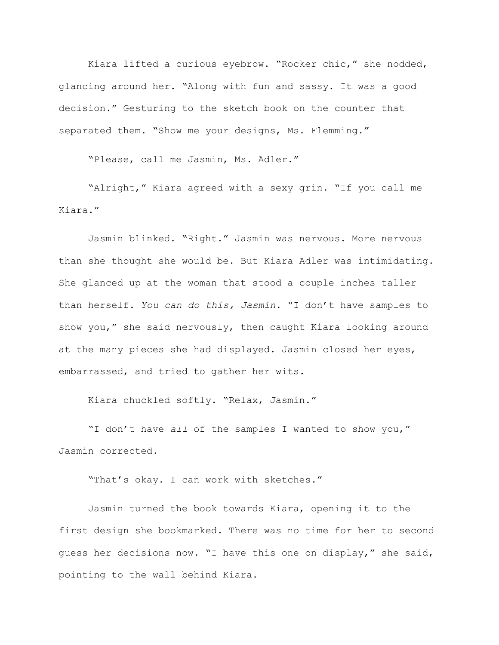Kiara lifted a curious eyebrow. "Rocker chic," she nodded, glancing around her. "Along with fun and sassy. It was a good decision." Gesturing to the sketch book on the counter that separated them. "Show me your designs, Ms. Flemming."

"Please, call me Jasmin, Ms. Adler."

"Alright," Kiara agreed with a sexy grin. "If you call me Kiara."

Jasmin blinked. "Right." Jasmin was nervous. More nervous than she thought she would be. But Kiara Adler was intimidating. She glanced up at the woman that stood a couple inches taller than herself. *You can do this, Jasmin.* "I don't have samples to show you," she said nervously, then caught Kiara looking around at the many pieces she had displayed. Jasmin closed her eyes, embarrassed, and tried to gather her wits.

Kiara chuckled softly. "Relax, Jasmin."

"I don't have *all* of the samples I wanted to show you," Jasmin corrected.

"That's okay. I can work with sketches."

Jasmin turned the book towards Kiara, opening it to the first design she bookmarked. There was no time for her to second guess her decisions now. "I have this one on display," she said, pointing to the wall behind Kiara.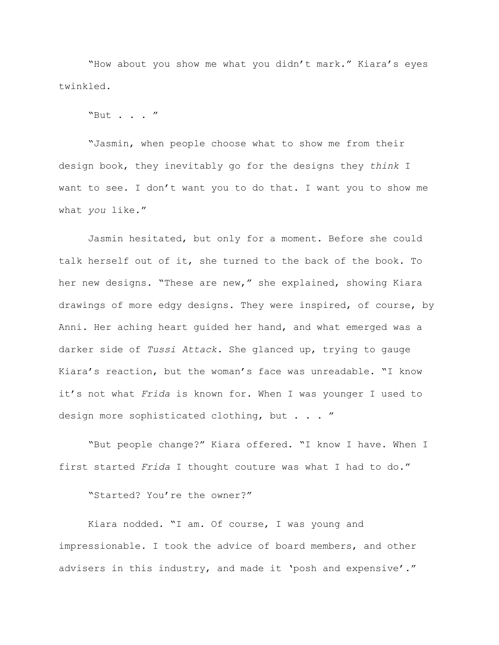"How about you show me what you didn't mark." Kiara's eyes twinkled.

"But . . . "

"Jasmin, when people choose what to show me from their design book, they inevitably go for the designs they *think* I want to see. I don't want you to do that. I want you to show me what *you* like."

Jasmin hesitated, but only for a moment. Before she could talk herself out of it, she turned to the back of the book. To her new designs. "These are new," she explained, showing Kiara drawings of more edgy designs. They were inspired, of course, by Anni. Her aching heart guided her hand, and what emerged was a darker side of *Tussi Attack*. She glanced up, trying to gauge Kiara's reaction, but the woman's face was unreadable. "I know it's not what *Frida* is known for. When I was younger I used to design more sophisticated clothing, but . . . "

"But people change?" Kiara offered. "I know I have. When I first started *Frida* I thought couture was what I had to do."

"Started? You're the owner?"

Kiara nodded. "I am. Of course, I was young and impressionable. I took the advice of board members, and other advisers in this industry, and made it 'posh and expensive'."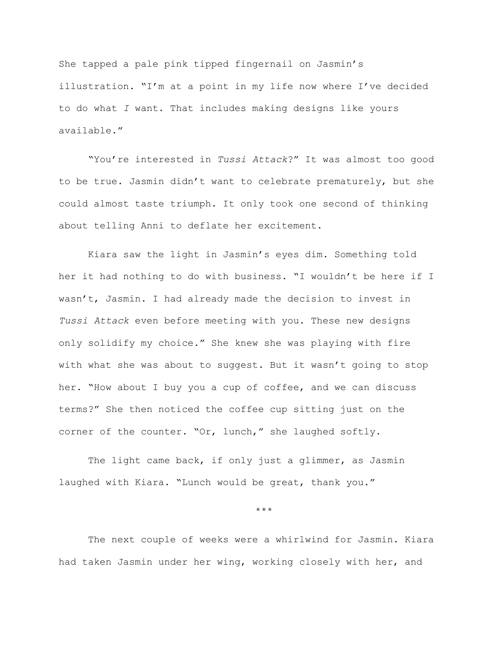She tapped a pale pink tipped fingernail on Jasmin's illustration. "I'm at a point in my life now where I've decided to do what *I* want. That includes making designs like yours available."

"You're interested in *Tussi Attack*?" It was almost too good to be true. Jasmin didn't want to celebrate prematurely, but she could almost taste triumph. It only took one second of thinking about telling Anni to deflate her excitement.

Kiara saw the light in Jasmin's eyes dim. Something told her it had nothing to do with business. "I wouldn't be here if I wasn't, Jasmin. I had already made the decision to invest in *Tussi Attack* even before meeting with you. These new designs only solidify my choice." She knew she was playing with fire with what she was about to suggest. But it wasn't going to stop her. "How about I buy you a cup of coffee, and we can discuss terms?" She then noticed the coffee cup sitting just on the corner of the counter. "Or, lunch," she laughed softly.

The light came back, if only just a glimmer, as Jasmin laughed with Kiara. "Lunch would be great, thank you."

\*\*\*

The next couple of weeks were a whirlwind for Jasmin. Kiara had taken Jasmin under her wing, working closely with her, and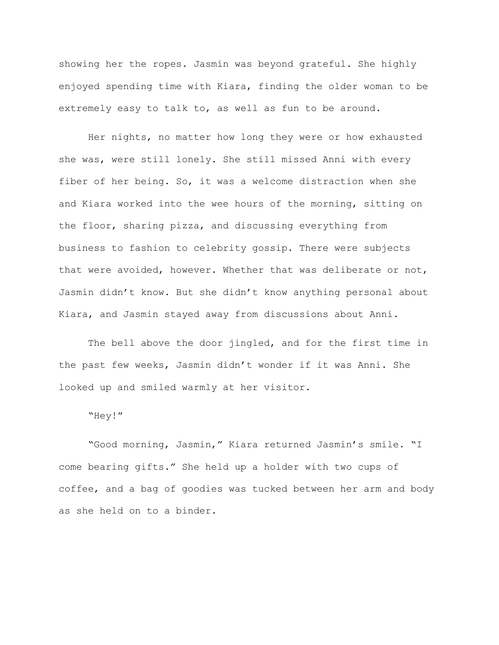showing her the ropes. Jasmin was beyond grateful. She highly enjoyed spending time with Kiara, finding the older woman to be extremely easy to talk to, as well as fun to be around.

Her nights, no matter how long they were or how exhausted she was, were still lonely. She still missed Anni with every fiber of her being. So, it was a welcome distraction when she and Kiara worked into the wee hours of the morning, sitting on the floor, sharing pizza, and discussing everything from business to fashion to celebrity gossip. There were subjects that were avoided, however. Whether that was deliberate or not, Jasmin didn't know. But she didn't know anything personal about Kiara, and Jasmin stayed away from discussions about Anni.

The bell above the door jingled, and for the first time in the past few weeks, Jasmin didn't wonder if it was Anni. She looked up and smiled warmly at her visitor.

"Hey!"

"Good morning, Jasmin," Kiara returned Jasmin's smile. "I come bearing gifts." She held up a holder with two cups of coffee, and a bag of goodies was tucked between her arm and body as she held on to a binder.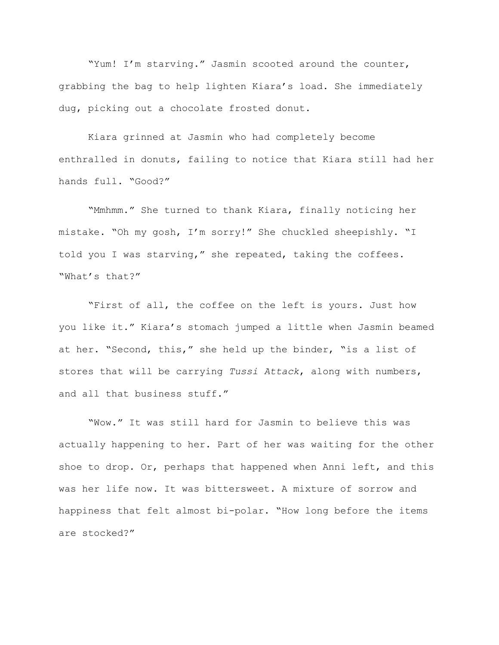"Yum! I'm starving." Jasmin scooted around the counter, grabbing the bag to help lighten Kiara's load. She immediately dug, picking out a chocolate frosted donut.

Kiara grinned at Jasmin who had completely become enthralled in donuts, failing to notice that Kiara still had her hands full. "Good?"

"Mmhmm." She turned to thank Kiara, finally noticing her mistake. "Oh my gosh, I'm sorry!" She chuckled sheepishly. "I told you I was starving," she repeated, taking the coffees. "What's that?"

"First of all, the coffee on the left is yours. Just how you like it." Kiara's stomach jumped a little when Jasmin beamed at her. "Second, this," she held up the binder, "is a list of stores that will be carrying *Tussi Attack*, along with numbers, and all that business stuff."

"Wow." It was still hard for Jasmin to believe this was actually happening to her. Part of her was waiting for the other shoe to drop. Or, perhaps that happened when Anni left, and this was her life now. It was bittersweet. A mixture of sorrow and happiness that felt almost bi-polar. "How long before the items are stocked?"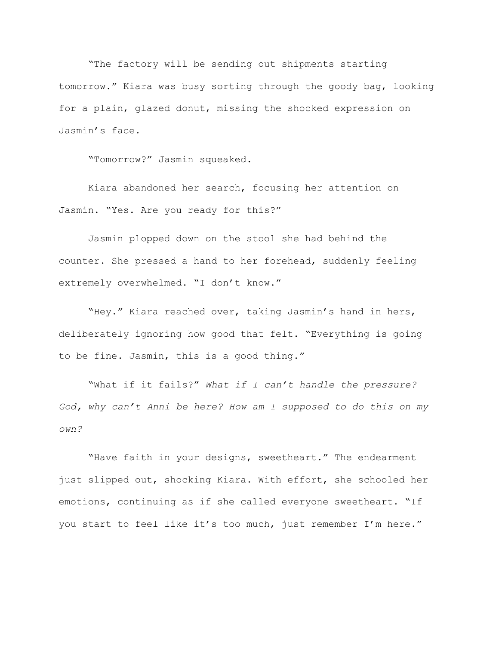"The factory will be sending out shipments starting tomorrow." Kiara was busy sorting through the goody bag, looking for a plain, glazed donut, missing the shocked expression on Jasmin's face.

"Tomorrow?" Jasmin squeaked.

Kiara abandoned her search, focusing her attention on Jasmin. "Yes. Are you ready for this?"

Jasmin plopped down on the stool she had behind the counter. She pressed a hand to her forehead, suddenly feeling extremely overwhelmed. "I don't know."

"Hey." Kiara reached over, taking Jasmin's hand in hers, deliberately ignoring how good that felt. "Everything is going to be fine. Jasmin, this is a good thing."

"What if it fails?" *What if I can't handle the pressure? God, why can't Anni be here? How am I supposed to do this on my own?*

"Have faith in your designs, sweetheart." The endearment just slipped out, shocking Kiara. With effort, she schooled her emotions, continuing as if she called everyone sweetheart. "If you start to feel like it's too much, just remember I'm here."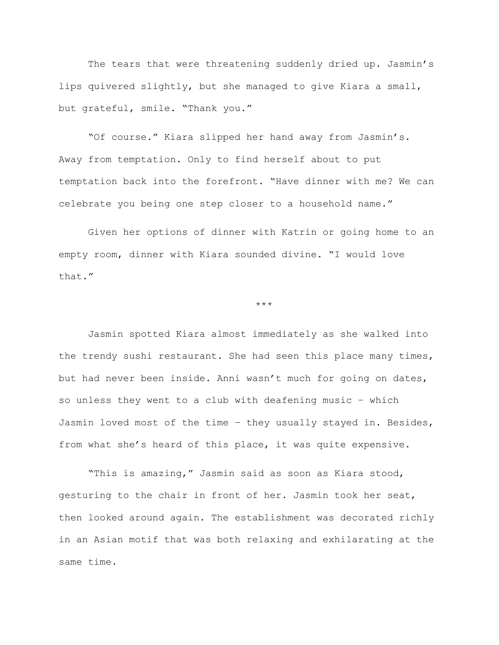The tears that were threatening suddenly dried up. Jasmin's lips quivered slightly, but she managed to give Kiara a small, but grateful, smile. "Thank you."

"Of course." Kiara slipped her hand away from Jasmin's. Away from temptation. Only to find herself about to put temptation back into the forefront. "Have dinner with me? We can celebrate you being one step closer to a household name."

Given her options of dinner with Katrin or going home to an empty room, dinner with Kiara sounded divine. "I would love that."

## \*\*\*

Jasmin spotted Kiara almost immediately as she walked into the trendy sushi restaurant. She had seen this place many times, but had never been inside. Anni wasn't much for going on dates, so unless they went to a club with deafening music – which Jasmin loved most of the time – they usually stayed in. Besides, from what she's heard of this place, it was quite expensive.

"This is amazing," Jasmin said as soon as Kiara stood, gesturing to the chair in front of her. Jasmin took her seat, then looked around again. The establishment was decorated richly in an Asian motif that was both relaxing and exhilarating at the same time.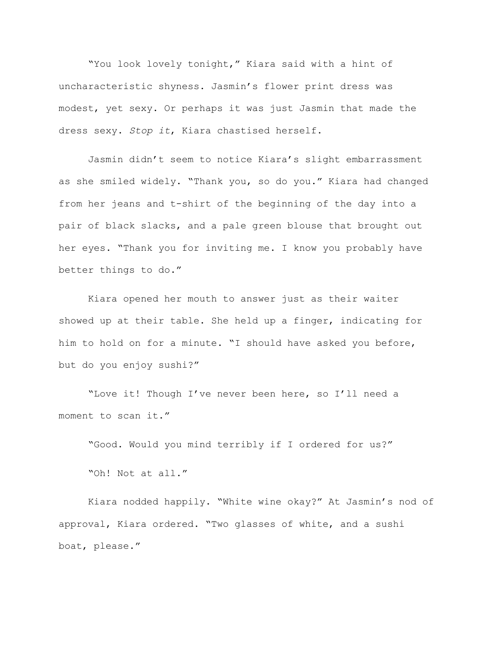"You look lovely tonight," Kiara said with a hint of uncharacteristic shyness. Jasmin's flower print dress was modest, yet sexy. Or perhaps it was just Jasmin that made the dress sexy. *Stop it*, Kiara chastised herself.

Jasmin didn't seem to notice Kiara's slight embarrassment as she smiled widely. "Thank you, so do you." Kiara had changed from her jeans and t-shirt of the beginning of the day into a pair of black slacks, and a pale green blouse that brought out her eyes. "Thank you for inviting me. I know you probably have better things to do."

Kiara opened her mouth to answer just as their waiter showed up at their table. She held up a finger, indicating for him to hold on for a minute. "I should have asked you before, but do you enjoy sushi?"

"Love it! Though I've never been here, so I'll need a moment to scan it."

"Good. Would you mind terribly if I ordered for us?"

"Oh! Not at all."

Kiara nodded happily. "White wine okay?" At Jasmin's nod of approval, Kiara ordered. "Two glasses of white, and a sushi boat, please."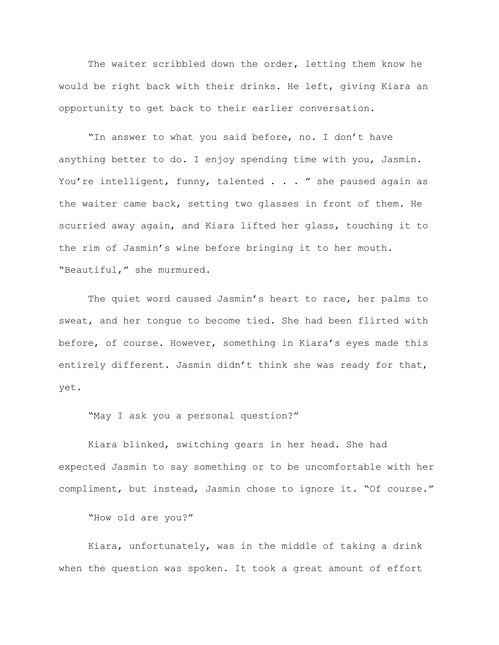The waiter scribbled down the order, letting them know he would be right back with their drinks. He left, giving Kiara an opportunity to get back to their earlier conversation.

"In answer to what you said before, no. I don't have anything better to do. I enjoy spending time with you, Jasmin. You're intelligent, funny, talented . . . " she paused again as the waiter came back, setting two glasses in front of them. He scurried away again, and Kiara lifted her glass, touching it to the rim of Jasmin's wine before bringing it to her mouth. "Beautiful," she murmured.

The quiet word caused Jasmin's heart to race, her palms to sweat, and her tongue to become tied. She had been flirted with before, of course. However, something in Kiara's eyes made this entirely different. Jasmin didn't think she was ready for that, yet.

"May I ask you a personal question?"

Kiara blinked, switching gears in her head. She had expected Jasmin to say something or to be uncomfortable with her compliment, but instead, Jasmin chose to ignore it. "Of course."

"How old are you?"

Kiara, unfortunately, was in the middle of taking a drink when the question was spoken. It took a great amount of effort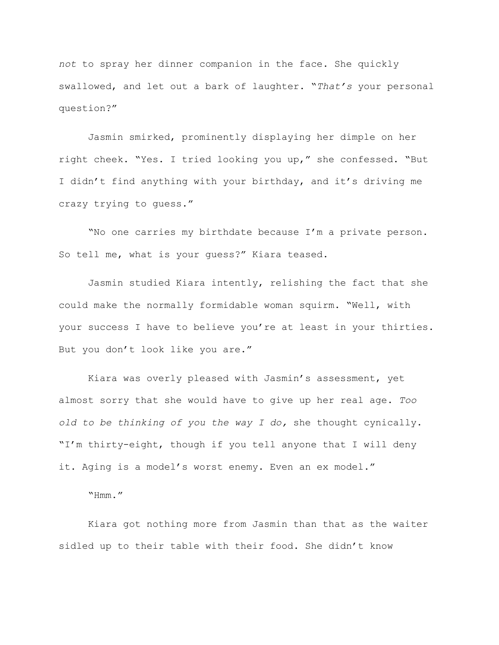*not* to spray her dinner companion in the face. She quickly swallowed, and let out a bark of laughter. "*That's* your personal question?"

Jasmin smirked, prominently displaying her dimple on her right cheek. "Yes. I tried looking you up," she confessed. "But I didn't find anything with your birthday, and it's driving me crazy trying to guess."

"No one carries my birthdate because I'm a private person. So tell me, what is your guess?" Kiara teased.

Jasmin studied Kiara intently, relishing the fact that she could make the normally formidable woman squirm. "Well, with your success I have to believe you're at least in your thirties. But you don't look like you are."

Kiara was overly pleased with Jasmin's assessment, yet almost sorry that she would have to give up her real age. *Too old to be thinking of you the way I do,* she thought cynically. "I'm thirty-eight, though if you tell anyone that I will deny it. Aging is a model's worst enemy. Even an ex model."

"Hmm."

Kiara got nothing more from Jasmin than that as the waiter sidled up to their table with their food. She didn't know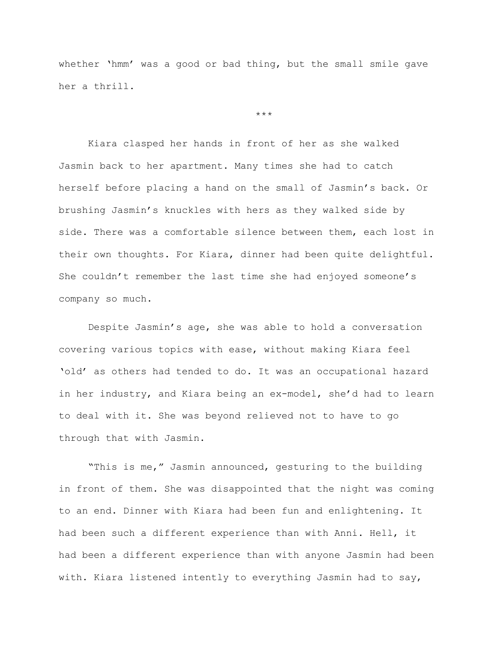whether 'hmm' was a good or bad thing, but the small smile gave her a thrill.

\*\*\*

Kiara clasped her hands in front of her as she walked Jasmin back to her apartment. Many times she had to catch herself before placing a hand on the small of Jasmin's back. Or brushing Jasmin's knuckles with hers as they walked side by side. There was a comfortable silence between them, each lost in their own thoughts. For Kiara, dinner had been quite delightful. She couldn't remember the last time she had enjoyed someone's company so much.

Despite Jasmin's age, she was able to hold a conversation covering various topics with ease, without making Kiara feel 'old' as others had tended to do. It was an occupational hazard in her industry, and Kiara being an ex-model, she'd had to learn to deal with it. She was beyond relieved not to have to go through that with Jasmin.

"This is me," Jasmin announced, gesturing to the building in front of them. She was disappointed that the night was coming to an end. Dinner with Kiara had been fun and enlightening. It had been such a different experience than with Anni. Hell, it had been a different experience than with anyone Jasmin had been with. Kiara listened intently to everything Jasmin had to say,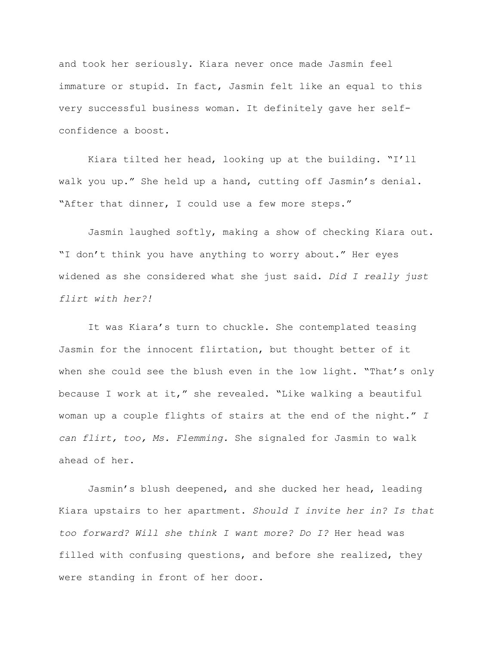and took her seriously. Kiara never once made Jasmin feel immature or stupid. In fact, Jasmin felt like an equal to this very successful business woman. It definitely gave her selfconfidence a boost.

Kiara tilted her head, looking up at the building. "I'll walk you up." She held up a hand, cutting off Jasmin's denial. "After that dinner, I could use a few more steps."

Jasmin laughed softly, making a show of checking Kiara out. "I don't think you have anything to worry about." Her eyes widened as she considered what she just said. *Did I really just flirt with her?!*

It was Kiara's turn to chuckle. She contemplated teasing Jasmin for the innocent flirtation, but thought better of it when she could see the blush even in the low light. "That's only because I work at it," she revealed. "Like walking a beautiful woman up a couple flights of stairs at the end of the night." *I can flirt, too, Ms. Flemming.* She signaled for Jasmin to walk ahead of her.

Jasmin's blush deepened, and she ducked her head, leading Kiara upstairs to her apartment. *Should I invite her in? Is that too forward? Will she think I want more? Do I?* Her head was filled with confusing questions, and before she realized, they were standing in front of her door.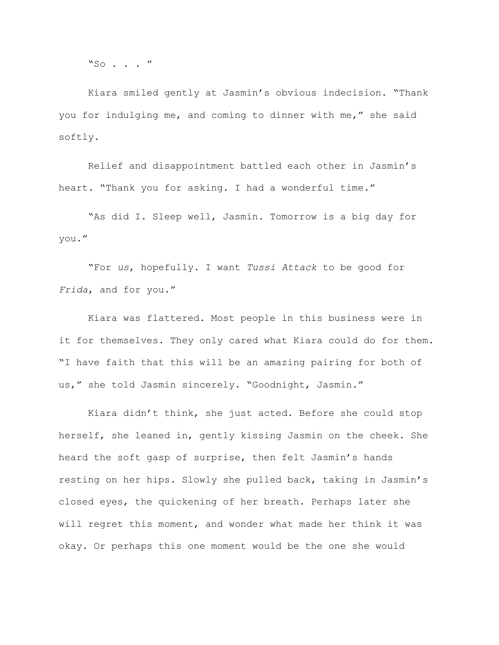"So . . . "

Kiara smiled gently at Jasmin's obvious indecision. "Thank you for indulging me, and coming to dinner with me," she said softly.

Relief and disappointment battled each other in Jasmin's heart. "Thank you for asking. I had a wonderful time."

"As did I. Sleep well, Jasmin. Tomorrow is a big day for you."

"For *us*, hopefully. I want *Tussi Attack* to be good for *Frida*, and for you."

Kiara was flattered. Most people in this business were in it for themselves. They only cared what Kiara could do for them. "I have faith that this will be an amazing pairing for both of us," she told Jasmin sincerely. "Goodnight, Jasmin."

Kiara didn't think, she just acted. Before she could stop herself, she leaned in, gently kissing Jasmin on the cheek. She heard the soft gasp of surprise, then felt Jasmin's hands resting on her hips. Slowly she pulled back, taking in Jasmin's closed eyes, the quickening of her breath. Perhaps later she will regret this moment, and wonder what made her think it was okay. Or perhaps this one moment would be the one she would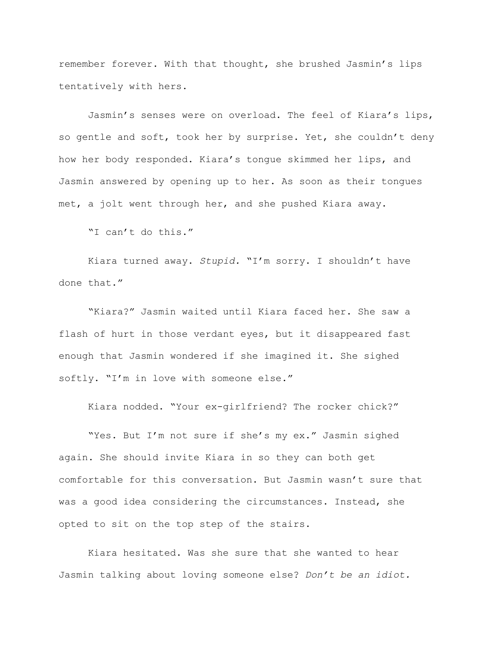remember forever. With that thought, she brushed Jasmin's lips tentatively with hers.

Jasmin's senses were on overload. The feel of Kiara's lips, so gentle and soft, took her by surprise. Yet, she couldn't deny how her body responded. Kiara's tongue skimmed her lips, and Jasmin answered by opening up to her. As soon as their tongues met, a jolt went through her, and she pushed Kiara away.

"I can't do this."

Kiara turned away. *Stupid.* "I'm sorry. I shouldn't have done that."

"Kiara?" Jasmin waited until Kiara faced her. She saw a flash of hurt in those verdant eyes, but it disappeared fast enough that Jasmin wondered if she imagined it. She sighed softly. "I'm in love with someone else."

Kiara nodded. "Your ex-girlfriend? The rocker chick?"

"Yes. But I'm not sure if she's my ex." Jasmin sighed again. She should invite Kiara in so they can both get comfortable for this conversation. But Jasmin wasn't sure that was a good idea considering the circumstances. Instead, she opted to sit on the top step of the stairs.

Kiara hesitated. Was she sure that she wanted to hear Jasmin talking about loving someone else? *Don't be an idiot.*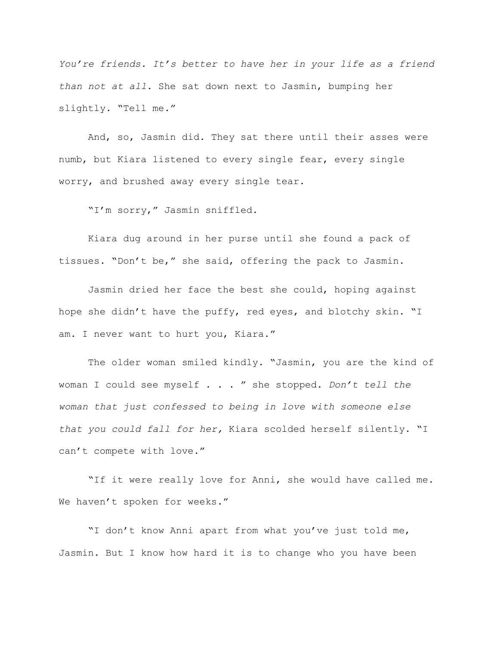*You're friends. It's better to have her in your life as a friend than not at all.* She sat down next to Jasmin, bumping her slightly. "Tell me."

And, so, Jasmin did. They sat there until their asses were numb, but Kiara listened to every single fear, every single worry, and brushed away every single tear.

"I'm sorry," Jasmin sniffled.

Kiara dug around in her purse until she found a pack of tissues. "Don't be," she said, offering the pack to Jasmin.

Jasmin dried her face the best she could, hoping against hope she didn't have the puffy, red eyes, and blotchy skin. "I am. I never want to hurt you, Kiara."

The older woman smiled kindly. "Jasmin, you are the kind of woman I could see myself . . . " she stopped. *Don't tell the woman that just confessed to being in love with someone else that you could fall for her,* Kiara scolded herself silently. "I can't compete with love."

"If it were really love for Anni, she would have called me. We haven't spoken for weeks."

"I don't know Anni apart from what you've just told me, Jasmin. But I know how hard it is to change who you have been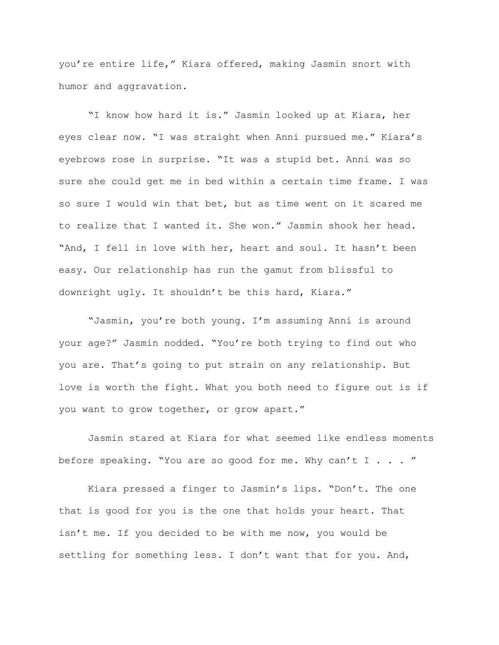you're entire life," Kiara offered, making Jasmin snort with humor and aggravation.

"I know how hard it is." Jasmin looked up at Kiara, her eyes clear now. "I was straight when Anni pursued me." Kiara's eyebrows rose in surprise. "It was a stupid bet. Anni was so sure she could get me in bed within a certain time frame. I was so sure I would win that bet, but as time went on it scared me to realize that I wanted it. She won." Jasmin shook her head. "And, I fell in love with her, heart and soul. It hasn't been easy. Our relationship has run the gamut from blissful to downright ugly. It shouldn't be this hard, Kiara."

"Jasmin, you're both young. I'm assuming Anni is around your age?" Jasmin nodded. "You're both trying to find out who you are. That's going to put strain on any relationship. But love is worth the fight. What you both need to figure out is if you want to grow together, or grow apart."

Jasmin stared at Kiara for what seemed like endless moments before speaking. "You are so good for me. Why can't I  $\ldots$  "

Kiara pressed a finger to Jasmin's lips. "Don't. The one that is good for you is the one that holds your heart. That isn't me. If you decided to be with me now, you would be settling for something less. I don't want that for you. And,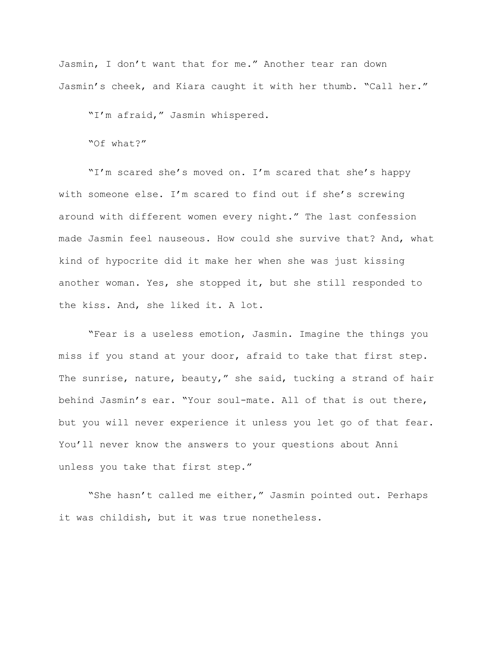Jasmin, I don't want that for me." Another tear ran down Jasmin's cheek, and Kiara caught it with her thumb. "Call her."

"I'm afraid," Jasmin whispered.

"Of what?"

"I'm scared she's moved on. I'm scared that she's happy with someone else. I'm scared to find out if she's screwing around with different women every night." The last confession made Jasmin feel nauseous. How could she survive that? And, what kind of hypocrite did it make her when she was just kissing another woman. Yes, she stopped it, but she still responded to the kiss. And, she liked it. A lot.

"Fear is a useless emotion, Jasmin. Imagine the things you miss if you stand at your door, afraid to take that first step. The sunrise, nature, beauty," she said, tucking a strand of hair behind Jasmin's ear. "Your soul-mate. All of that is out there, but you will never experience it unless you let go of that fear. You'll never know the answers to your questions about Anni unless you take that first step."

"She hasn't called me either," Jasmin pointed out. Perhaps it was childish, but it was true nonetheless.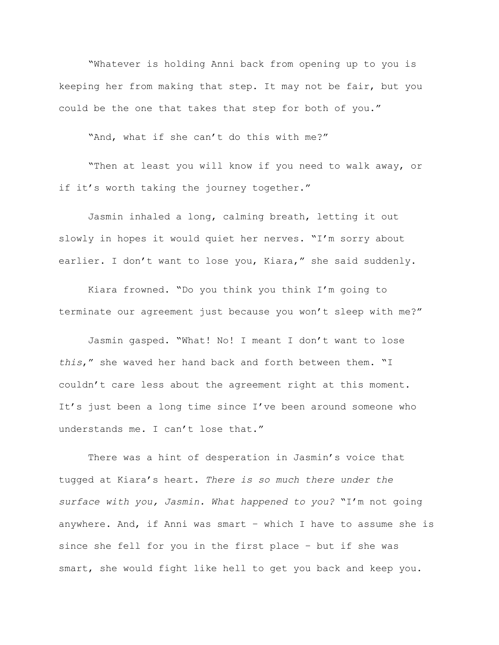"Whatever is holding Anni back from opening up to you is keeping her from making that step. It may not be fair, but you could be the one that takes that step for both of you."

"And, what if she can't do this with me?"

"Then at least you will know if you need to walk away, or if it's worth taking the journey together."

Jasmin inhaled a long, calming breath, letting it out slowly in hopes it would quiet her nerves. "I'm sorry about earlier. I don't want to lose you, Kiara," she said suddenly.

Kiara frowned. "Do you think you think I'm going to terminate our agreement just because you won't sleep with me?"

Jasmin gasped. "What! No! I meant I don't want to lose *this*," she waved her hand back and forth between them. "I couldn't care less about the agreement right at this moment. It's just been a long time since I've been around someone who understands me. I can't lose that."

There was a hint of desperation in Jasmin's voice that tugged at Kiara's heart. *There is so much there under the surface with you, Jasmin. What happened to you?* "I'm not going anywhere. And, if Anni was smart – which I have to assume she is since she fell for you in the first place – but if she was smart, she would fight like hell to get you back and keep you.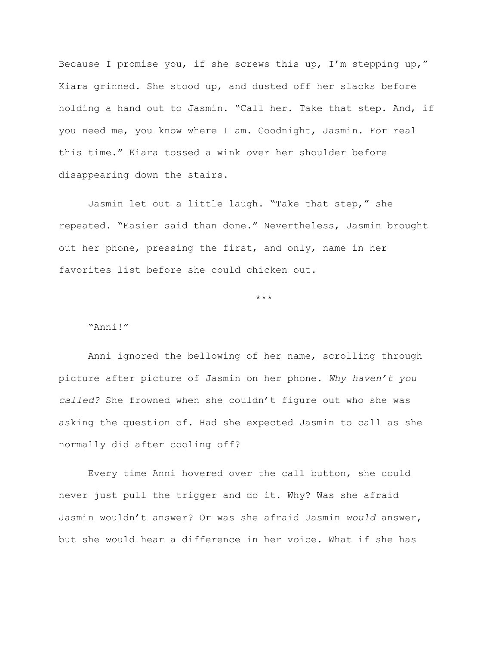Because I promise you, if she screws this up, I'm stepping up," Kiara grinned. She stood up, and dusted off her slacks before holding a hand out to Jasmin. "Call her. Take that step. And, if you need me, you know where I am. Goodnight, Jasmin. For real this time." Kiara tossed a wink over her shoulder before disappearing down the stairs.

Jasmin let out a little laugh. "Take that step," she repeated. "Easier said than done." Nevertheless, Jasmin brought out her phone, pressing the first, and only, name in her favorites list before she could chicken out.

\*\*\*

## "Anni!"

Anni ignored the bellowing of her name, scrolling through picture after picture of Jasmin on her phone. *Why haven't you called?* She frowned when she couldn't figure out who she was asking the question of. Had she expected Jasmin to call as she normally did after cooling off?

Every time Anni hovered over the call button, she could never just pull the trigger and do it. Why? Was she afraid Jasmin wouldn't answer? Or was she afraid Jasmin *would* answer, but she would hear a difference in her voice. What if she has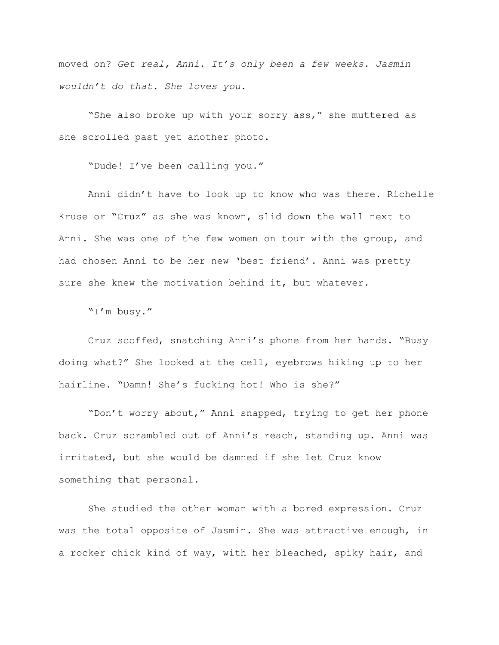moved on? *Get real, Anni. It's only been a few weeks. Jasmin wouldn't do that. She loves you.*

"She also broke up with your sorry ass," she muttered as she scrolled past yet another photo.

"Dude! I've been calling you."

Anni didn't have to look up to know who was there. Richelle Kruse or "Cruz" as she was known, slid down the wall next to Anni. She was one of the few women on tour with the group, and had chosen Anni to be her new 'best friend'. Anni was pretty sure she knew the motivation behind it, but whatever.

"I'm busy."

Cruz scoffed, snatching Anni's phone from her hands. "Busy doing what?" She looked at the cell, eyebrows hiking up to her hairline. "Damn! She's fucking hot! Who is she?"

"Don't worry about," Anni snapped, trying to get her phone back. Cruz scrambled out of Anni's reach, standing up. Anni was irritated, but she would be damned if she let Cruz know something that personal.

She studied the other woman with a bored expression. Cruz was the total opposite of Jasmin. She was attractive enough, in a rocker chick kind of way, with her bleached, spiky hair, and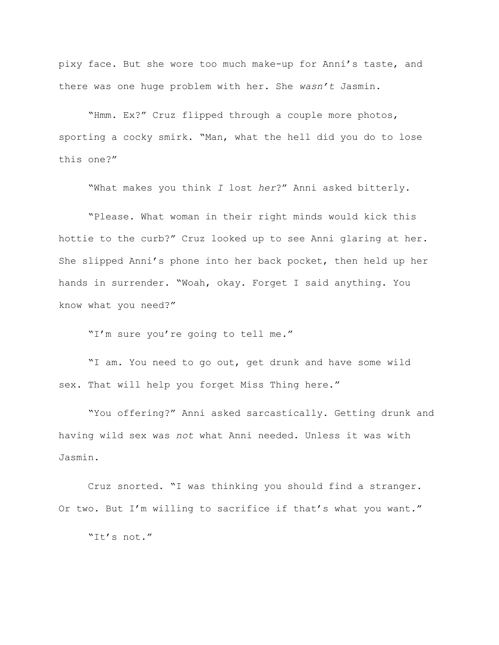pixy face. But she wore too much make-up for Anni's taste, and there was one huge problem with her. She *wasn't* Jasmin.

"Hmm. Ex?" Cruz flipped through a couple more photos, sporting a cocky smirk. "Man, what the hell did you do to lose this one?"

"What makes you think *I* lost *her*?" Anni asked bitterly.

"Please. What woman in their right minds would kick this hottie to the curb?" Cruz looked up to see Anni glaring at her. She slipped Anni's phone into her back pocket, then held up her hands in surrender. "Woah, okay. Forget I said anything. You know what you need?"

"I'm sure you're going to tell me."

"I am. You need to go out, get drunk and have some wild sex. That will help you forget Miss Thing here."

"You offering?" Anni asked sarcastically. Getting drunk and having wild sex was *not* what Anni needed. Unless it was with Jasmin.

Cruz snorted. "I was thinking you should find a stranger. Or two. But I'm willing to sacrifice if that's what you want."

"It's not."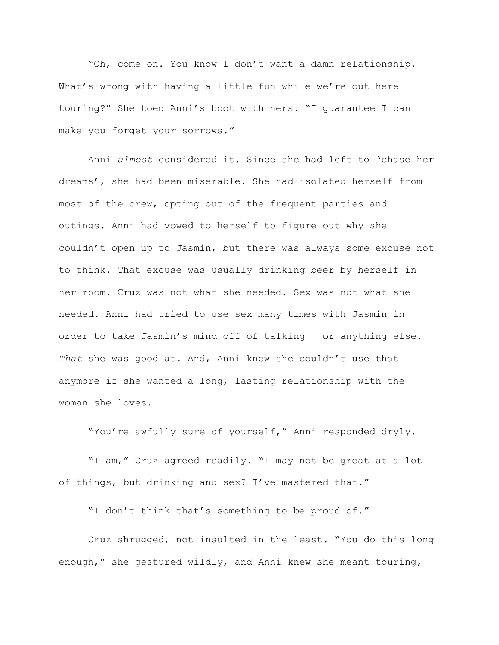"Oh, come on. You know I don't want a damn relationship. What's wrong with having a little fun while we're out here touring?" She toed Anni's boot with hers. "I guarantee I can make you forget your sorrows."

Anni *almost* considered it. Since she had left to 'chase her dreams', she had been miserable. She had isolated herself from most of the crew, opting out of the frequent parties and outings. Anni had vowed to herself to figure out why she couldn't open up to Jasmin, but there was always some excuse not to think. That excuse was usually drinking beer by herself in her room. Cruz was not what she needed. Sex was not what she needed. Anni had tried to use sex many times with Jasmin in order to take Jasmin's mind off of talking – or anything else. *That* she was good at. And, Anni knew she couldn't use that anymore if she wanted a long, lasting relationship with the woman she loves.

"You're awfully sure of yourself," Anni responded dryly.

"I am," Cruz agreed readily. "I may not be great at a lot of things, but drinking and sex? I've mastered that."

"I don't think that's something to be proud of."

Cruz shrugged, not insulted in the least. "You do this long enough," she gestured wildly, and Anni knew she meant touring,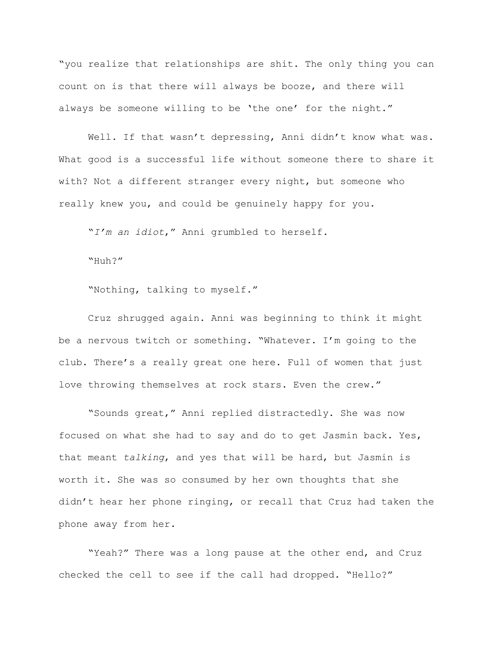"you realize that relationships are shit. The only thing you can count on is that there will always be booze, and there will always be someone willing to be 'the one' for the night."

Well. If that wasn't depressing, Anni didn't know what was. What good is a successful life without someone there to share it with? Not a different stranger every night, but someone who really knew you, and could be genuinely happy for you.

"*I'm an idiot*," Anni grumbled to herself.

"Huh?"

"Nothing, talking to myself."

Cruz shrugged again. Anni was beginning to think it might be a nervous twitch or something. "Whatever. I'm going to the club. There's a really great one here. Full of women that just love throwing themselves at rock stars. Even the crew."

"Sounds great," Anni replied distractedly. She was now focused on what she had to say and do to get Jasmin back. Yes, that meant *talking*, and yes that will be hard, but Jasmin is worth it. She was so consumed by her own thoughts that she didn't hear her phone ringing, or recall that Cruz had taken the phone away from her.

"Yeah?" There was a long pause at the other end, and Cruz checked the cell to see if the call had dropped. "Hello?"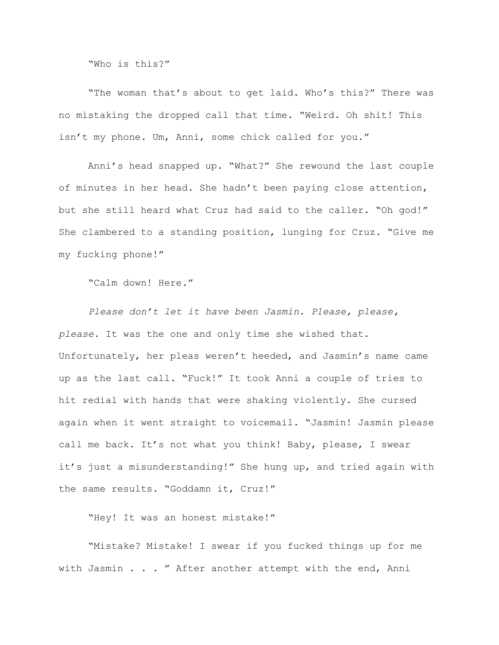"Who is this?"

"The woman that's about to get laid. Who's this?" There was no mistaking the dropped call that time. "Weird. Oh shit! This isn't my phone. Um, Anni, some chick called for you."

Anni's head snapped up. "What?" She rewound the last couple of minutes in her head. She hadn't been paying close attention, but she still heard what Cruz had said to the caller. "Oh god!" She clambered to a standing position, lunging for Cruz. "Give me my fucking phone!"

"Calm down! Here."

*Please don't let it have been Jasmin. Please, please, please.* It was the one and only time she wished that. Unfortunately, her pleas weren't heeded, and Jasmin's name came up as the last call. "Fuck!" It took Anni a couple of tries to hit redial with hands that were shaking violently. She cursed again when it went straight to voicemail. "Jasmin! Jasmin please call me back. It's not what you think! Baby, please, I swear it's just a misunderstanding!" She hung up, and tried again with the same results. "Goddamn it, Cruz!"

"Hey! It was an honest mistake!"

"Mistake? Mistake! I swear if you fucked things up for me with Jasmin . . . " After another attempt with the end, Anni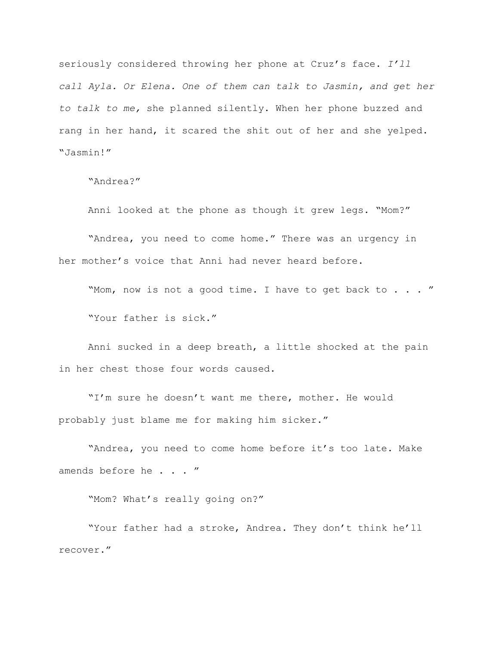seriously considered throwing her phone at Cruz's face. *I'll call Ayla. Or Elena. One of them can talk to Jasmin, and get her to talk to me,* she planned silently. When her phone buzzed and rang in her hand, it scared the shit out of her and she yelped. "Jasmin!"

"Andrea?"

Anni looked at the phone as though it grew legs. "Mom?"

"Andrea, you need to come home." There was an urgency in her mother's voice that Anni had never heard before.

"Mom, now is not a good time. I have to get back to . . . " "Your father is sick."

Anni sucked in a deep breath, a little shocked at the pain in her chest those four words caused.

"I'm sure he doesn't want me there, mother. He would probably just blame me for making him sicker."

"Andrea, you need to come home before it's too late. Make amends before he . . . "

"Mom? What's really going on?"

"Your father had a stroke, Andrea. They don't think he'll recover."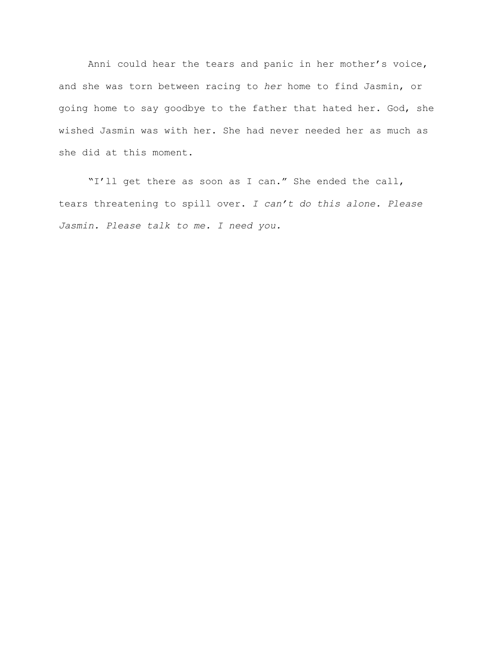Anni could hear the tears and panic in her mother's voice, and she was torn between racing to *her* home to find Jasmin, or going home to say goodbye to the father that hated her. God, she wished Jasmin was with her. She had never needed her as much as she did at this moment.

"I'll get there as soon as I can." She ended the call, tears threatening to spill over. *I can't do this alone. Please Jasmin. Please talk to me. I need you.*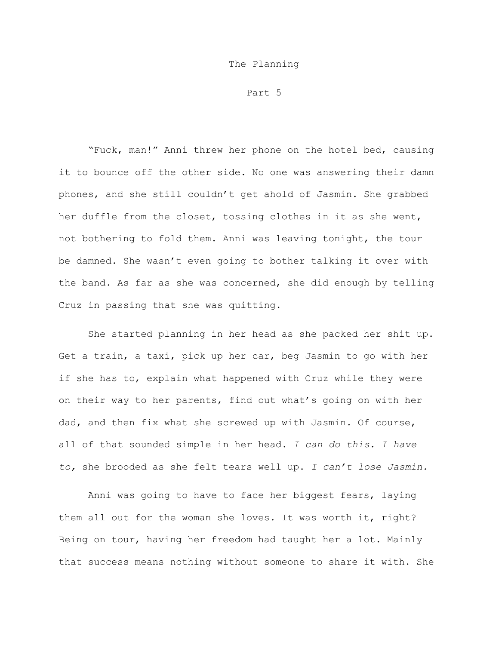## The Planning

Part 5

"Fuck, man!" Anni threw her phone on the hotel bed, causing it to bounce off the other side. No one was answering their damn phones, and she still couldn't get ahold of Jasmin. She grabbed her duffle from the closet, tossing clothes in it as she went, not bothering to fold them. Anni was leaving tonight, the tour be damned. She wasn't even going to bother talking it over with the band. As far as she was concerned, she did enough by telling Cruz in passing that she was quitting.

She started planning in her head as she packed her shit up. Get a train, a taxi, pick up her car, beg Jasmin to go with her if she has to, explain what happened with Cruz while they were on their way to her parents, find out what's going on with her dad, and then fix what she screwed up with Jasmin. Of course, all of that sounded simple in her head. *I can do this. I have to,* she brooded as she felt tears well up. *I can't lose Jasmin.*

Anni was going to have to face her biggest fears, laying them all out for the woman she loves. It was worth it, right? Being on tour, having her freedom had taught her a lot. Mainly that success means nothing without someone to share it with. She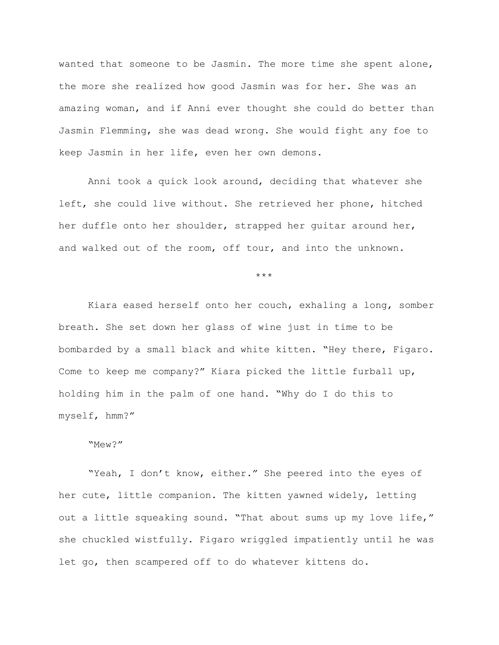wanted that someone to be Jasmin. The more time she spent alone, the more she realized how good Jasmin was for her. She was an amazing woman, and if Anni ever thought she could do better than Jasmin Flemming, she was dead wrong. She would fight any foe to keep Jasmin in her life, even her own demons.

Anni took a quick look around, deciding that whatever she left, she could live without. She retrieved her phone, hitched her duffle onto her shoulder, strapped her guitar around her, and walked out of the room, off tour, and into the unknown.

\*\*\*

Kiara eased herself onto her couch, exhaling a long, somber breath. She set down her glass of wine just in time to be bombarded by a small black and white kitten. "Hey there, Figaro. Come to keep me company?" Kiara picked the little furball up, holding him in the palm of one hand. "Why do I do this to myself, hmm?"

## "Mew?"

"Yeah, I don't know, either." She peered into the eyes of her cute, little companion. The kitten yawned widely, letting out a little squeaking sound. "That about sums up my love life," she chuckled wistfully. Figaro wriggled impatiently until he was let go, then scampered off to do whatever kittens do.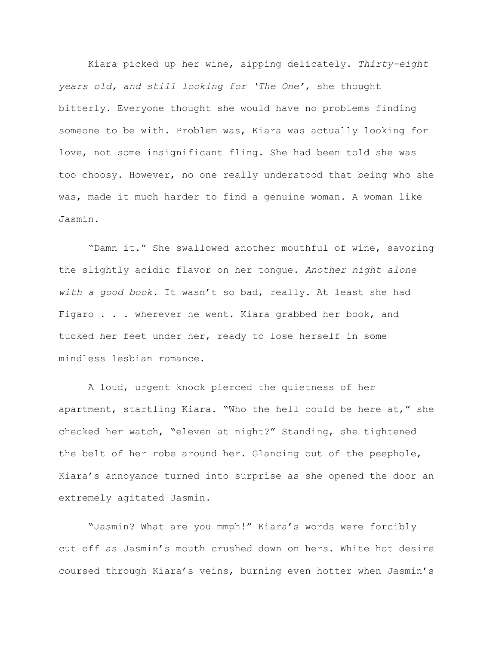Kiara picked up her wine, sipping delicately. *Thirty-eight years old, and still looking for 'The One'*, she thought bitterly. Everyone thought she would have no problems finding someone to be with. Problem was, Kiara was actually looking for love, not some insignificant fling. She had been told she was too choosy. However, no one really understood that being who she was, made it much harder to find a genuine woman. A woman like Jasmin.

"Damn it." She swallowed another mouthful of wine, savoring the slightly acidic flavor on her tongue. *Another night alone with a good book.* It wasn't so bad, really. At least she had Figaro . . . wherever he went. Kiara grabbed her book, and tucked her feet under her, ready to lose herself in some mindless lesbian romance.

A loud, urgent knock pierced the quietness of her apartment, startling Kiara. "Who the hell could be here at," she checked her watch, "eleven at night?" Standing, she tightened the belt of her robe around her. Glancing out of the peephole, Kiara's annoyance turned into surprise as she opened the door an extremely agitated Jasmin.

"Jasmin? What are you mmph!" Kiara's words were forcibly cut off as Jasmin's mouth crushed down on hers. White hot desire coursed through Kiara's veins, burning even hotter when Jasmin's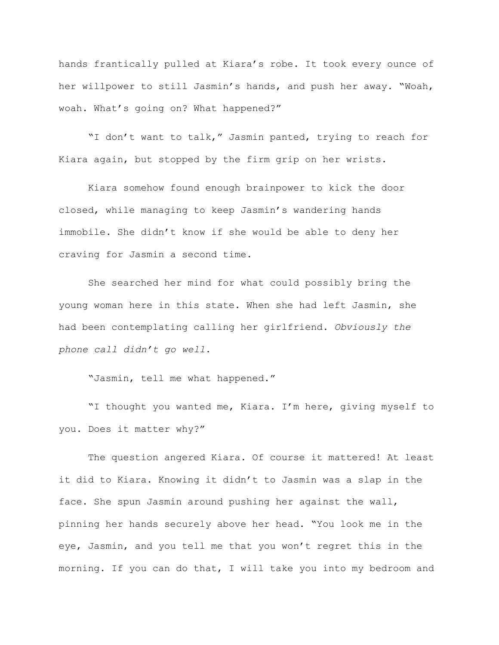hands frantically pulled at Kiara's robe. It took every ounce of her willpower to still Jasmin's hands, and push her away. "Woah, woah. What's going on? What happened?"

"I don't want to talk," Jasmin panted, trying to reach for Kiara again, but stopped by the firm grip on her wrists.

Kiara somehow found enough brainpower to kick the door closed, while managing to keep Jasmin's wandering hands immobile. She didn't know if she would be able to deny her craving for Jasmin a second time.

She searched her mind for what could possibly bring the young woman here in this state. When she had left Jasmin, she had been contemplating calling her girlfriend. *Obviously the phone call didn't go well*.

"Jasmin, tell me what happened."

"I thought you wanted me, Kiara. I'm here, giving myself to you. Does it matter why?"

The question angered Kiara. Of course it mattered! At least it did to Kiara. Knowing it didn't to Jasmin was a slap in the face. She spun Jasmin around pushing her against the wall, pinning her hands securely above her head. "You look me in the eye, Jasmin, and you tell me that you won't regret this in the morning. If you can do that, I will take you into my bedroom and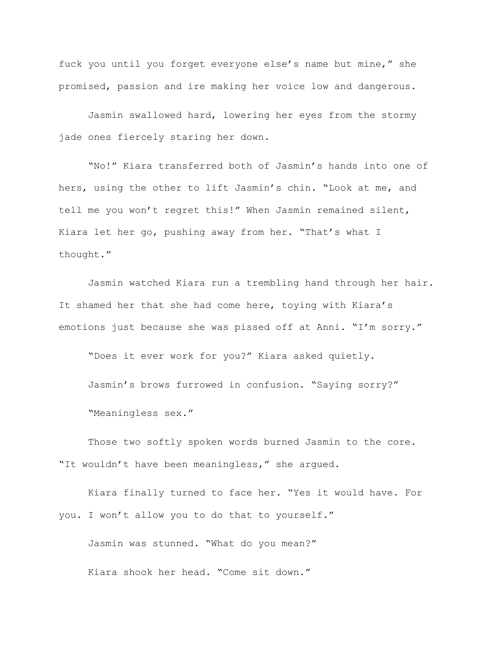fuck you until you forget everyone else's name but mine," she promised, passion and ire making her voice low and dangerous.

Jasmin swallowed hard, lowering her eyes from the stormy jade ones fiercely staring her down.

"No!" Kiara transferred both of Jasmin's hands into one of hers, using the other to lift Jasmin's chin. "Look at me, and tell me you won't regret this!" When Jasmin remained silent, Kiara let her go, pushing away from her. "That's what I thought."

Jasmin watched Kiara run a trembling hand through her hair. It shamed her that she had come here, toying with Kiara's emotions just because she was pissed off at Anni. "I'm sorry."

"Does it ever work for you?" Kiara asked quietly.

Jasmin's brows furrowed in confusion. "Saying sorry?" "Meaningless sex."

Those two softly spoken words burned Jasmin to the core. "It wouldn't have been meaningless," she argued.

Kiara finally turned to face her. "Yes it would have. For you. I won't allow you to do that to yourself."

Jasmin was stunned. "What do you mean?" Kiara shook her head. "Come sit down."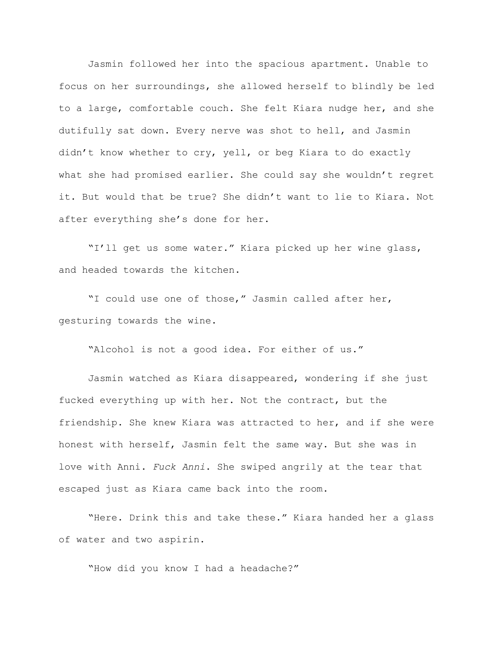Jasmin followed her into the spacious apartment. Unable to focus on her surroundings, she allowed herself to blindly be led to a large, comfortable couch. She felt Kiara nudge her, and she dutifully sat down. Every nerve was shot to hell, and Jasmin didn't know whether to cry, yell, or beg Kiara to do exactly what she had promised earlier. She could say she wouldn't regret it. But would that be true? She didn't want to lie to Kiara. Not after everything she's done for her.

"I'll get us some water." Kiara picked up her wine glass, and headed towards the kitchen.

"I could use one of those," Jasmin called after her, gesturing towards the wine.

"Alcohol is not a good idea. For either of us."

Jasmin watched as Kiara disappeared, wondering if she just fucked everything up with her. Not the contract, but the friendship. She knew Kiara was attracted to her, and if she were honest with herself, Jasmin felt the same way. But she was in love with Anni. *Fuck Anni*. She swiped angrily at the tear that escaped just as Kiara came back into the room.

"Here. Drink this and take these." Kiara handed her a glass of water and two aspirin.

"How did you know I had a headache?"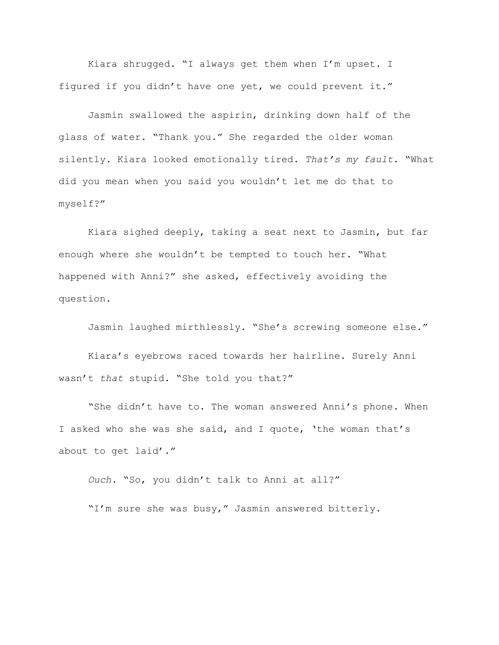Kiara shrugged. "I always get them when I'm upset. I figured if you didn't have one yet, we could prevent it."

Jasmin swallowed the aspirin, drinking down half of the glass of water. "Thank you." She regarded the older woman silently. Kiara looked emotionally tired. *That's my fault*. "What did you mean when you said you wouldn't let me do that to myself?"

Kiara sighed deeply, taking a seat next to Jasmin, but far enough where she wouldn't be tempted to touch her. "What happened with Anni?" she asked, effectively avoiding the question.

Jasmin laughed mirthlessly. "She's screwing someone else."

Kiara's eyebrows raced towards her hairline. Surely Anni wasn't *that* stupid. "She told you that?"

"She didn't have to. The woman answered Anni's phone. When I asked who she was she said, and I quote, 'the woman that's about to get laid'."

*Ouch.* "So, you didn't talk to Anni at all?" "I'm sure she was busy," Jasmin answered bitterly.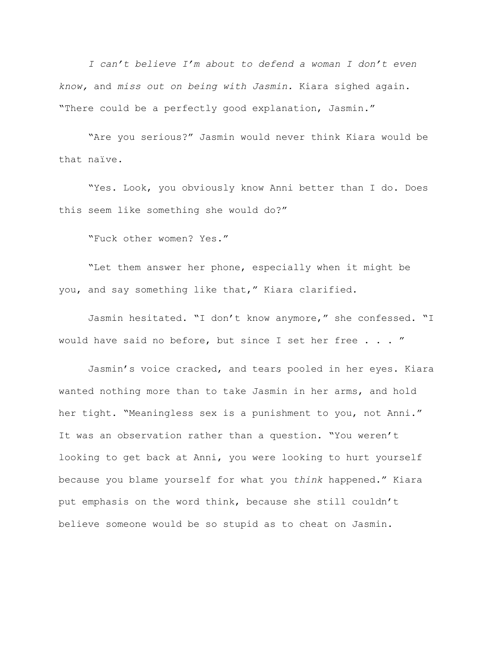*I can't believe I'm about to defend a woman I don't even know,* and *miss out on being with Jasmin.* Kiara sighed again. "There could be a perfectly good explanation, Jasmin."

"Are you serious?" Jasmin would never think Kiara would be that naïve.

"Yes. Look, you obviously know Anni better than I do. Does this seem like something she would do?"

"Fuck other women? Yes."

"Let them answer her phone, especially when it might be you, and say something like that," Kiara clarified.

Jasmin hesitated. "I don't know anymore," she confessed. "I would have said no before, but since I set her free . . . "

Jasmin's voice cracked, and tears pooled in her eyes. Kiara wanted nothing more than to take Jasmin in her arms, and hold her tight. "Meaningless sex is a punishment to you, not Anni." It was an observation rather than a question. "You weren't looking to get back at Anni, you were looking to hurt yourself because you blame yourself for what you *think* happened." Kiara put emphasis on the word think, because she still couldn't believe someone would be so stupid as to cheat on Jasmin.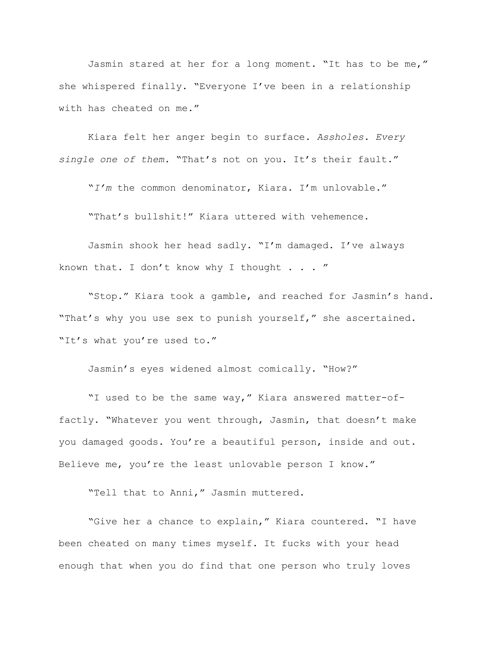Jasmin stared at her for a long moment. "It has to be me," she whispered finally. "Everyone I've been in a relationship with has cheated on me."

Kiara felt her anger begin to surface. *Assholes. Every single one of them.* "That's not on you. It's their fault."

"*I'm* the common denominator, Kiara. I'm unlovable."

"That's bullshit!" Kiara uttered with vehemence.

Jasmin shook her head sadly. "I'm damaged. I've always known that. I don't know why I thought . . . "

"Stop." Kiara took a gamble, and reached for Jasmin's hand. "That's why you use sex to punish yourself," she ascertained. "It's what you're used to."

Jasmin's eyes widened almost comically. "How?"

"I used to be the same way," Kiara answered matter-offactly. "Whatever you went through, Jasmin, that doesn't make you damaged goods. You're a beautiful person, inside and out. Believe me, you're the least unlovable person I know."

"Tell that to Anni," Jasmin muttered.

"Give her a chance to explain," Kiara countered. "I have been cheated on many times myself. It fucks with your head enough that when you do find that one person who truly loves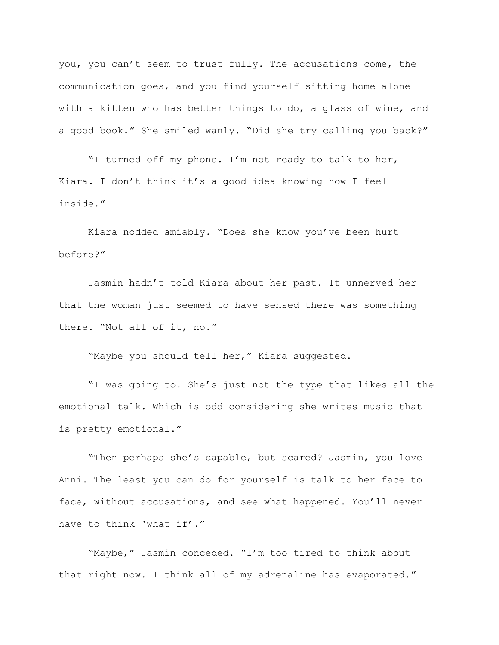you, you can't seem to trust fully. The accusations come, the communication goes, and you find yourself sitting home alone with a kitten who has better things to do, a glass of wine, and a good book." She smiled wanly. "Did she try calling you back?"

"I turned off my phone. I'm not ready to talk to her, Kiara. I don't think it's a good idea knowing how I feel inside."

Kiara nodded amiably. "Does she know you've been hurt before?"

Jasmin hadn't told Kiara about her past. It unnerved her that the woman just seemed to have sensed there was something there. "Not all of it, no."

"Maybe you should tell her," Kiara suggested.

"I was going to. She's just not the type that likes all the emotional talk. Which is odd considering she writes music that is pretty emotional."

"Then perhaps she's capable, but scared? Jasmin, you love Anni. The least you can do for yourself is talk to her face to face, without accusations, and see what happened. You'll never have to think 'what if'."

"Maybe," Jasmin conceded. "I'm too tired to think about that right now. I think all of my adrenaline has evaporated."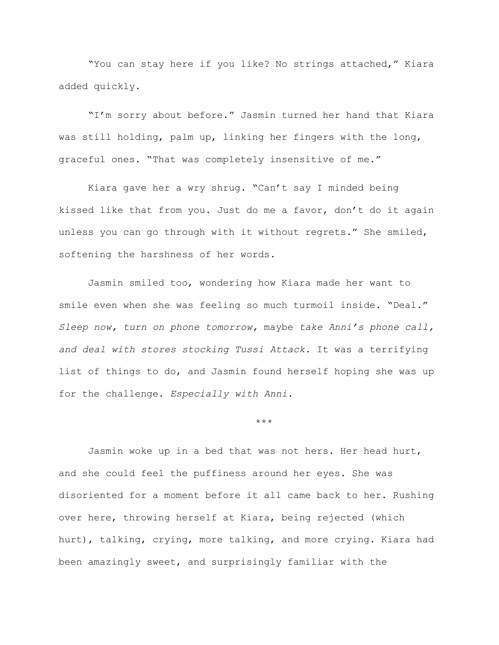"You can stay here if you like? No strings attached," Kiara added quickly.

"I'm sorry about before." Jasmin turned her hand that Kiara was still holding, palm up, linking her fingers with the long, graceful ones. "That was completely insensitive of me."

Kiara gave her a wry shrug. "Can't say I minded being kissed like that from you. Just do me a favor, don't do it again unless you can go through with it without regrets." She smiled, softening the harshness of her words.

Jasmin smiled too, wondering how Kiara made her want to smile even when she was feeling so much turmoil inside. "Deal." *Sleep now, turn on phone tomorrow,* maybe *take Anni's phone call, and deal with stores stocking Tussi Attack.* It was a terrifying list of things to do, and Jasmin found herself hoping she was up for the challenge. *Especially with Anni.*

\*\*\*

Jasmin woke up in a bed that was not hers. Her head hurt, and she could feel the puffiness around her eyes. She was disoriented for a moment before it all came back to her. Rushing over here, throwing herself at Kiara, being rejected (which hurt), talking, crying, more talking, and more crying. Kiara had been amazingly sweet, and surprisingly familiar with the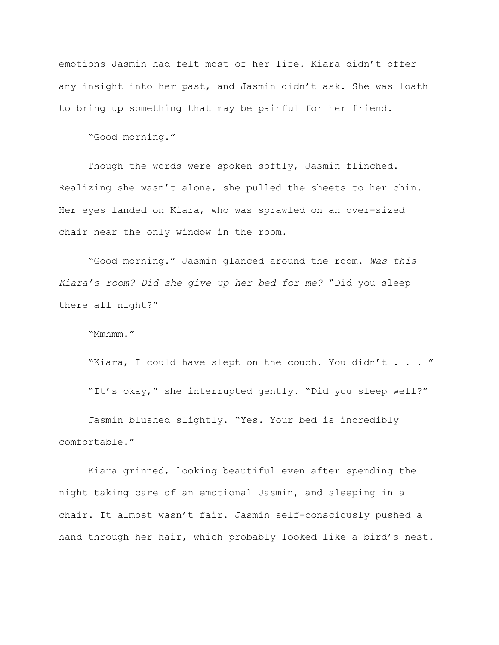emotions Jasmin had felt most of her life. Kiara didn't offer any insight into her past, and Jasmin didn't ask. She was loath to bring up something that may be painful for her friend.

"Good morning."

Though the words were spoken softly, Jasmin flinched. Realizing she wasn't alone, she pulled the sheets to her chin. Her eyes landed on Kiara, who was sprawled on an over-sized chair near the only window in the room.

"Good morning." Jasmin glanced around the room. *Was this Kiara's room? Did she give up her bed for me?* "Did you sleep there all night?"

"Mmhmm."

"Kiara, I could have slept on the couch. You didn't . . . " "It's okay," she interrupted gently. "Did you sleep well?" Jasmin blushed slightly. "Yes. Your bed is incredibly

comfortable."

Kiara grinned, looking beautiful even after spending the night taking care of an emotional Jasmin, and sleeping in a chair. It almost wasn't fair. Jasmin self-consciously pushed a hand through her hair, which probably looked like a bird's nest.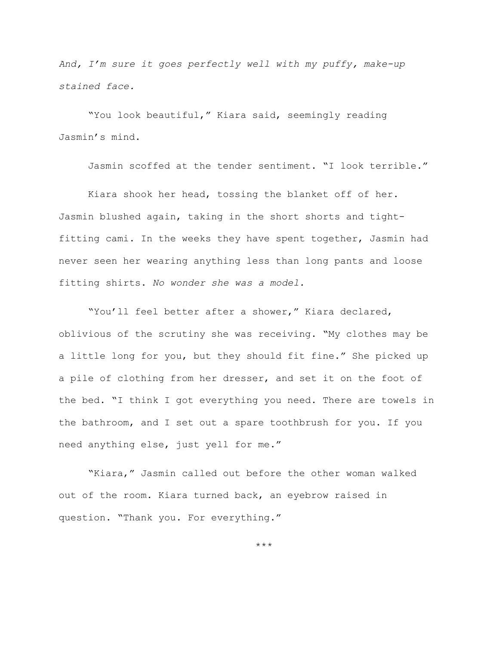*And, I'm sure it goes perfectly well with my puffy, make-up stained face.*

"You look beautiful," Kiara said, seemingly reading Jasmin's mind.

Jasmin scoffed at the tender sentiment. "I look terrible."

Kiara shook her head, tossing the blanket off of her. Jasmin blushed again, taking in the short shorts and tightfitting cami. In the weeks they have spent together, Jasmin had never seen her wearing anything less than long pants and loose fitting shirts. *No wonder she was a model.*

"You'll feel better after a shower," Kiara declared, oblivious of the scrutiny she was receiving. "My clothes may be a little long for you, but they should fit fine." She picked up a pile of clothing from her dresser, and set it on the foot of the bed. "I think I got everything you need. There are towels in the bathroom, and I set out a spare toothbrush for you. If you need anything else, just yell for me."

"Kiara," Jasmin called out before the other woman walked out of the room. Kiara turned back, an eyebrow raised in question. "Thank you. For everything."

\*\*\*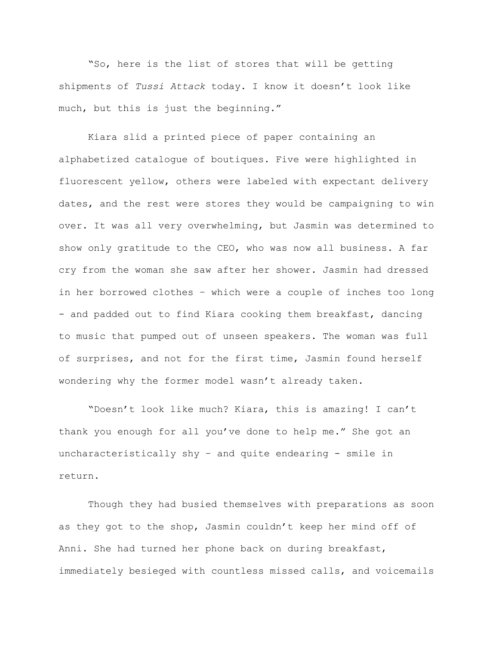"So, here is the list of stores that will be getting shipments of *Tussi Attack* today. I know it doesn't look like much, but this is just the beginning."

Kiara slid a printed piece of paper containing an alphabetized catalogue of boutiques. Five were highlighted in fluorescent yellow, others were labeled with expectant delivery dates, and the rest were stores they would be campaigning to win over. It was all very overwhelming, but Jasmin was determined to show only gratitude to the CEO, who was now all business. A far cry from the woman she saw after her shower. Jasmin had dressed in her borrowed clothes – which were a couple of inches too long - and padded out to find Kiara cooking them breakfast, dancing to music that pumped out of unseen speakers. The woman was full of surprises, and not for the first time, Jasmin found herself wondering why the former model wasn't already taken.

"Doesn't look like much? Kiara, this is amazing! I can't thank you enough for all you've done to help me." She got an uncharacteristically shy – and quite endearing - smile in return.

Though they had busied themselves with preparations as soon as they got to the shop, Jasmin couldn't keep her mind off of Anni. She had turned her phone back on during breakfast, immediately besieged with countless missed calls, and voicemails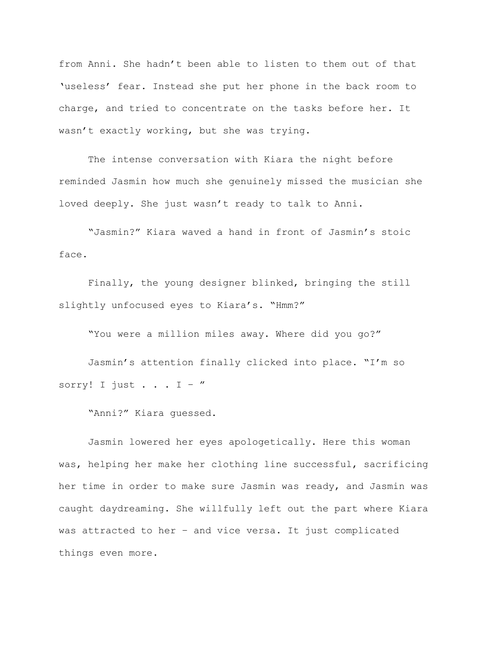from Anni. She hadn't been able to listen to them out of that 'useless' fear. Instead she put her phone in the back room to charge, and tried to concentrate on the tasks before her. It wasn't exactly working, but she was trying.

The intense conversation with Kiara the night before reminded Jasmin how much she genuinely missed the musician she loved deeply. She just wasn't ready to talk to Anni.

"Jasmin?" Kiara waved a hand in front of Jasmin's stoic face.

Finally, the young designer blinked, bringing the still slightly unfocused eyes to Kiara's. "Hmm?"

"You were a million miles away. Where did you go?"

Jasmin's attention finally clicked into place. "I'm so sorry! I just  $\ldots$  I - "

"Anni?" Kiara guessed.

Jasmin lowered her eyes apologetically. Here this woman was, helping her make her clothing line successful, sacrificing her time in order to make sure Jasmin was ready, and Jasmin was caught daydreaming. She willfully left out the part where Kiara was attracted to her – and vice versa. It just complicated things even more.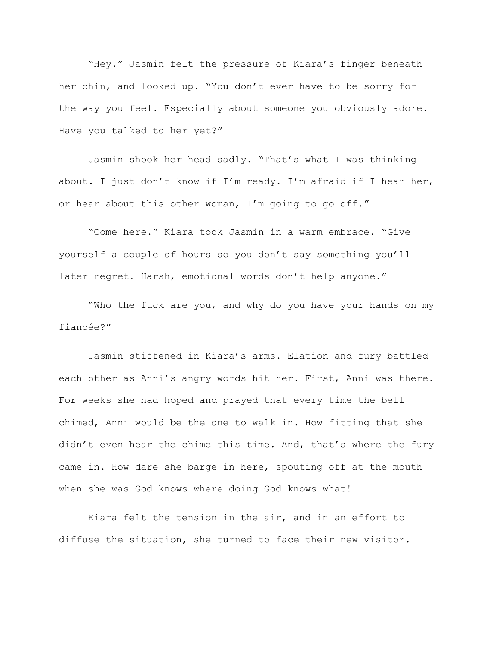"Hey." Jasmin felt the pressure of Kiara's finger beneath her chin, and looked up. "You don't ever have to be sorry for the way you feel. Especially about someone you obviously adore. Have you talked to her yet?"

Jasmin shook her head sadly. "That's what I was thinking about. I just don't know if I'm ready. I'm afraid if I hear her, or hear about this other woman, I'm going to go off."

"Come here." Kiara took Jasmin in a warm embrace. "Give yourself a couple of hours so you don't say something you'll later regret. Harsh, emotional words don't help anyone."

"Who the fuck are you, and why do you have your hands on my fiancée?"

Jasmin stiffened in Kiara's arms. Elation and fury battled each other as Anni's angry words hit her. First, Anni was there. For weeks she had hoped and prayed that every time the bell chimed, Anni would be the one to walk in. How fitting that she didn't even hear the chime this time. And, that's where the fury came in. How dare she barge in here, spouting off at the mouth when she was God knows where doing God knows what!

Kiara felt the tension in the air, and in an effort to diffuse the situation, she turned to face their new visitor.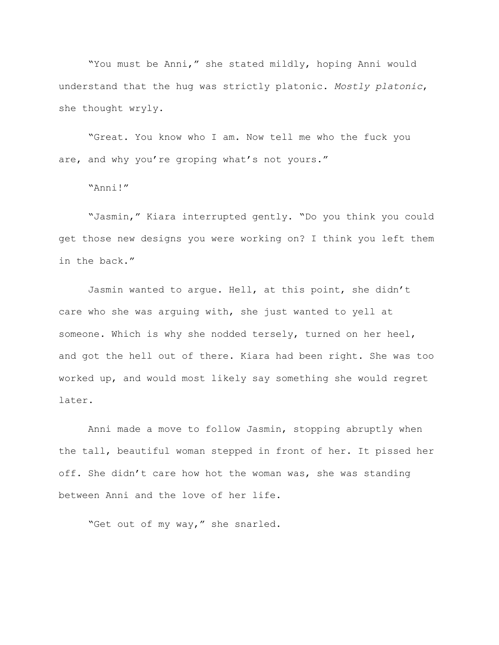"You must be Anni," she stated mildly, hoping Anni would understand that the hug was strictly platonic. *Mostly platonic*, she thought wryly.

"Great. You know who I am. Now tell me who the fuck you are, and why you're groping what's not yours."

"Anni!"

"Jasmin," Kiara interrupted gently. "Do you think you could get those new designs you were working on? I think you left them in the back."

Jasmin wanted to argue. Hell, at this point, she didn't care who she was arguing with, she just wanted to yell at someone. Which is why she nodded tersely, turned on her heel, and got the hell out of there. Kiara had been right. She was too worked up, and would most likely say something she would regret later.

Anni made a move to follow Jasmin, stopping abruptly when the tall, beautiful woman stepped in front of her. It pissed her off. She didn't care how hot the woman was, she was standing between Anni and the love of her life.

"Get out of my way," she snarled.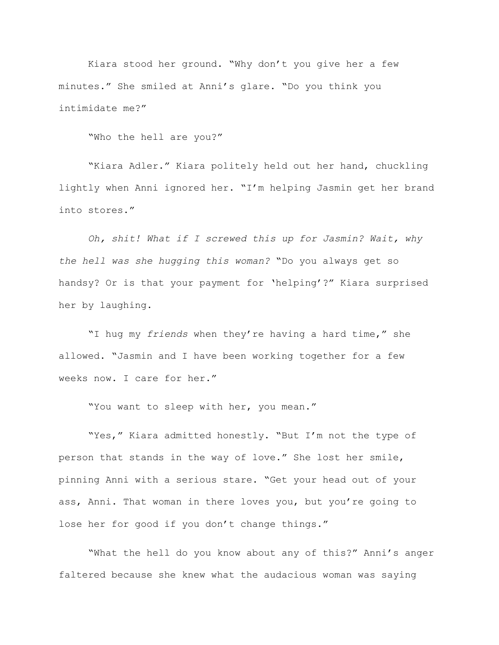Kiara stood her ground. "Why don't you give her a few minutes." She smiled at Anni's glare. "Do you think you intimidate me?"

"Who the hell are you?"

"Kiara Adler." Kiara politely held out her hand, chuckling lightly when Anni ignored her. "I'm helping Jasmin get her brand into stores."

*Oh, shit! What if I screwed this up for Jasmin? Wait, why the hell was she hugging this woman?* "Do you always get so handsy? Or is that your payment for 'helping'?" Kiara surprised her by laughing.

"I hug my *friends* when they're having a hard time," she allowed. "Jasmin and I have been working together for a few weeks now. I care for her."

"You want to sleep with her, you mean."

"Yes," Kiara admitted honestly. "But I'm not the type of person that stands in the way of love." She lost her smile, pinning Anni with a serious stare. "Get your head out of your ass, Anni. That woman in there loves you, but you're going to lose her for good if you don't change things."

"What the hell do you know about any of this?" Anni's anger faltered because she knew what the audacious woman was saying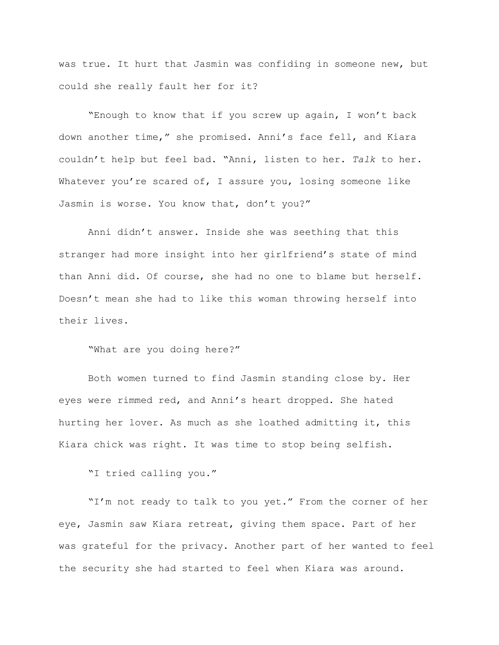was true. It hurt that Jasmin was confiding in someone new, but could she really fault her for it?

"Enough to know that if you screw up again, I won't back down another time," she promised. Anni's face fell, and Kiara couldn't help but feel bad. "Anni, listen to her. *Talk* to her. Whatever you're scared of, I assure you, losing someone like Jasmin is worse. You know that, don't you?"

Anni didn't answer. Inside she was seething that this stranger had more insight into her girlfriend's state of mind than Anni did. Of course, she had no one to blame but herself. Doesn't mean she had to like this woman throwing herself into their lives.

"What are you doing here?"

Both women turned to find Jasmin standing close by. Her eyes were rimmed red, and Anni's heart dropped. She hated hurting her lover. As much as she loathed admitting it, this Kiara chick was right. It was time to stop being selfish.

"I tried calling you."

"I'm not ready to talk to you yet." From the corner of her eye, Jasmin saw Kiara retreat, giving them space. Part of her was grateful for the privacy. Another part of her wanted to feel the security she had started to feel when Kiara was around.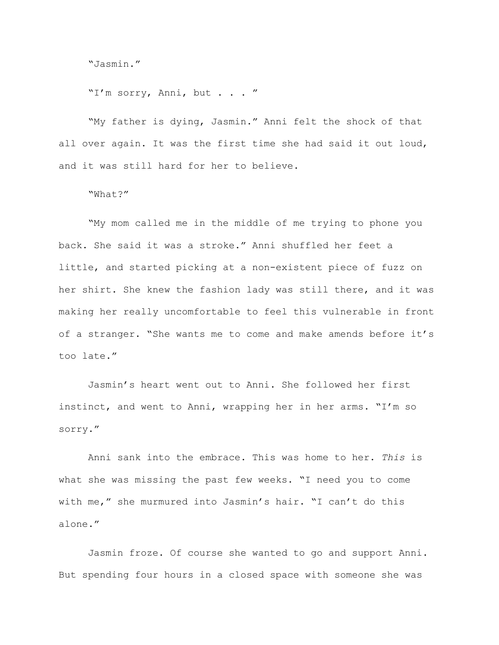"Jasmin."

"I'm sorry, Anni, but . . . "

"My father is dying, Jasmin." Anni felt the shock of that all over again. It was the first time she had said it out loud, and it was still hard for her to believe.

## "What?"

"My mom called me in the middle of me trying to phone you back. She said it was a stroke." Anni shuffled her feet a little, and started picking at a non-existent piece of fuzz on her shirt. She knew the fashion lady was still there, and it was making her really uncomfortable to feel this vulnerable in front of a stranger. "She wants me to come and make amends before it's too late."

Jasmin's heart went out to Anni. She followed her first instinct, and went to Anni, wrapping her in her arms. "I'm so sorry."

Anni sank into the embrace. This was home to her. *This* is what she was missing the past few weeks. "I need you to come with me," she murmured into Jasmin's hair. "I can't do this alone."

Jasmin froze. Of course she wanted to go and support Anni. But spending four hours in a closed space with someone she was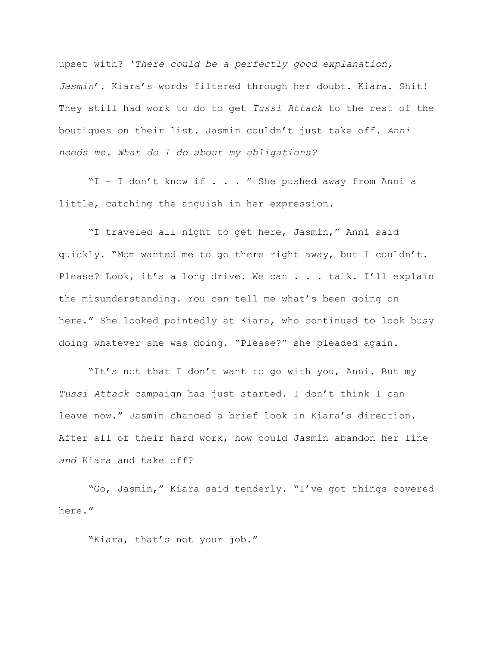upset with? '*There could be a perfectly good explanation, Jasmin*'. Kiara's words filtered through her doubt. Kiara. Shit! They still had work to do to get *Tussi Attack* to the rest of the boutiques on their list. Jasmin couldn't just take off. *Anni needs me. What do I do about my obligations?*

"I – I don't know if . . . " She pushed away from Anni a little, catching the anguish in her expression.

"I traveled all night to get here, Jasmin," Anni said quickly. "Mom wanted me to go there right away, but I couldn't. Please? Look, it's a long drive. We can . . . talk. I'll explain the misunderstanding. You can tell me what's been going on here." She looked pointedly at Kiara, who continued to look busy doing whatever she was doing. "Please?" she pleaded again.

"It's not that I don't want to go with you, Anni. But my *Tussi Attack* campaign has just started. I don't think I can leave now." Jasmin chanced a brief look in Kiara's direction. After all of their hard work, how could Jasmin abandon her line *and* Kiara and take off?

"Go, Jasmin," Kiara said tenderly. "I've got things covered here."

"Kiara, that's not your job."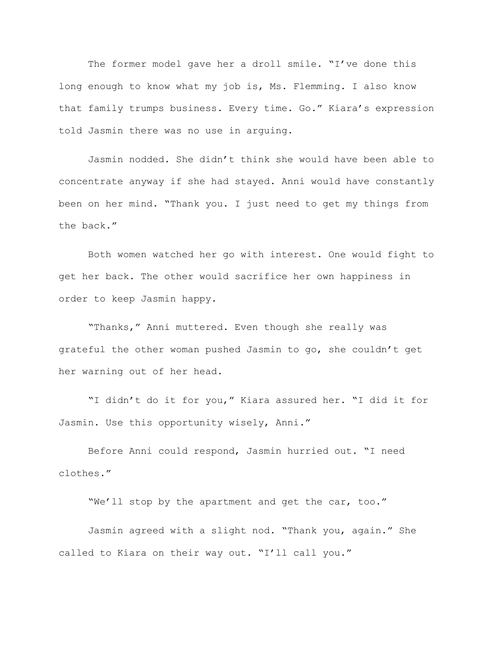The former model gave her a droll smile. "I've done this long enough to know what my job is, Ms. Flemming. I also know that family trumps business. Every time. Go." Kiara's expression told Jasmin there was no use in arguing.

Jasmin nodded. She didn't think she would have been able to concentrate anyway if she had stayed. Anni would have constantly been on her mind. "Thank you. I just need to get my things from the back."

Both women watched her go with interest. One would fight to get her back. The other would sacrifice her own happiness in order to keep Jasmin happy.

"Thanks," Anni muttered. Even though she really was grateful the other woman pushed Jasmin to go, she couldn't get her warning out of her head.

"I didn't do it for you," Kiara assured her. "I did it for Jasmin. Use this opportunity wisely, Anni."

Before Anni could respond, Jasmin hurried out. "I need clothes."

"We'll stop by the apartment and get the car, too."

Jasmin agreed with a slight nod. "Thank you, again." She called to Kiara on their way out. "I'll call you."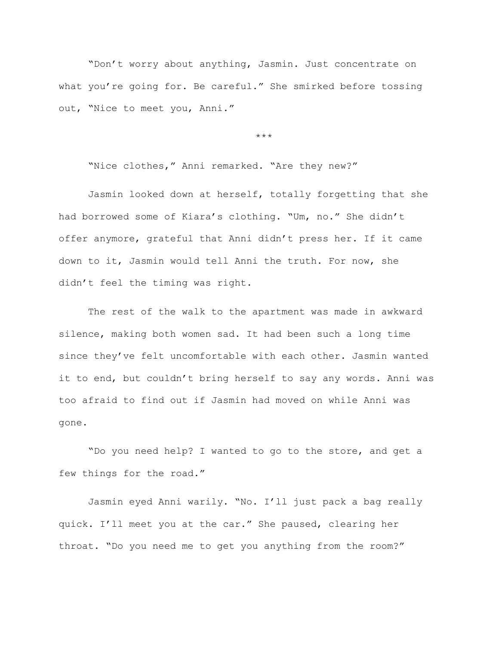"Don't worry about anything, Jasmin. Just concentrate on what you're going for. Be careful." She smirked before tossing out, "Nice to meet you, Anni."

\*\*\*

"Nice clothes," Anni remarked. "Are they new?"

Jasmin looked down at herself, totally forgetting that she had borrowed some of Kiara's clothing. "Um, no." She didn't offer anymore, grateful that Anni didn't press her. If it came down to it, Jasmin would tell Anni the truth. For now, she didn't feel the timing was right.

The rest of the walk to the apartment was made in awkward silence, making both women sad. It had been such a long time since they've felt uncomfortable with each other. Jasmin wanted it to end, but couldn't bring herself to say any words. Anni was too afraid to find out if Jasmin had moved on while Anni was gone.

"Do you need help? I wanted to go to the store, and get a few things for the road."

Jasmin eyed Anni warily. "No. I'll just pack a bag really quick. I'll meet you at the car." She paused, clearing her throat. "Do you need me to get you anything from the room?"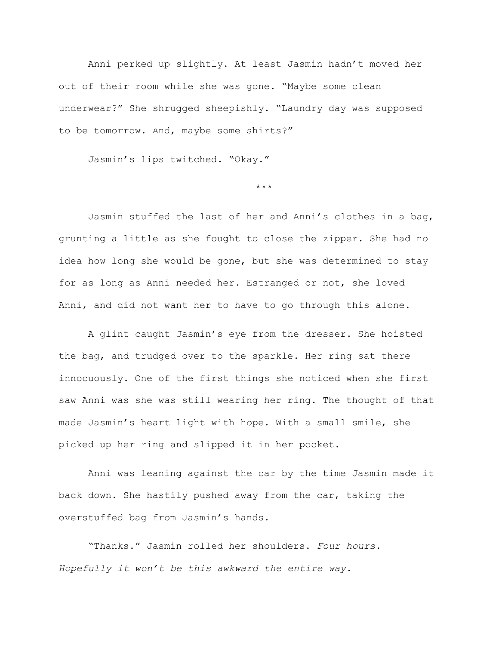Anni perked up slightly. At least Jasmin hadn't moved her out of their room while she was gone. "Maybe some clean underwear?" She shrugged sheepishly. "Laundry day was supposed to be tomorrow. And, maybe some shirts?"

Jasmin's lips twitched. "Okay."

\*\*\*

Jasmin stuffed the last of her and Anni's clothes in a bag, grunting a little as she fought to close the zipper. She had no idea how long she would be gone, but she was determined to stay for as long as Anni needed her. Estranged or not, she loved Anni, and did not want her to have to go through this alone.

A glint caught Jasmin's eye from the dresser. She hoisted the bag, and trudged over to the sparkle. Her ring sat there innocuously. One of the first things she noticed when she first saw Anni was she was still wearing her ring. The thought of that made Jasmin's heart light with hope. With a small smile, she picked up her ring and slipped it in her pocket.

Anni was leaning against the car by the time Jasmin made it back down. She hastily pushed away from the car, taking the overstuffed bag from Jasmin's hands.

"Thanks." Jasmin rolled her shoulders. *Four hours. Hopefully it won't be this awkward the entire way.*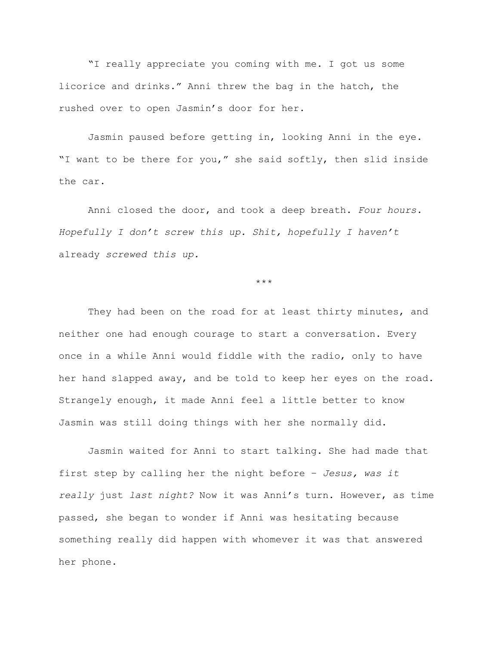"I really appreciate you coming with me. I got us some licorice and drinks." Anni threw the bag in the hatch, the rushed over to open Jasmin's door for her.

Jasmin paused before getting in, looking Anni in the eye. "I want to be there for you," she said softly, then slid inside the car.

Anni closed the door, and took a deep breath. *Four hours. Hopefully I don't screw this up. Shit, hopefully I haven't*  already *screwed this up.*

\*\*\*

They had been on the road for at least thirty minutes, and neither one had enough courage to start a conversation. Every once in a while Anni would fiddle with the radio, only to have her hand slapped away, and be told to keep her eyes on the road. Strangely enough, it made Anni feel a little better to know Jasmin was still doing things with her she normally did.

Jasmin waited for Anni to start talking. She had made that first step by calling her the night before – *Jesus, was it really* just *last night?* Now it was Anni's turn. However, as time passed, she began to wonder if Anni was hesitating because something really did happen with whomever it was that answered her phone.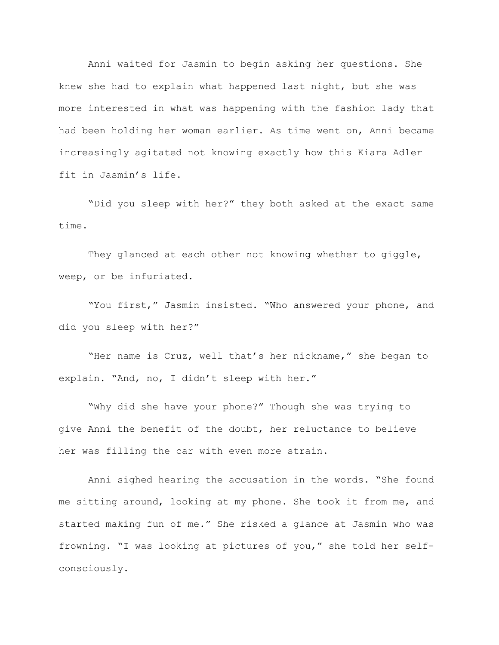Anni waited for Jasmin to begin asking her questions. She knew she had to explain what happened last night, but she was more interested in what was happening with the fashion lady that had been holding her woman earlier. As time went on, Anni became increasingly agitated not knowing exactly how this Kiara Adler fit in Jasmin's life.

"Did you sleep with her?" they both asked at the exact same time.

They glanced at each other not knowing whether to giggle, weep, or be infuriated.

"You first," Jasmin insisted. "Who answered your phone, and did you sleep with her?"

"Her name is Cruz, well that's her nickname," she began to explain. "And, no, I didn't sleep with her."

"Why did she have your phone?" Though she was trying to give Anni the benefit of the doubt, her reluctance to believe her was filling the car with even more strain.

Anni sighed hearing the accusation in the words. "She found me sitting around, looking at my phone. She took it from me, and started making fun of me." She risked a glance at Jasmin who was frowning. "I was looking at pictures of you," she told her selfconsciously.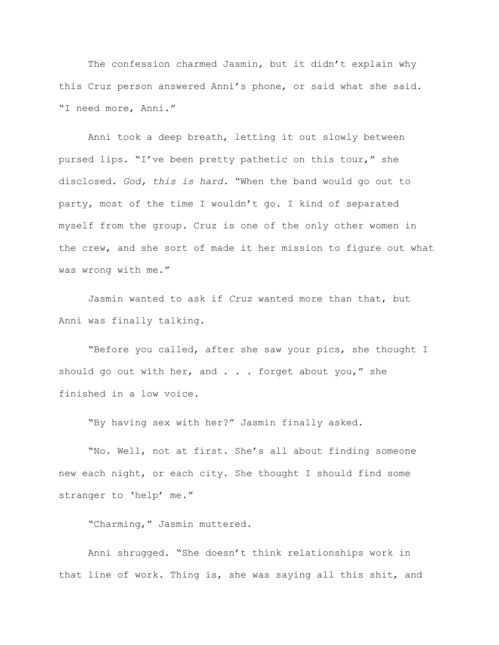The confession charmed Jasmin, but it didn't explain why this Cruz person answered Anni's phone, or said what she said. "I need more, Anni."

Anni took a deep breath, letting it out slowly between pursed lips. "I've been pretty pathetic on this tour," she disclosed. *God, this is hard.* "When the band would go out to party, most of the time I wouldn't go. I kind of separated myself from the group. Cruz is one of the only other women in the crew, and she sort of made it her mission to figure out what was wrong with me."

Jasmin wanted to ask if *Cruz* wanted more than that, but Anni was finally talking.

"Before you called, after she saw your pics, she thought I should go out with her, and . . . forget about you," she finished in a low voice.

"By having sex with her?" Jasmin finally asked.

"No. Well, not at first. She's all about finding someone new each night, or each city. She thought I should find some stranger to 'help' me."

"Charming," Jasmin muttered.

Anni shrugged. "She doesn't think relationships work in that line of work. Thing is, she was saying all this shit, and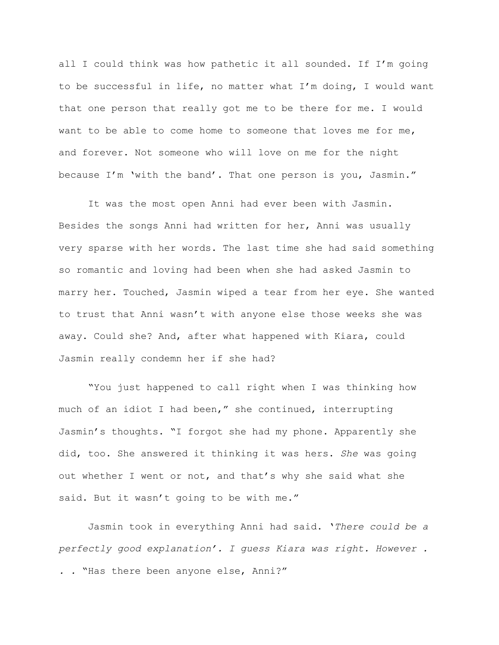all I could think was how pathetic it all sounded. If I'm going to be successful in life, no matter what I'm doing, I would want that one person that really got me to be there for me. I would want to be able to come home to someone that loves me for me, and forever. Not someone who will love on me for the night because I'm 'with the band'. That one person is you, Jasmin."

It was the most open Anni had ever been with Jasmin. Besides the songs Anni had written for her, Anni was usually very sparse with her words. The last time she had said something so romantic and loving had been when she had asked Jasmin to marry her. Touched, Jasmin wiped a tear from her eye. She wanted to trust that Anni wasn't with anyone else those weeks she was away. Could she? And, after what happened with Kiara, could Jasmin really condemn her if she had?

"You just happened to call right when I was thinking how much of an idiot I had been," she continued, interrupting Jasmin's thoughts. "I forgot she had my phone. Apparently she did, too. She answered it thinking it was hers. *She* was going out whether I went or not, and that's why she said what she said. But it wasn't going to be with me."

Jasmin took in everything Anni had said. '*There could be a perfectly good explanation'. I guess Kiara was right. However . . .* "Has there been anyone else, Anni?"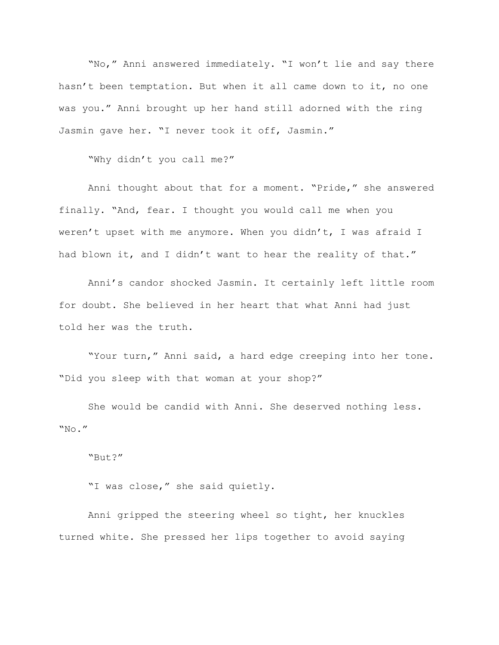"No," Anni answered immediately. "I won't lie and say there hasn't been temptation. But when it all came down to it, no one was you." Anni brought up her hand still adorned with the ring Jasmin gave her. "I never took it off, Jasmin."

"Why didn't you call me?"

Anni thought about that for a moment. "Pride," she answered finally. "And, fear. I thought you would call me when you weren't upset with me anymore. When you didn't, I was afraid I had blown it, and I didn't want to hear the reality of that."

Anni's candor shocked Jasmin. It certainly left little room for doubt. She believed in her heart that what Anni had just told her was the truth.

"Your turn," Anni said, a hard edge creeping into her tone. "Did you sleep with that woman at your shop?"

She would be candid with Anni. She deserved nothing less. "No."

"But?"

"I was close," she said quietly.

Anni gripped the steering wheel so tight, her knuckles turned white. She pressed her lips together to avoid saying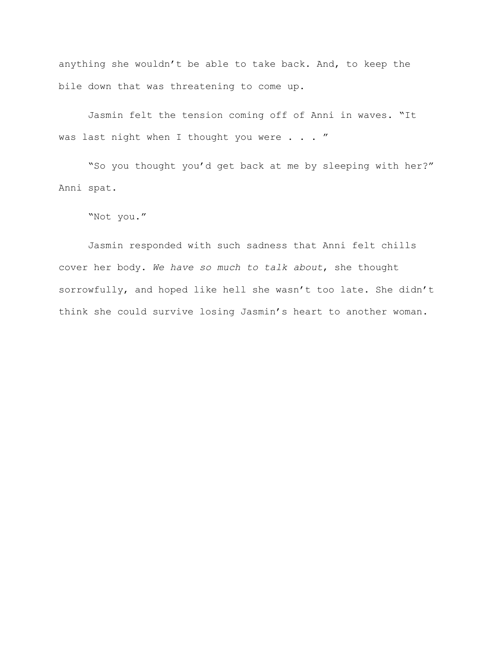anything she wouldn't be able to take back. And, to keep the bile down that was threatening to come up.

Jasmin felt the tension coming off of Anni in waves. "It was last night when I thought you were . . . "

"So you thought you'd get back at me by sleeping with her?" Anni spat.

"Not you."

Jasmin responded with such sadness that Anni felt chills cover her body. *We have so much to talk about*, she thought sorrowfully, and hoped like hell she wasn't too late. She didn't think she could survive losing Jasmin's heart to another woman.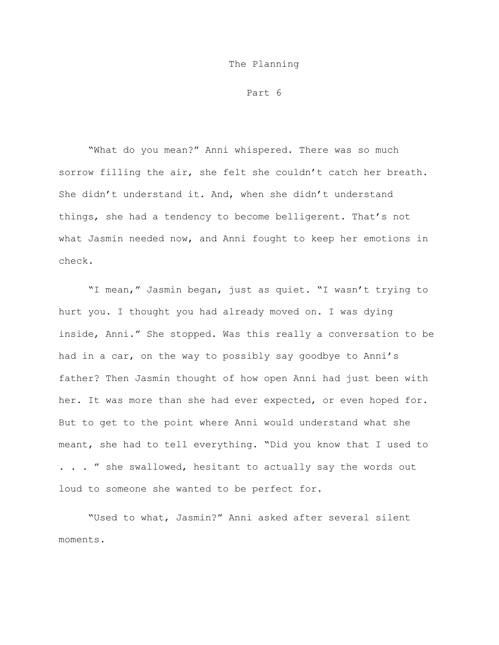## The Planning

Part 6

"What do you mean?" Anni whispered. There was so much sorrow filling the air, she felt she couldn't catch her breath. She didn't understand it. And, when she didn't understand things, she had a tendency to become belligerent. That's not what Jasmin needed now, and Anni fought to keep her emotions in check.

"I mean," Jasmin began, just as quiet. "I wasn't trying to hurt you. I thought you had already moved on. I was dying inside, Anni." She stopped. Was this really a conversation to be had in a car, on the way to possibly say goodbye to Anni's father? Then Jasmin thought of how open Anni had just been with her. It was more than she had ever expected, or even hoped for. But to get to the point where Anni would understand what she meant, she had to tell everything. "Did you know that I used to . . . " she swallowed, hesitant to actually say the words out loud to someone she wanted to be perfect for.

"Used to what, Jasmin?" Anni asked after several silent moments.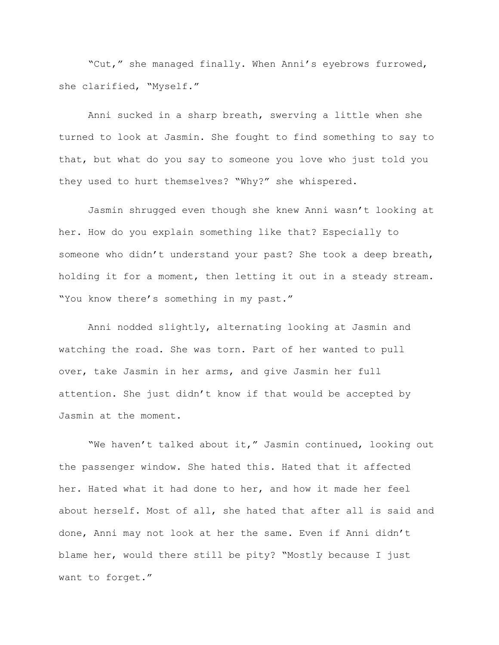"Cut," she managed finally. When Anni's eyebrows furrowed, she clarified, "Myself."

Anni sucked in a sharp breath, swerving a little when she turned to look at Jasmin. She fought to find something to say to that, but what do you say to someone you love who just told you they used to hurt themselves? "Why?" she whispered.

Jasmin shrugged even though she knew Anni wasn't looking at her. How do you explain something like that? Especially to someone who didn't understand your past? She took a deep breath, holding it for a moment, then letting it out in a steady stream. "You know there's something in my past."

Anni nodded slightly, alternating looking at Jasmin and watching the road. She was torn. Part of her wanted to pull over, take Jasmin in her arms, and give Jasmin her full attention. She just didn't know if that would be accepted by Jasmin at the moment.

"We haven't talked about it," Jasmin continued, looking out the passenger window. She hated this. Hated that it affected her. Hated what it had done to her, and how it made her feel about herself. Most of all, she hated that after all is said and done, Anni may not look at her the same. Even if Anni didn't blame her, would there still be pity? "Mostly because I just want to forget."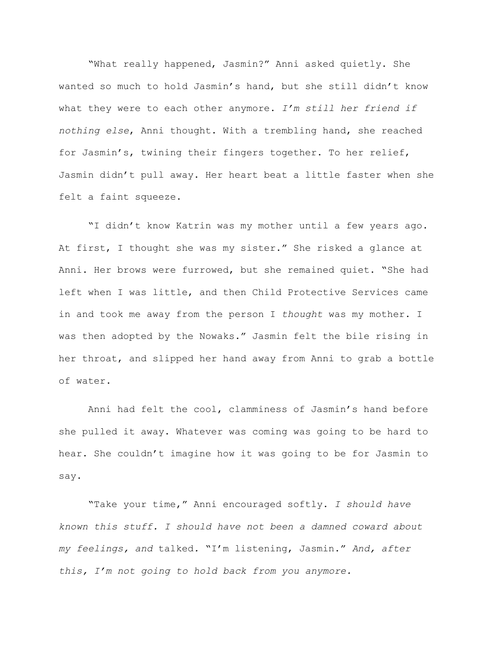"What really happened, Jasmin?" Anni asked quietly. She wanted so much to hold Jasmin's hand, but she still didn't know what they were to each other anymore. *I'm still her friend if nothing else*, Anni thought. With a trembling hand, she reached for Jasmin's, twining their fingers together. To her relief, Jasmin didn't pull away. Her heart beat a little faster when she felt a faint squeeze.

"I didn't know Katrin was my mother until a few years ago. At first, I thought she was my sister." She risked a glance at Anni. Her brows were furrowed, but she remained quiet. "She had left when I was little, and then Child Protective Services came in and took me away from the person I *thought* was my mother. I was then adopted by the Nowaks." Jasmin felt the bile rising in her throat, and slipped her hand away from Anni to grab a bottle of water.

Anni had felt the cool, clamminess of Jasmin's hand before she pulled it away. Whatever was coming was going to be hard to hear. She couldn't imagine how it was going to be for Jasmin to say.

"Take your time," Anni encouraged softly. *I should have known this stuff. I should have not been a damned coward about my feelings, and* talked*.* "I'm listening, Jasmin." *And, after this, I'm not going to hold back from you anymore.*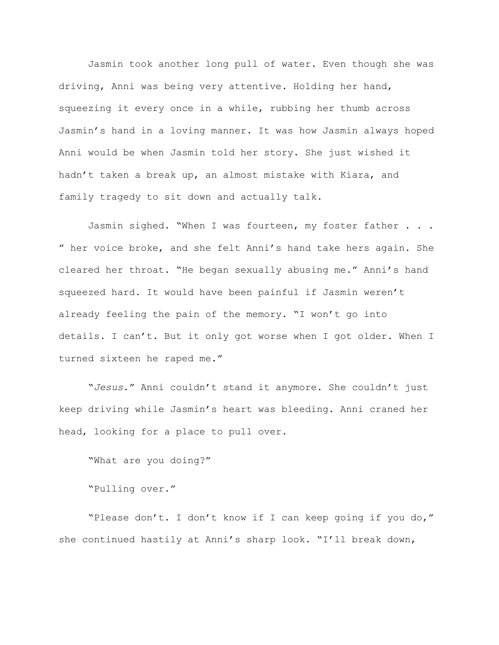Jasmin took another long pull of water. Even though she was driving, Anni was being very attentive. Holding her hand, squeezing it every once in a while, rubbing her thumb across Jasmin's hand in a loving manner. It was how Jasmin always hoped Anni would be when Jasmin told her story. She just wished it hadn't taken a break up, an almost mistake with Kiara, and family tragedy to sit down and actually talk.

Jasmin sighed. "When I was fourteen, my foster father . . . " her voice broke, and she felt Anni's hand take hers again. She cleared her throat. "He began sexually abusing me." Anni's hand squeezed hard. It would have been painful if Jasmin weren't already feeling the pain of the memory. "I won't go into details. I can't. But it only got worse when I got older. When I turned sixteen he raped me."

"*Jesus*." Anni couldn't stand it anymore. She couldn't just keep driving while Jasmin's heart was bleeding. Anni craned her head, looking for a place to pull over.

"What are you doing?"

"Pulling over."

"Please don't. I don't know if I can keep going if you do," she continued hastily at Anni's sharp look. "I'll break down,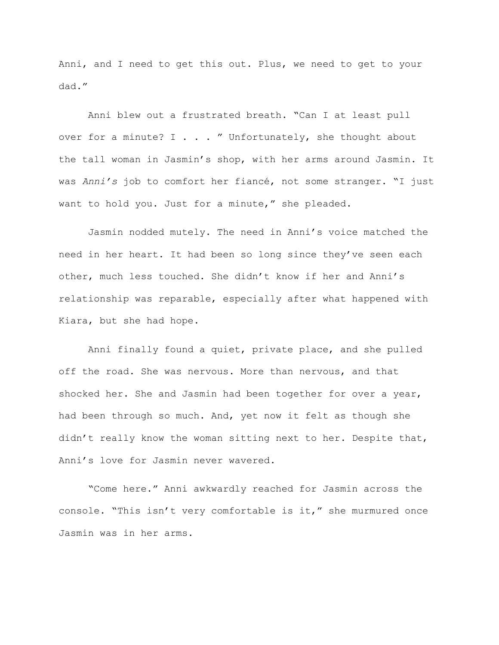Anni, and I need to get this out. Plus, we need to get to your dad."

Anni blew out a frustrated breath. "Can I at least pull over for a minute? I  $\ldots$  " Unfortunately, she thought about the tall woman in Jasmin's shop, with her arms around Jasmin. It was *Anni's* job to comfort her fiancé, not some stranger. "I just want to hold you. Just for a minute," she pleaded.

Jasmin nodded mutely. The need in Anni's voice matched the need in her heart. It had been so long since they've seen each other, much less touched. She didn't know if her and Anni's relationship was reparable, especially after what happened with Kiara, but she had hope.

Anni finally found a quiet, private place, and she pulled off the road. She was nervous. More than nervous, and that shocked her. She and Jasmin had been together for over a year, had been through so much. And, yet now it felt as though she didn't really know the woman sitting next to her. Despite that, Anni's love for Jasmin never wavered.

"Come here." Anni awkwardly reached for Jasmin across the console. "This isn't very comfortable is it," she murmured once Jasmin was in her arms.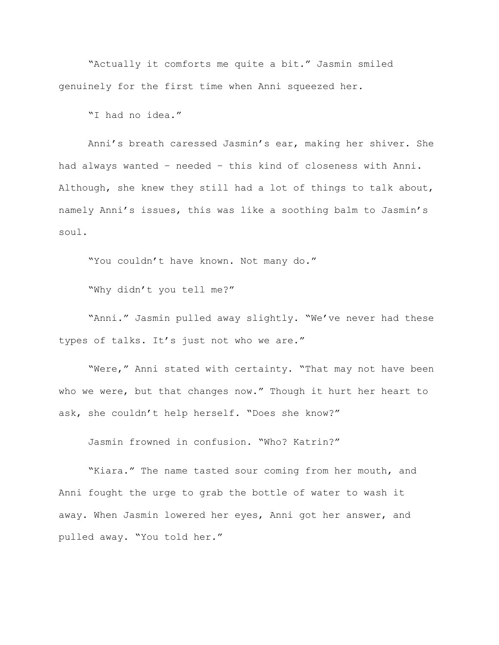"Actually it comforts me quite a bit." Jasmin smiled genuinely for the first time when Anni squeezed her.

"I had no idea."

Anni's breath caressed Jasmin's ear, making her shiver. She had always wanted – needed – this kind of closeness with Anni. Although, she knew they still had a lot of things to talk about, namely Anni's issues, this was like a soothing balm to Jasmin's soul.

"You couldn't have known. Not many do."

"Why didn't you tell me?"

"Anni." Jasmin pulled away slightly. "We've never had these types of talks. It's just not who we are."

"Were," Anni stated with certainty. "That may not have been who we were, but that changes now." Though it hurt her heart to ask, she couldn't help herself. "Does she know?"

Jasmin frowned in confusion. "Who? Katrin?"

"Kiara." The name tasted sour coming from her mouth, and Anni fought the urge to grab the bottle of water to wash it away. When Jasmin lowered her eyes, Anni got her answer, and pulled away. "You told her."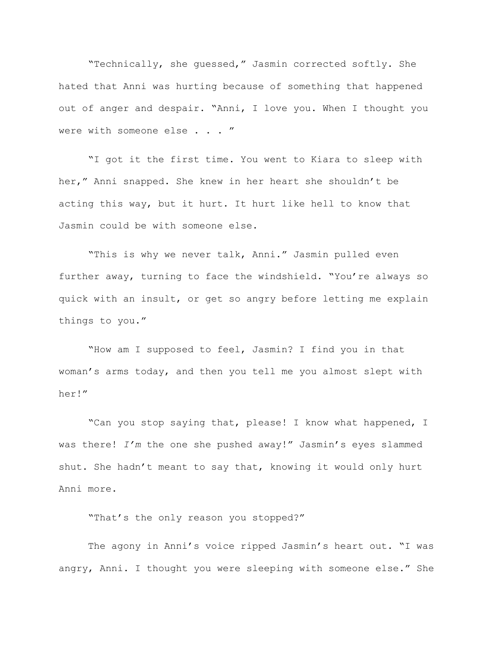"Technically, she guessed," Jasmin corrected softly. She hated that Anni was hurting because of something that happened out of anger and despair. "Anni, I love you. When I thought you were with someone else . . . "

"I got it the first time. You went to Kiara to sleep with her," Anni snapped. She knew in her heart she shouldn't be acting this way, but it hurt. It hurt like hell to know that Jasmin could be with someone else.

"This is why we never talk, Anni." Jasmin pulled even further away, turning to face the windshield. "You're always so quick with an insult, or get so angry before letting me explain things to you."

"How am I supposed to feel, Jasmin? I find you in that woman's arms today, and then you tell me you almost slept with her!"

"Can you stop saying that, please! I know what happened, I was there! *I'm* the one she pushed away!" Jasmin's eyes slammed shut. She hadn't meant to say that, knowing it would only hurt Anni more.

"That's the only reason you stopped?"

The agony in Anni's voice ripped Jasmin's heart out. "I was angry, Anni. I thought you were sleeping with someone else." She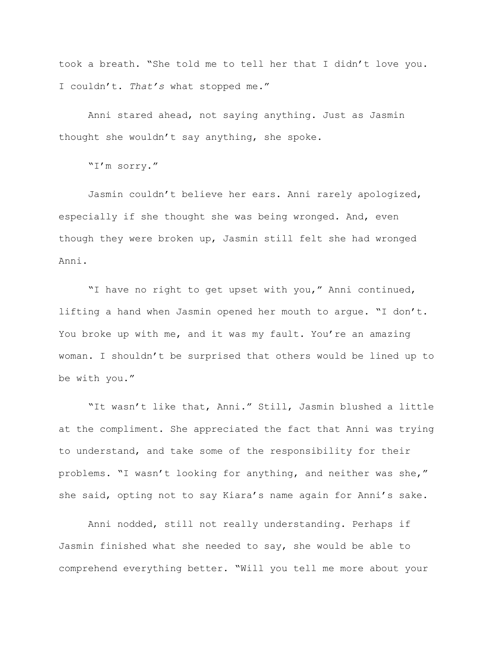took a breath. "She told me to tell her that I didn't love you. I couldn't. *That's* what stopped me."

Anni stared ahead, not saying anything. Just as Jasmin thought she wouldn't say anything, she spoke.

"I'm sorry."

Jasmin couldn't believe her ears. Anni rarely apologized, especially if she thought she was being wronged. And, even though they were broken up, Jasmin still felt she had wronged Anni.

"I have no right to get upset with you," Anni continued, lifting a hand when Jasmin opened her mouth to argue. "I don't. You broke up with me, and it was my fault. You're an amazing woman. I shouldn't be surprised that others would be lined up to be with you."

"It wasn't like that, Anni." Still, Jasmin blushed a little at the compliment. She appreciated the fact that Anni was trying to understand, and take some of the responsibility for their problems. "I wasn't looking for anything, and neither was she," she said, opting not to say Kiara's name again for Anni's sake.

Anni nodded, still not really understanding. Perhaps if Jasmin finished what she needed to say, she would be able to comprehend everything better. "Will you tell me more about your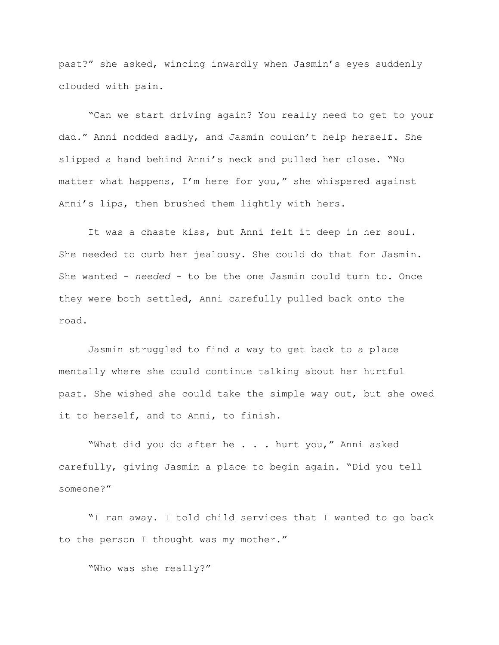past?" she asked, wincing inwardly when Jasmin's eyes suddenly clouded with pain.

"Can we start driving again? You really need to get to your dad." Anni nodded sadly, and Jasmin couldn't help herself. She slipped a hand behind Anni's neck and pulled her close. "No matter what happens, I'm here for you," she whispered against Anni's lips, then brushed them lightly with hers.

It was a chaste kiss, but Anni felt it deep in her soul. She needed to curb her jealousy. She could do that for Jasmin. She wanted - *needed* - to be the one Jasmin could turn to. Once they were both settled, Anni carefully pulled back onto the road.

Jasmin struggled to find a way to get back to a place mentally where she could continue talking about her hurtful past. She wished she could take the simple way out, but she owed it to herself, and to Anni, to finish.

"What did you do after he . . . hurt you," Anni asked carefully, giving Jasmin a place to begin again. "Did you tell someone?"

"I ran away. I told child services that I wanted to go back to the person I thought was my mother."

"Who was she really?"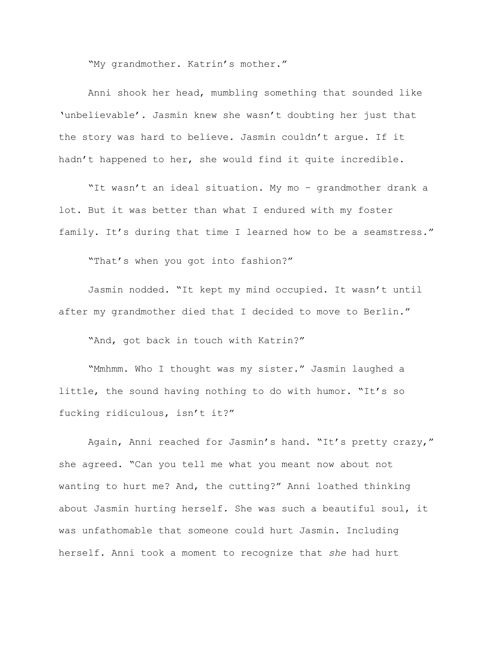"My grandmother. Katrin's mother."

Anni shook her head, mumbling something that sounded like 'unbelievable'. Jasmin knew she wasn't doubting her just that the story was hard to believe. Jasmin couldn't argue. If it hadn't happened to her, she would find it quite incredible.

"It wasn't an ideal situation. My mo – grandmother drank a lot. But it was better than what I endured with my foster family. It's during that time I learned how to be a seamstress."

"That's when you got into fashion?"

Jasmin nodded. "It kept my mind occupied. It wasn't until after my grandmother died that I decided to move to Berlin."

"And, got back in touch with Katrin?"

"Mmhmm. Who I thought was my sister." Jasmin laughed a little, the sound having nothing to do with humor. "It's so fucking ridiculous, isn't it?"

Again, Anni reached for Jasmin's hand. "It's pretty crazy," she agreed. "Can you tell me what you meant now about not wanting to hurt me? And, the cutting?" Anni loathed thinking about Jasmin hurting herself. She was such a beautiful soul, it was unfathomable that someone could hurt Jasmin. Including herself. Anni took a moment to recognize that *she* had hurt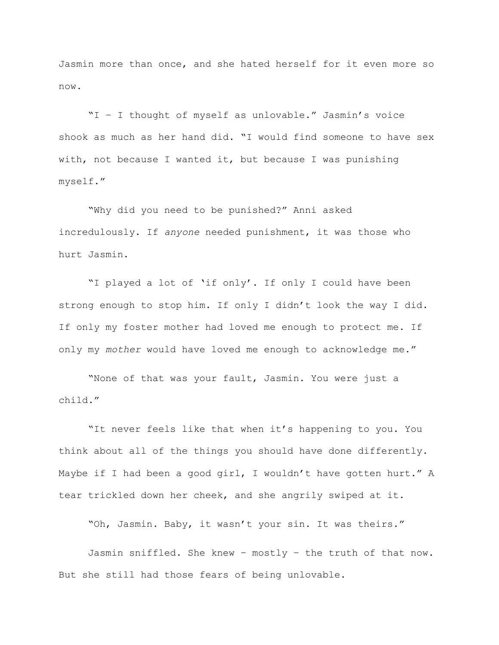Jasmin more than once, and she hated herself for it even more so now.

"I – I thought of myself as unlovable." Jasmin's voice shook as much as her hand did. "I would find someone to have sex with, not because I wanted it, but because I was punishing myself."

"Why did you need to be punished?" Anni asked incredulously. If *anyone* needed punishment, it was those who hurt Jasmin.

"I played a lot of 'if only'. If only I could have been strong enough to stop him. If only I didn't look the way I did. If only my foster mother had loved me enough to protect me. If only my *mother* would have loved me enough to acknowledge me."

"None of that was your fault, Jasmin. You were just a child."

"It never feels like that when it's happening to you. You think about all of the things you should have done differently. Maybe if I had been a good girl, I wouldn't have gotten hurt." A tear trickled down her cheek, and she angrily swiped at it.

"Oh, Jasmin. Baby, it wasn't your sin. It was theirs."

Jasmin sniffled. She knew – mostly – the truth of that now. But she still had those fears of being unlovable.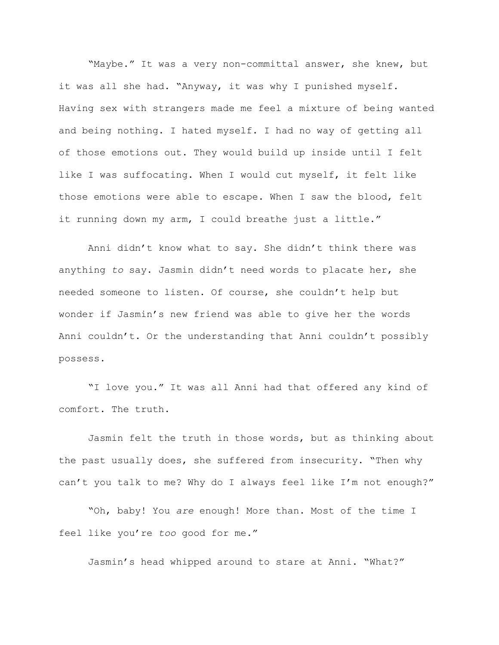"Maybe." It was a very non-committal answer, she knew, but it was all she had. "Anyway, it was why I punished myself. Having sex with strangers made me feel a mixture of being wanted and being nothing. I hated myself. I had no way of getting all of those emotions out. They would build up inside until I felt like I was suffocating. When I would cut myself, it felt like those emotions were able to escape. When I saw the blood, felt it running down my arm, I could breathe just a little."

Anni didn't know what to say. She didn't think there was anything *to* say. Jasmin didn't need words to placate her, she needed someone to listen. Of course, she couldn't help but wonder if Jasmin's new friend was able to give her the words Anni couldn't. Or the understanding that Anni couldn't possibly possess.

"I love you." It was all Anni had that offered any kind of comfort. The truth.

Jasmin felt the truth in those words, but as thinking about the past usually does, she suffered from insecurity. "Then why can't you talk to me? Why do I always feel like I'm not enough?"

"Oh, baby! You *are* enough! More than. Most of the time I feel like you're *too* good for me."

Jasmin's head whipped around to stare at Anni. "What?"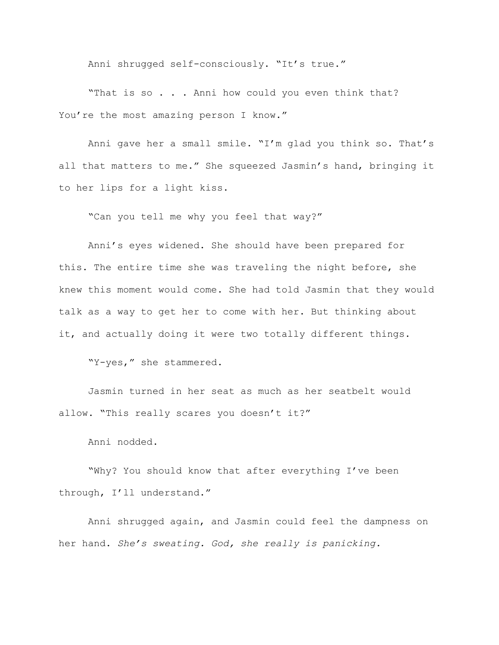Anni shrugged self-consciously. "It's true."

"That is so . . . Anni how could you even think that? You're the most amazing person I know."

Anni gave her a small smile. "I'm glad you think so. That's all that matters to me." She squeezed Jasmin's hand, bringing it to her lips for a light kiss.

"Can you tell me why you feel that way?"

Anni's eyes widened. She should have been prepared for this. The entire time she was traveling the night before, she knew this moment would come. She had told Jasmin that they would talk as a way to get her to come with her. But thinking about it, and actually doing it were two totally different things.

"Y-yes," she stammered.

Jasmin turned in her seat as much as her seatbelt would allow. "This really scares you doesn't it?"

Anni nodded.

"Why? You should know that after everything I've been through, I'll understand."

Anni shrugged again, and Jasmin could feel the dampness on her hand. *She's sweating. God, she really is panicking.*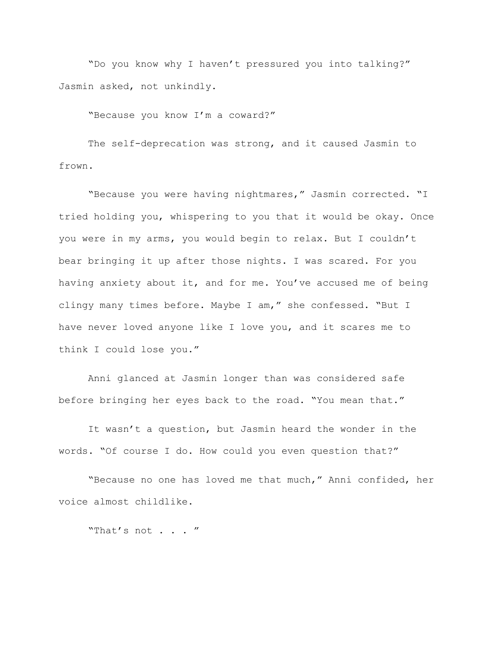"Do you know why I haven't pressured you into talking?" Jasmin asked, not unkindly.

"Because you know I'm a coward?"

The self-deprecation was strong, and it caused Jasmin to frown.

"Because you were having nightmares," Jasmin corrected. "I tried holding you, whispering to you that it would be okay. Once you were in my arms, you would begin to relax. But I couldn't bear bringing it up after those nights. I was scared. For you having anxiety about it, and for me. You've accused me of being clingy many times before. Maybe I am," she confessed. "But I have never loved anyone like I love you, and it scares me to think I could lose you."

Anni glanced at Jasmin longer than was considered safe before bringing her eyes back to the road. "You mean that."

It wasn't a question, but Jasmin heard the wonder in the words. "Of course I do. How could you even question that?"

"Because no one has loved me that much," Anni confided, her voice almost childlike.

"That's not . . . "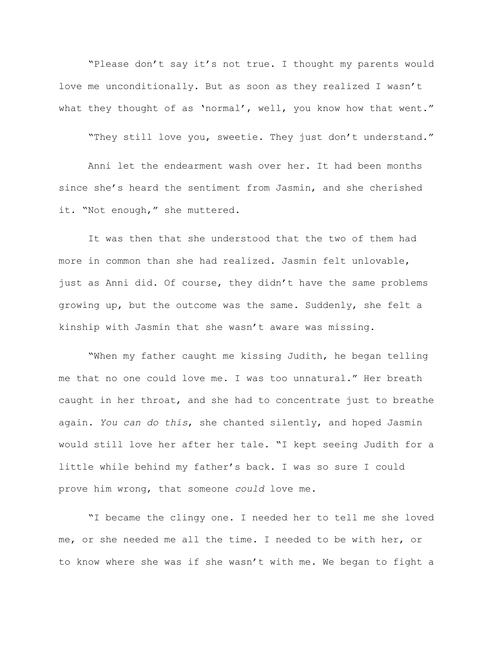"Please don't say it's not true. I thought my parents would love me unconditionally. But as soon as they realized I wasn't what they thought of as 'normal', well, you know how that went."

"They still love you, sweetie. They just don't understand."

Anni let the endearment wash over her. It had been months since she's heard the sentiment from Jasmin, and she cherished it. "Not enough," she muttered.

It was then that she understood that the two of them had more in common than she had realized. Jasmin felt unlovable, just as Anni did. Of course, they didn't have the same problems growing up, but the outcome was the same. Suddenly, she felt a kinship with Jasmin that she wasn't aware was missing.

"When my father caught me kissing Judith, he began telling me that no one could love me. I was too unnatural." Her breath caught in her throat, and she had to concentrate just to breathe again. *You can do this*, she chanted silently, and hoped Jasmin would still love her after her tale. "I kept seeing Judith for a little while behind my father's back. I was so sure I could prove him wrong, that someone *could* love me.

"I became the clingy one. I needed her to tell me she loved me, or she needed me all the time. I needed to be with her, or to know where she was if she wasn't with me. We began to fight a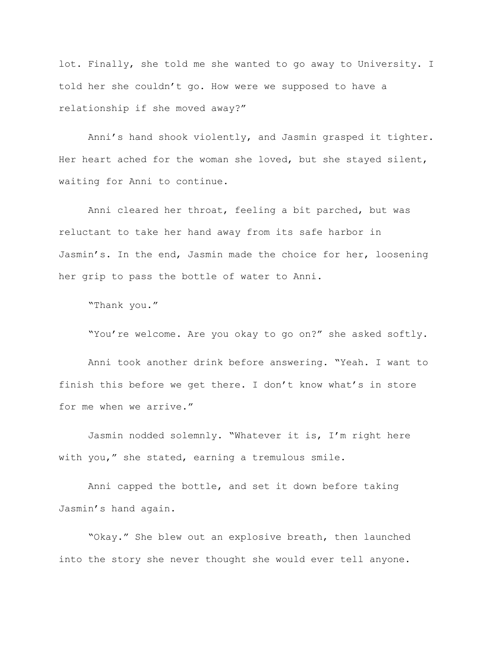lot. Finally, she told me she wanted to go away to University. I told her she couldn't go. How were we supposed to have a relationship if she moved away?"

Anni's hand shook violently, and Jasmin grasped it tighter. Her heart ached for the woman she loved, but she stayed silent, waiting for Anni to continue.

Anni cleared her throat, feeling a bit parched, but was reluctant to take her hand away from its safe harbor in Jasmin's. In the end, Jasmin made the choice for her, loosening her grip to pass the bottle of water to Anni.

"Thank you."

"You're welcome. Are you okay to go on?" she asked softly.

Anni took another drink before answering. "Yeah. I want to finish this before we get there. I don't know what's in store for me when we arrive."

Jasmin nodded solemnly. "Whatever it is, I'm right here with you," she stated, earning a tremulous smile.

Anni capped the bottle, and set it down before taking Jasmin's hand again.

"Okay." She blew out an explosive breath, then launched into the story she never thought she would ever tell anyone.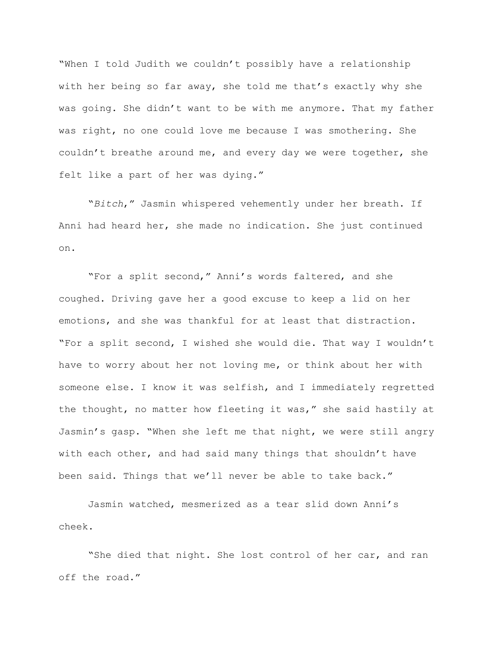"When I told Judith we couldn't possibly have a relationship with her being so far away, she told me that's exactly why she was going. She didn't want to be with me anymore. That my father was right, no one could love me because I was smothering. She couldn't breathe around me, and every day we were together, she felt like a part of her was dying."

"*Bitch*," Jasmin whispered vehemently under her breath. If Anni had heard her, she made no indication. She just continued on.

"For a split second," Anni's words faltered, and she coughed. Driving gave her a good excuse to keep a lid on her emotions, and she was thankful for at least that distraction. "For a split second, I wished she would die. That way I wouldn't have to worry about her not loving me, or think about her with someone else. I know it was selfish, and I immediately regretted the thought, no matter how fleeting it was," she said hastily at Jasmin's gasp. "When she left me that night, we were still angry with each other, and had said many things that shouldn't have been said. Things that we'll never be able to take back."

Jasmin watched, mesmerized as a tear slid down Anni's cheek.

"She died that night. She lost control of her car, and ran off the road."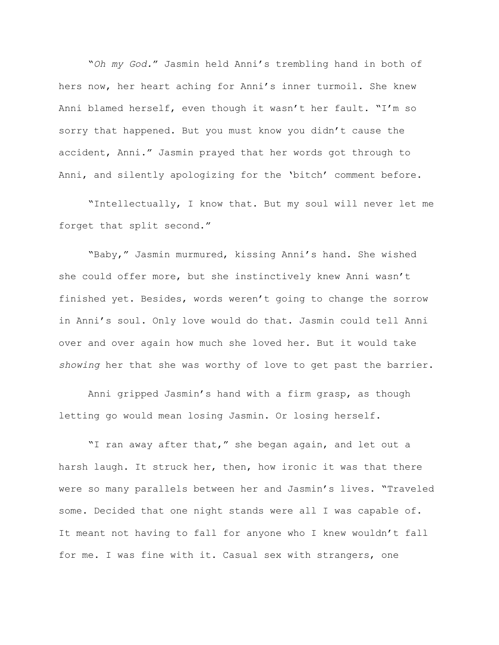"*Oh my God.*" Jasmin held Anni's trembling hand in both of hers now, her heart aching for Anni's inner turmoil. She knew Anni blamed herself, even though it wasn't her fault. "I'm so sorry that happened. But you must know you didn't cause the accident, Anni." Jasmin prayed that her words got through to Anni, and silently apologizing for the 'bitch' comment before.

"Intellectually, I know that. But my soul will never let me forget that split second."

"Baby," Jasmin murmured, kissing Anni's hand. She wished she could offer more, but she instinctively knew Anni wasn't finished yet. Besides, words weren't going to change the sorrow in Anni's soul. Only love would do that. Jasmin could tell Anni over and over again how much she loved her. But it would take *showing* her that she was worthy of love to get past the barrier.

Anni gripped Jasmin's hand with a firm grasp, as though letting go would mean losing Jasmin. Or losing herself.

"I ran away after that," she began again, and let out a harsh laugh. It struck her, then, how ironic it was that there were so many parallels between her and Jasmin's lives. "Traveled some. Decided that one night stands were all I was capable of. It meant not having to fall for anyone who I knew wouldn't fall for me. I was fine with it. Casual sex with strangers, one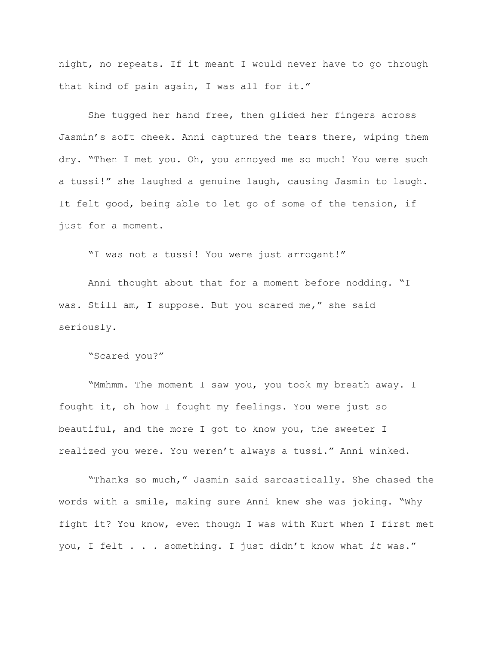night, no repeats. If it meant I would never have to go through that kind of pain again, I was all for it."

She tugged her hand free, then glided her fingers across Jasmin's soft cheek. Anni captured the tears there, wiping them dry. "Then I met you. Oh, you annoyed me so much! You were such a tussi!" she laughed a genuine laugh, causing Jasmin to laugh. It felt good, being able to let go of some of the tension, if just for a moment.

"I was not a tussi! You were just arrogant!"

Anni thought about that for a moment before nodding. "I was. Still am, I suppose. But you scared me," she said seriously.

"Scared you?"

"Mmhmm. The moment I saw you, you took my breath away. I fought it, oh how I fought my feelings. You were just so beautiful, and the more I got to know you, the sweeter I realized you were. You weren't always a tussi." Anni winked.

"Thanks so much," Jasmin said sarcastically. She chased the words with a smile, making sure Anni knew she was joking. "Why fight it? You know, even though I was with Kurt when I first met you, I felt . . . something. I just didn't know what *it* was."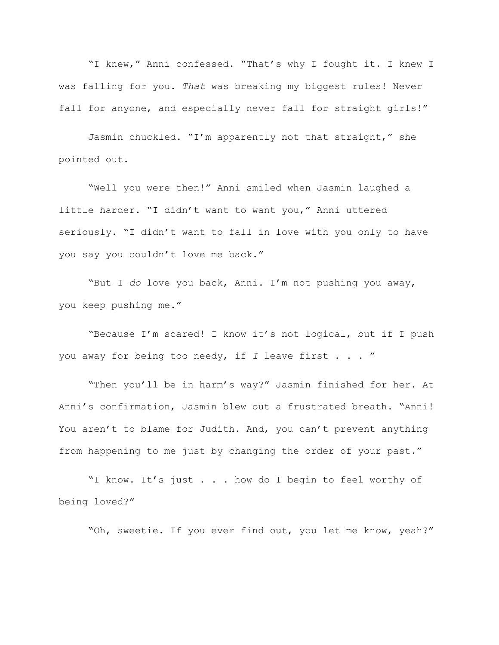"I knew," Anni confessed. "That's why I fought it. I knew I was falling for you. *That* was breaking my biggest rules! Never fall for anyone, and especially never fall for straight girls!"

Jasmin chuckled. "I'm apparently not that straight," she pointed out.

"Well you were then!" Anni smiled when Jasmin laughed a little harder. "I didn't want to want you," Anni uttered seriously. "I didn't want to fall in love with you only to have you say you couldn't love me back."

"But I *do* love you back, Anni. I'm not pushing you away, you keep pushing me."

"Because I'm scared! I know it's not logical, but if I push you away for being too needy, if *I* leave first . . . "

"Then you'll be in harm's way?" Jasmin finished for her. At Anni's confirmation, Jasmin blew out a frustrated breath. "Anni! You aren't to blame for Judith. And, you can't prevent anything from happening to me just by changing the order of your past."

"I know. It's just . . . how do I begin to feel worthy of being loved?"

"Oh, sweetie. If you ever find out, you let me know, yeah?"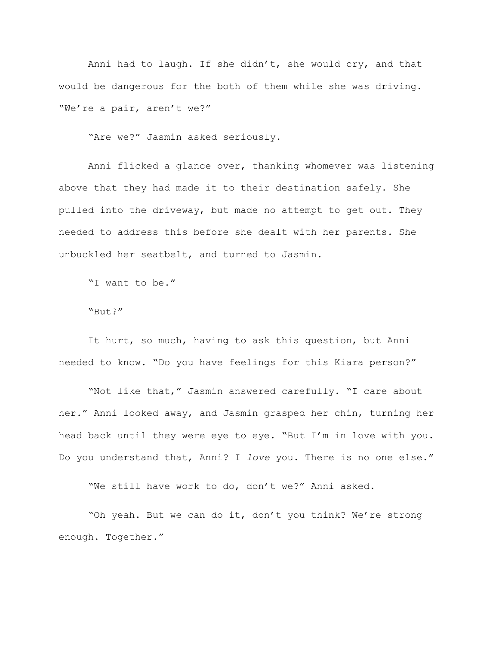Anni had to laugh. If she didn't, she would cry, and that would be dangerous for the both of them while she was driving. "We're a pair, aren't we?"

"Are we?" Jasmin asked seriously.

Anni flicked a glance over, thanking whomever was listening above that they had made it to their destination safely. She pulled into the driveway, but made no attempt to get out. They needed to address this before she dealt with her parents. She unbuckled her seatbelt, and turned to Jasmin.

"I want to be."

"But?"

It hurt, so much, having to ask this question, but Anni needed to know. "Do you have feelings for this Kiara person?"

"Not like that," Jasmin answered carefully. "I care about her." Anni looked away, and Jasmin grasped her chin, turning her head back until they were eye to eye. "But I'm in love with you. Do you understand that, Anni? I *love* you. There is no one else."

"We still have work to do, don't we?" Anni asked.

"Oh yeah. But we can do it, don't you think? We're strong enough. Together."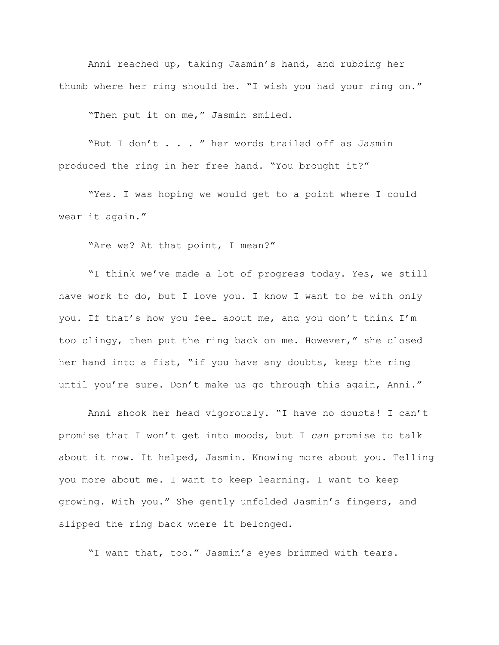Anni reached up, taking Jasmin's hand, and rubbing her thumb where her ring should be. "I wish you had your ring on."

"Then put it on me," Jasmin smiled.

"But I don't . . . " her words trailed off as Jasmin produced the ring in her free hand. "You brought it?"

"Yes. I was hoping we would get to a point where I could wear it again."

"Are we? At that point, I mean?"

"I think we've made a lot of progress today. Yes, we still have work to do, but I love you. I know I want to be with only you. If that's how you feel about me, and you don't think I'm too clingy, then put the ring back on me. However," she closed her hand into a fist, "if you have any doubts, keep the ring until you're sure. Don't make us go through this again, Anni."

Anni shook her head vigorously. "I have no doubts! I can't promise that I won't get into moods, but I *can* promise to talk about it now. It helped, Jasmin. Knowing more about you. Telling you more about me. I want to keep learning. I want to keep growing. With you." She gently unfolded Jasmin's fingers, and slipped the ring back where it belonged.

"I want that, too." Jasmin's eyes brimmed with tears.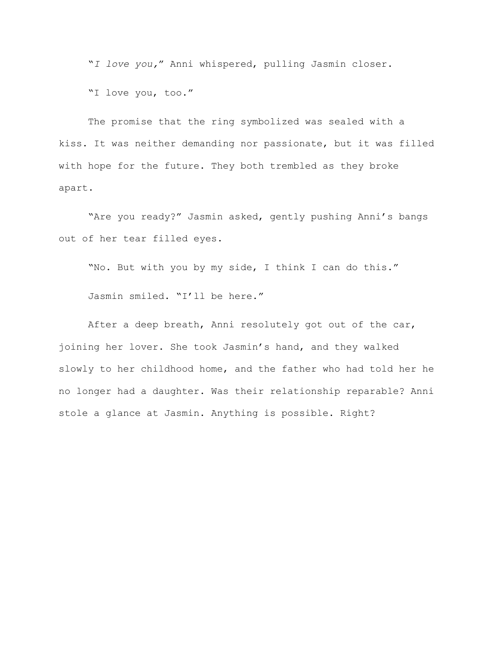"*I love you,*" Anni whispered, pulling Jasmin closer.

"I love you, too."

The promise that the ring symbolized was sealed with a kiss. It was neither demanding nor passionate, but it was filled with hope for the future. They both trembled as they broke apart.

"Are you ready?" Jasmin asked, gently pushing Anni's bangs out of her tear filled eyes.

"No. But with you by my side, I think I can do this."

Jasmin smiled. "I'll be here."

After a deep breath, Anni resolutely got out of the car, joining her lover. She took Jasmin's hand, and they walked slowly to her childhood home, and the father who had told her he no longer had a daughter. Was their relationship reparable? Anni stole a glance at Jasmin. Anything is possible. Right?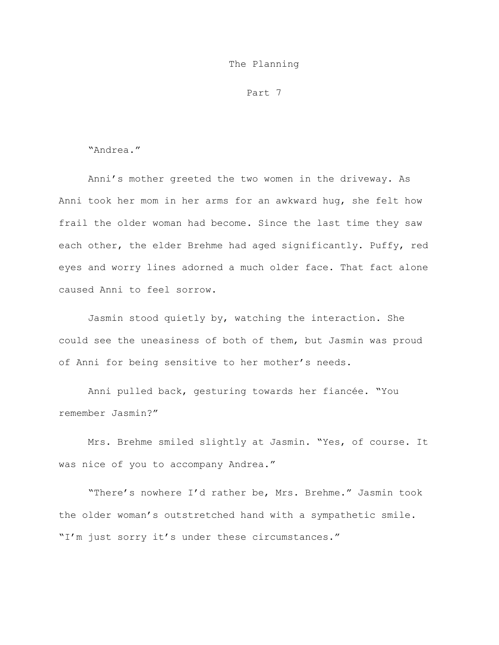## The Planning

Part 7

"Andrea."

Anni's mother greeted the two women in the driveway. As Anni took her mom in her arms for an awkward hug, she felt how frail the older woman had become. Since the last time they saw each other, the elder Brehme had aged significantly. Puffy, red eyes and worry lines adorned a much older face. That fact alone caused Anni to feel sorrow.

Jasmin stood quietly by, watching the interaction. She could see the uneasiness of both of them, but Jasmin was proud of Anni for being sensitive to her mother's needs.

Anni pulled back, gesturing towards her fiancée. "You remember Jasmin?"

Mrs. Brehme smiled slightly at Jasmin. "Yes, of course. It was nice of you to accompany Andrea."

"There's nowhere I'd rather be, Mrs. Brehme." Jasmin took the older woman's outstretched hand with a sympathetic smile. "I'm just sorry it's under these circumstances."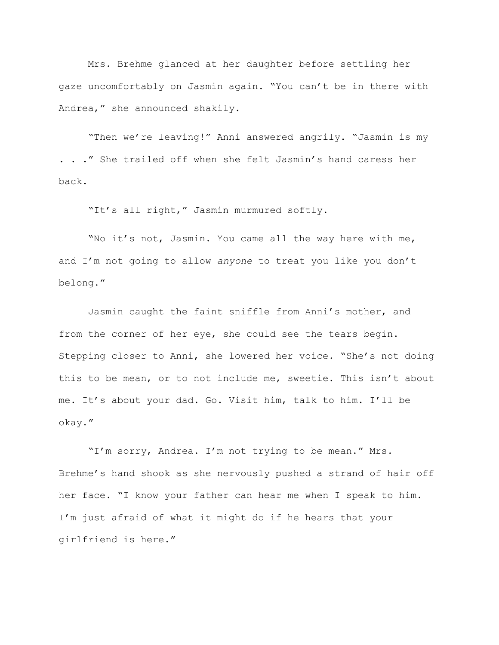Mrs. Brehme glanced at her daughter before settling her gaze uncomfortably on Jasmin again. "You can't be in there with Andrea," she announced shakily.

"Then we're leaving!" Anni answered angrily. "Jasmin is my . . ." She trailed off when she felt Jasmin's hand caress her back.

"It's all right," Jasmin murmured softly.

"No it's not, Jasmin. You came all the way here with me, and I'm not going to allow *anyone* to treat you like you don't belong."

Jasmin caught the faint sniffle from Anni's mother, and from the corner of her eye, she could see the tears begin. Stepping closer to Anni, she lowered her voice. "She's not doing this to be mean, or to not include me, sweetie. This isn't about me. It's about your dad. Go. Visit him, talk to him. I'll be okay."

"I'm sorry, Andrea. I'm not trying to be mean." Mrs. Brehme's hand shook as she nervously pushed a strand of hair off her face. "I know your father can hear me when I speak to him. I'm just afraid of what it might do if he hears that your girlfriend is here."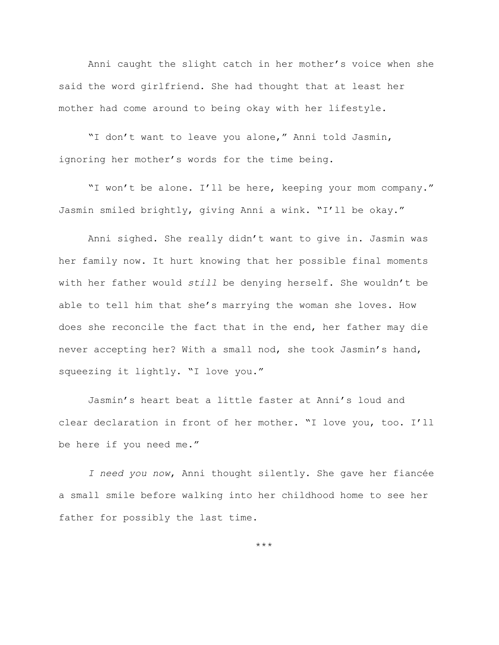Anni caught the slight catch in her mother's voice when she said the word girlfriend. She had thought that at least her mother had come around to being okay with her lifestyle.

"I don't want to leave you alone," Anni told Jasmin, ignoring her mother's words for the time being.

"I won't be alone. I'll be here, keeping your mom company." Jasmin smiled brightly, giving Anni a wink. "I'll be okay."

Anni sighed. She really didn't want to give in. Jasmin was her family now. It hurt knowing that her possible final moments with her father would *still* be denying herself. She wouldn't be able to tell him that she's marrying the woman she loves. How does she reconcile the fact that in the end, her father may die never accepting her? With a small nod, she took Jasmin's hand, squeezing it lightly. "I love you."

Jasmin's heart beat a little faster at Anni's loud and clear declaration in front of her mother. "I love you, too. I'll be here if you need me."

*I need you now*, Anni thought silently. She gave her fiancée a small smile before walking into her childhood home to see her father for possibly the last time.

\*\*\*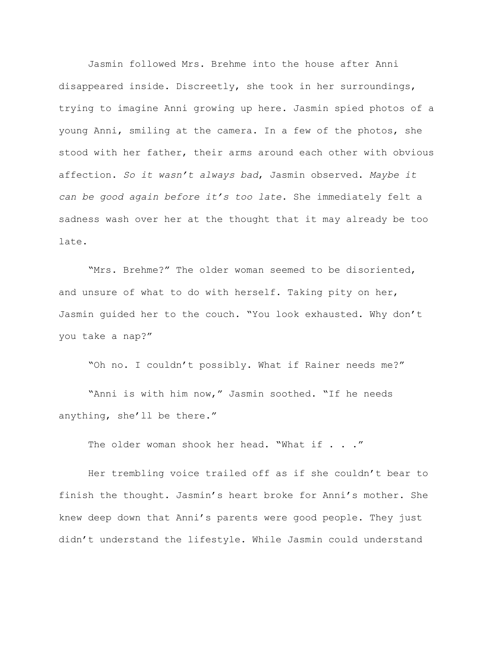Jasmin followed Mrs. Brehme into the house after Anni disappeared inside. Discreetly, she took in her surroundings, trying to imagine Anni growing up here. Jasmin spied photos of a young Anni, smiling at the camera. In a few of the photos, she stood with her father, their arms around each other with obvious affection. *So it wasn't always bad*, Jasmin observed. *Maybe it can be good again before it's too late*. She immediately felt a sadness wash over her at the thought that it may already be too late.

"Mrs. Brehme?" The older woman seemed to be disoriented, and unsure of what to do with herself. Taking pity on her, Jasmin guided her to the couch. "You look exhausted. Why don't you take a nap?"

"Oh no. I couldn't possibly. What if Rainer needs me?"

"Anni is with him now," Jasmin soothed. "If he needs anything, she'll be there."

The older woman shook her head. "What if . . ."

Her trembling voice trailed off as if she couldn't bear to finish the thought. Jasmin's heart broke for Anni's mother. She knew deep down that Anni's parents were good people. They just didn't understand the lifestyle. While Jasmin could understand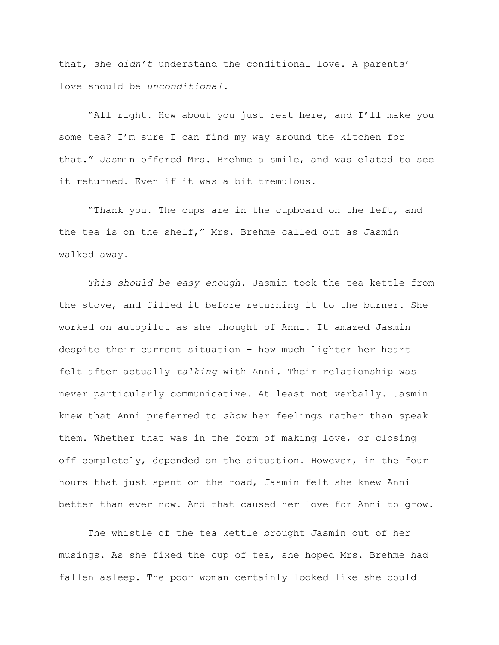that, she *didn't* understand the conditional love. A parents' love should be *unconditional*.

"All right. How about you just rest here, and I'll make you some tea? I'm sure I can find my way around the kitchen for that." Jasmin offered Mrs. Brehme a smile, and was elated to see it returned. Even if it was a bit tremulous.

"Thank you. The cups are in the cupboard on the left, and the tea is on the shelf," Mrs. Brehme called out as Jasmin walked away.

*This should be easy enough.* Jasmin took the tea kettle from the stove, and filled it before returning it to the burner. She worked on autopilot as she thought of Anni. It amazed Jasmin – despite their current situation - how much lighter her heart felt after actually *talking* with Anni. Their relationship was never particularly communicative. At least not verbally. Jasmin knew that Anni preferred to *show* her feelings rather than speak them. Whether that was in the form of making love, or closing off completely, depended on the situation. However, in the four hours that just spent on the road, Jasmin felt she knew Anni better than ever now. And that caused her love for Anni to grow.

The whistle of the tea kettle brought Jasmin out of her musings. As she fixed the cup of tea, she hoped Mrs. Brehme had fallen asleep. The poor woman certainly looked like she could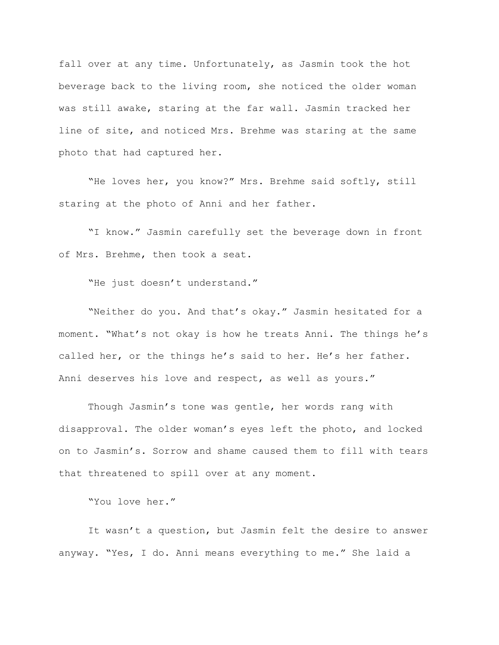fall over at any time. Unfortunately, as Jasmin took the hot beverage back to the living room, she noticed the older woman was still awake, staring at the far wall. Jasmin tracked her line of site, and noticed Mrs. Brehme was staring at the same photo that had captured her.

"He loves her, you know?" Mrs. Brehme said softly, still staring at the photo of Anni and her father.

"I know." Jasmin carefully set the beverage down in front of Mrs. Brehme, then took a seat.

"He just doesn't understand."

"Neither do you. And that's okay." Jasmin hesitated for a moment. "What's not okay is how he treats Anni. The things he's called her, or the things he's said to her. He's her father. Anni deserves his love and respect, as well as yours."

Though Jasmin's tone was gentle, her words rang with disapproval. The older woman's eyes left the photo, and locked on to Jasmin's. Sorrow and shame caused them to fill with tears that threatened to spill over at any moment.

"You love her."

It wasn't a question, but Jasmin felt the desire to answer anyway. "Yes, I do. Anni means everything to me." She laid a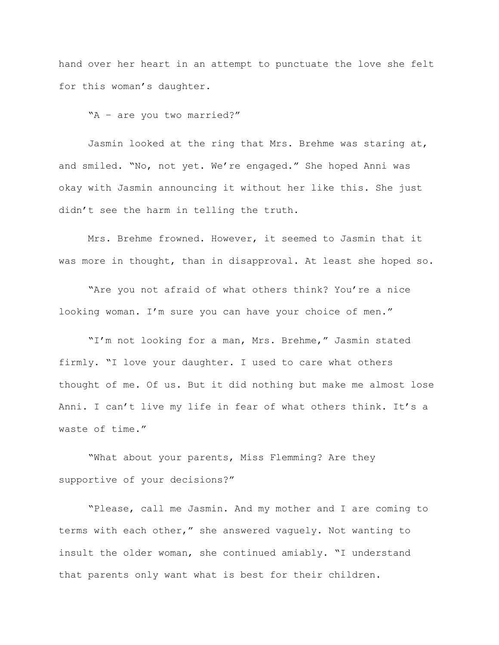hand over her heart in an attempt to punctuate the love she felt for this woman's daughter.

"A – are you two married?"

Jasmin looked at the ring that Mrs. Brehme was staring at, and smiled. "No, not yet. We're engaged." She hoped Anni was okay with Jasmin announcing it without her like this. She just didn't see the harm in telling the truth.

Mrs. Brehme frowned. However, it seemed to Jasmin that it was more in thought, than in disapproval. At least she hoped so.

"Are you not afraid of what others think? You're a nice looking woman. I'm sure you can have your choice of men."

"I'm not looking for a man, Mrs. Brehme," Jasmin stated firmly. "I love your daughter. I used to care what others thought of me. Of us. But it did nothing but make me almost lose Anni. I can't live my life in fear of what others think. It's a waste of time."

"What about your parents, Miss Flemming? Are they supportive of your decisions?"

"Please, call me Jasmin. And my mother and I are coming to terms with each other," she answered vaguely. Not wanting to insult the older woman, she continued amiably. "I understand that parents only want what is best for their children.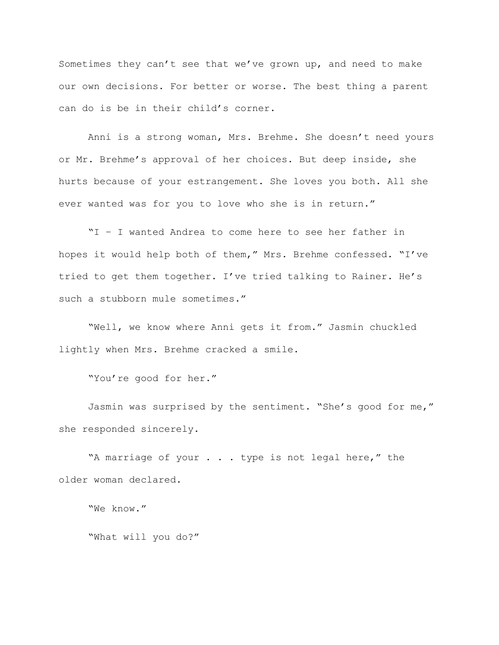Sometimes they can't see that we've grown up, and need to make our own decisions. For better or worse. The best thing a parent can do is be in their child's corner.

Anni is a strong woman, Mrs. Brehme. She doesn't need yours or Mr. Brehme's approval of her choices. But deep inside, she hurts because of your estrangement. She loves you both. All she ever wanted was for you to love who she is in return."

"I – I wanted Andrea to come here to see her father in hopes it would help both of them," Mrs. Brehme confessed. "I've tried to get them together. I've tried talking to Rainer. He's such a stubborn mule sometimes."

"Well, we know where Anni gets it from." Jasmin chuckled lightly when Mrs. Brehme cracked a smile.

"You're good for her."

Jasmin was surprised by the sentiment. "She's good for me," she responded sincerely.

"A marriage of your . . . type is not legal here," the older woman declared.

"We know."

"What will you do?"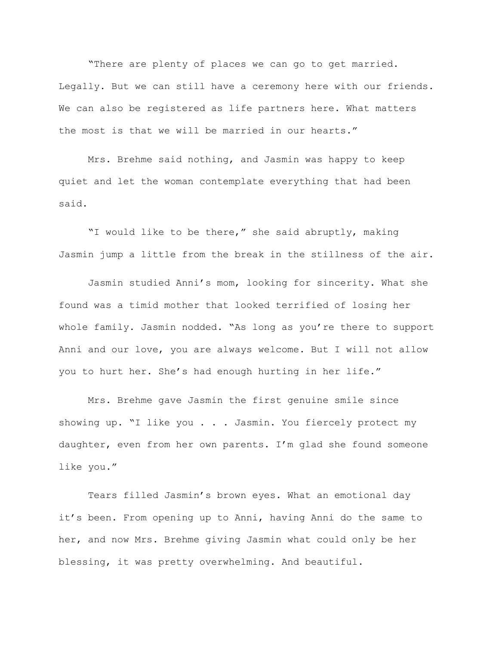"There are plenty of places we can go to get married. Legally. But we can still have a ceremony here with our friends. We can also be registered as life partners here. What matters the most is that we will be married in our hearts."

Mrs. Brehme said nothing, and Jasmin was happy to keep quiet and let the woman contemplate everything that had been said.

"I would like to be there," she said abruptly, making Jasmin jump a little from the break in the stillness of the air.

Jasmin studied Anni's mom, looking for sincerity. What she found was a timid mother that looked terrified of losing her whole family. Jasmin nodded. "As long as you're there to support Anni and our love, you are always welcome. But I will not allow you to hurt her. She's had enough hurting in her life."

Mrs. Brehme gave Jasmin the first genuine smile since showing up. "I like you . . . Jasmin. You fiercely protect my daughter, even from her own parents. I'm glad she found someone like you."

Tears filled Jasmin's brown eyes. What an emotional day it's been. From opening up to Anni, having Anni do the same to her, and now Mrs. Brehme giving Jasmin what could only be her blessing, it was pretty overwhelming. And beautiful.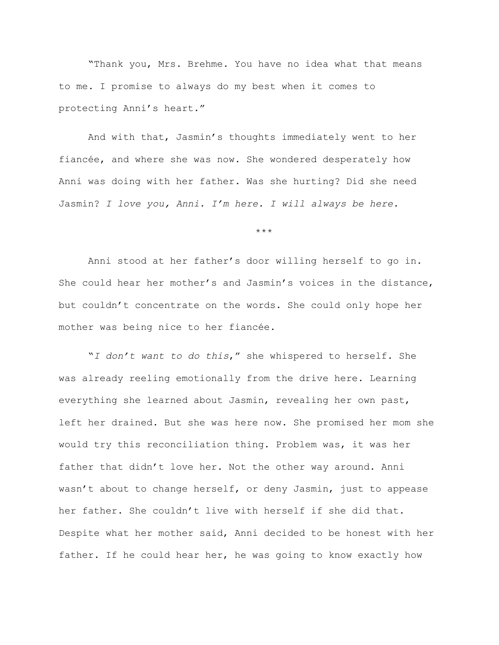"Thank you, Mrs. Brehme. You have no idea what that means to me. I promise to always do my best when it comes to protecting Anni's heart."

And with that, Jasmin's thoughts immediately went to her fiancée, and where she was now. She wondered desperately how Anni was doing with her father. Was she hurting? Did she need Jasmin? *I love you, Anni. I'm here. I will always be here.*

\*\*\*

Anni stood at her father's door willing herself to go in. She could hear her mother's and Jasmin's voices in the distance, but couldn't concentrate on the words. She could only hope her mother was being nice to her fiancée.

"*I don't want to do this*," she whispered to herself. She was already reeling emotionally from the drive here. Learning everything she learned about Jasmin, revealing her own past, left her drained. But she was here now. She promised her mom she would try this reconciliation thing. Problem was, it was her father that didn't love her. Not the other way around. Anni wasn't about to change herself, or deny Jasmin, just to appease her father. She couldn't live with herself if she did that. Despite what her mother said, Anni decided to be honest with her father. If he could hear her, he was going to know exactly how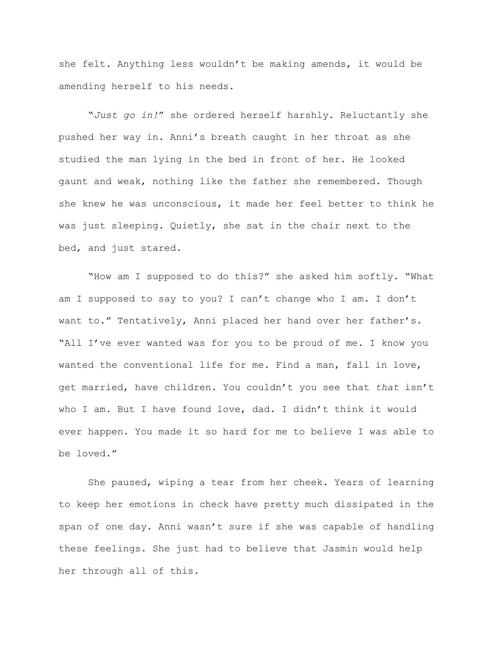she felt. Anything less wouldn't be making amends, it would be amending herself to his needs.

"*Just go in!*" she ordered herself harshly. Reluctantly she pushed her way in. Anni's breath caught in her throat as she studied the man lying in the bed in front of her. He looked gaunt and weak, nothing like the father she remembered. Though she knew he was unconscious, it made her feel better to think he was just sleeping. Quietly, she sat in the chair next to the bed, and just stared.

"How am I supposed to do this?" she asked him softly. "What am I supposed to say to you? I can't change who I am. I don't want to." Tentatively, Anni placed her hand over her father's. "All I've ever wanted was for you to be proud of me. I know you wanted the conventional life for me. Find a man, fall in love, get married, have children. You couldn't you see that *that* isn't who I am. But I have found love, dad. I didn't think it would ever happen. You made it so hard for me to believe I was able to be loved."

She paused, wiping a tear from her cheek. Years of learning to keep her emotions in check have pretty much dissipated in the span of one day. Anni wasn't sure if she was capable of handling these feelings. She just had to believe that Jasmin would help her through all of this.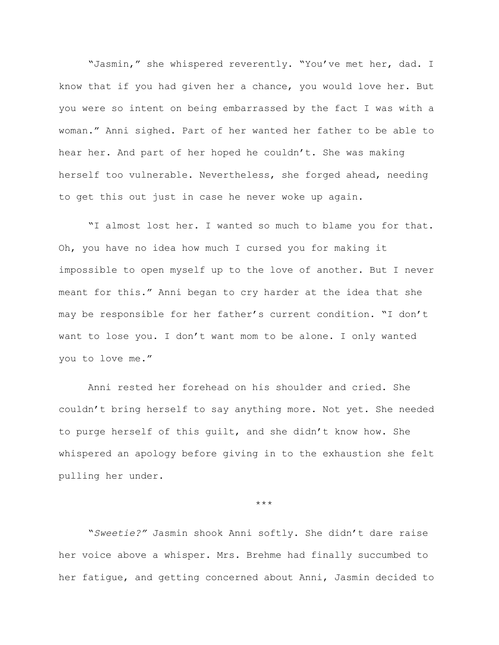"Jasmin," she whispered reverently. "You've met her, dad. I know that if you had given her a chance, you would love her. But you were so intent on being embarrassed by the fact I was with a woman." Anni sighed. Part of her wanted her father to be able to hear her. And part of her hoped he couldn't. She was making herself too vulnerable. Nevertheless, she forged ahead, needing to get this out just in case he never woke up again.

"I almost lost her. I wanted so much to blame you for that. Oh, you have no idea how much I cursed you for making it impossible to open myself up to the love of another. But I never meant for this." Anni began to cry harder at the idea that she may be responsible for her father's current condition. "I don't want to lose you. I don't want mom to be alone. I only wanted you to love me."

Anni rested her forehead on his shoulder and cried. She couldn't bring herself to say anything more. Not yet. She needed to purge herself of this guilt, and she didn't know how. She whispered an apology before giving in to the exhaustion she felt pulling her under.

\*\*\*

"*Sweetie?"* Jasmin shook Anni softly. She didn't dare raise her voice above a whisper. Mrs. Brehme had finally succumbed to her fatigue, and getting concerned about Anni, Jasmin decided to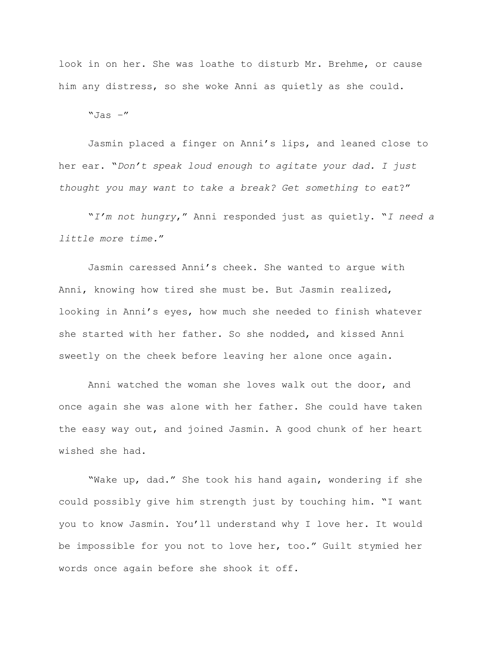look in on her. She was loathe to disturb Mr. Brehme, or cause him any distress, so she woke Anni as quietly as she could.

 $"Jas -"$ 

Jasmin placed a finger on Anni's lips, and leaned close to her ear. "*Don't speak loud enough to agitate your dad. I just thought you may want to take a break? Get something to eat*?"

"*I'm not hungry*," Anni responded just as quietly. "*I need a little more time.*"

Jasmin caressed Anni's cheek. She wanted to argue with Anni, knowing how tired she must be. But Jasmin realized, looking in Anni's eyes, how much she needed to finish whatever she started with her father. So she nodded, and kissed Anni sweetly on the cheek before leaving her alone once again.

Anni watched the woman she loves walk out the door, and once again she was alone with her father. She could have taken the easy way out, and joined Jasmin. A good chunk of her heart wished she had.

"Wake up, dad." She took his hand again, wondering if she could possibly give him strength just by touching him. "I want you to know Jasmin. You'll understand why I love her. It would be impossible for you not to love her, too." Guilt stymied her words once again before she shook it off.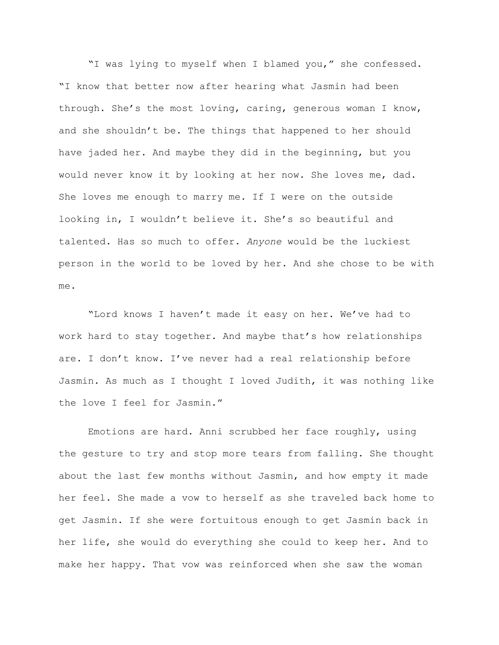"I was lying to myself when I blamed you," she confessed. "I know that better now after hearing what Jasmin had been through. She's the most loving, caring, generous woman I know, and she shouldn't be. The things that happened to her should have jaded her. And maybe they did in the beginning, but you would never know it by looking at her now. She loves me, dad. She loves me enough to marry me. If I were on the outside looking in, I wouldn't believe it. She's so beautiful and talented. Has so much to offer. *Anyone* would be the luckiest person in the world to be loved by her. And she chose to be with me.

"Lord knows I haven't made it easy on her. We've had to work hard to stay together. And maybe that's how relationships are. I don't know. I've never had a real relationship before Jasmin. As much as I thought I loved Judith, it was nothing like the love I feel for Jasmin."

Emotions are hard. Anni scrubbed her face roughly, using the gesture to try and stop more tears from falling. She thought about the last few months without Jasmin, and how empty it made her feel. She made a vow to herself as she traveled back home to get Jasmin. If she were fortuitous enough to get Jasmin back in her life, she would do everything she could to keep her. And to make her happy. That vow was reinforced when she saw the woman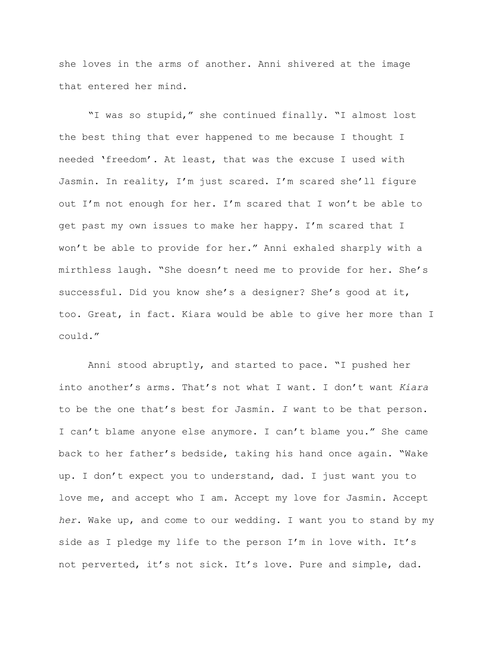she loves in the arms of another. Anni shivered at the image that entered her mind.

"I was so stupid," she continued finally. "I almost lost the best thing that ever happened to me because I thought I needed 'freedom'. At least, that was the excuse I used with Jasmin. In reality, I'm just scared. I'm scared she'll figure out I'm not enough for her. I'm scared that I won't be able to get past my own issues to make her happy. I'm scared that I won't be able to provide for her." Anni exhaled sharply with a mirthless laugh. "She doesn't need me to provide for her. She's successful. Did you know she's a designer? She's good at it, too. Great, in fact. Kiara would be able to give her more than I could."

Anni stood abruptly, and started to pace. "I pushed her into another's arms. That's not what I want. I don't want *Kiara* to be the one that's best for Jasmin. *I* want to be that person. I can't blame anyone else anymore. I can't blame you." She came back to her father's bedside, taking his hand once again. "Wake up. I don't expect you to understand, dad. I just want you to love me, and accept who I am. Accept my love for Jasmin. Accept *her*. Wake up, and come to our wedding. I want you to stand by my side as I pledge my life to the person I'm in love with. It's not perverted, it's not sick. It's love. Pure and simple, dad.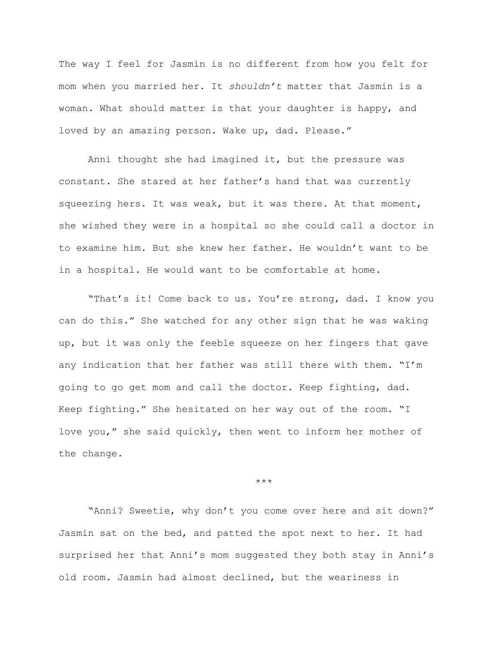The way I feel for Jasmin is no different from how you felt for mom when you married her. It *shouldn't* matter that Jasmin is a woman. What should matter is that your daughter is happy, and loved by an amazing person. Wake up, dad. Please."

Anni thought she had imagined it, but the pressure was constant. She stared at her father's hand that was currently squeezing hers. It was weak, but it was there. At that moment, she wished they were in a hospital so she could call a doctor in to examine him. But she knew her father. He wouldn't want to be in a hospital. He would want to be comfortable at home.

"That's it! Come back to us. You're strong, dad. I know you can do this." She watched for any other sign that he was waking up, but it was only the feeble squeeze on her fingers that gave any indication that her father was still there with them. "I'm going to go get mom and call the doctor. Keep fighting, dad. Keep fighting." She hesitated on her way out of the room. "I love you," she said quickly, then went to inform her mother of the change.

\*\*\*

"Anni? Sweetie, why don't you come over here and sit down?" Jasmin sat on the bed, and patted the spot next to her. It had surprised her that Anni's mom suggested they both stay in Anni's old room. Jasmin had almost declined, but the weariness in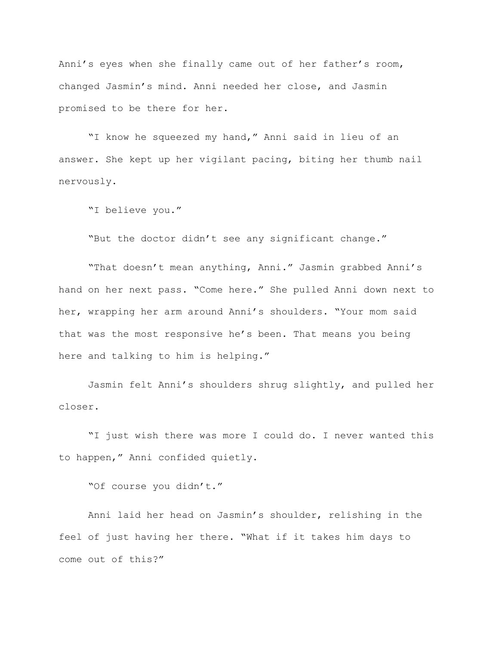Anni's eyes when she finally came out of her father's room, changed Jasmin's mind. Anni needed her close, and Jasmin promised to be there for her.

"I know he squeezed my hand," Anni said in lieu of an answer. She kept up her vigilant pacing, biting her thumb nail nervously.

"I believe you."

"But the doctor didn't see any significant change."

"That doesn't mean anything, Anni." Jasmin grabbed Anni's hand on her next pass. "Come here." She pulled Anni down next to her, wrapping her arm around Anni's shoulders. "Your mom said that was the most responsive he's been. That means you being here and talking to him is helping."

Jasmin felt Anni's shoulders shrug slightly, and pulled her closer.

"I just wish there was more I could do. I never wanted this to happen," Anni confided quietly.

"Of course you didn't."

Anni laid her head on Jasmin's shoulder, relishing in the feel of just having her there. "What if it takes him days to come out of this?"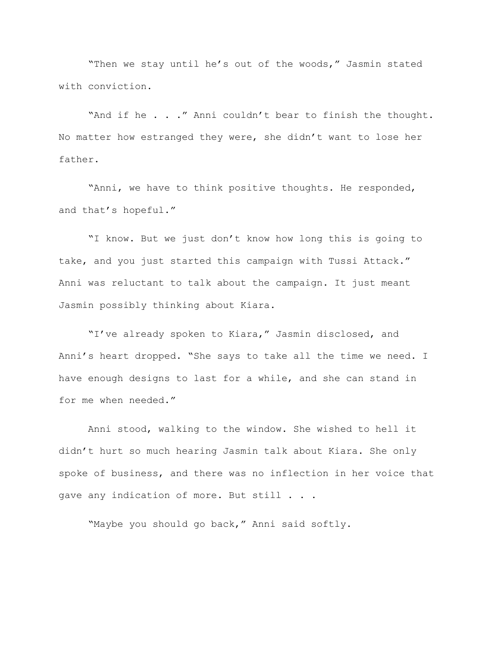"Then we stay until he's out of the woods," Jasmin stated with conviction.

"And if he . . ." Anni couldn't bear to finish the thought. No matter how estranged they were, she didn't want to lose her father.

"Anni, we have to think positive thoughts. He responded, and that's hopeful."

"I know. But we just don't know how long this is going to take, and you just started this campaign with Tussi Attack." Anni was reluctant to talk about the campaign. It just meant Jasmin possibly thinking about Kiara.

"I've already spoken to Kiara," Jasmin disclosed, and Anni's heart dropped. "She says to take all the time we need. I have enough designs to last for a while, and she can stand in for me when needed."

Anni stood, walking to the window. She wished to hell it didn't hurt so much hearing Jasmin talk about Kiara. She only spoke of business, and there was no inflection in her voice that gave any indication of more. But still . . .

"Maybe you should go back," Anni said softly.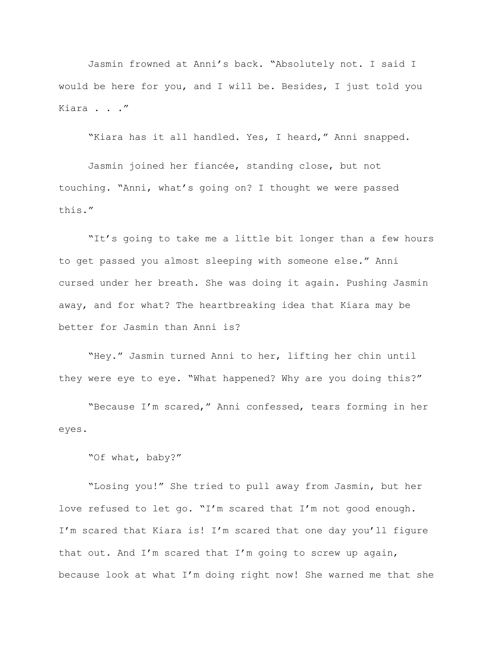Jasmin frowned at Anni's back. "Absolutely not. I said I would be here for you, and I will be. Besides, I just told you Kiara . . ."

"Kiara has it all handled. Yes, I heard," Anni snapped.

Jasmin joined her fiancée, standing close, but not touching. "Anni, what's going on? I thought we were passed this."

"It's going to take me a little bit longer than a few hours to get passed you almost sleeping with someone else." Anni cursed under her breath. She was doing it again. Pushing Jasmin away, and for what? The heartbreaking idea that Kiara may be better for Jasmin than Anni is?

"Hey." Jasmin turned Anni to her, lifting her chin until they were eye to eye. "What happened? Why are you doing this?"

"Because I'm scared," Anni confessed, tears forming in her eyes.

"Of what, baby?"

"Losing you!" She tried to pull away from Jasmin, but her love refused to let go. "I'm scared that I'm not good enough. I'm scared that Kiara is! I'm scared that one day you'll figure that out. And I'm scared that I'm going to screw up again, because look at what I'm doing right now! She warned me that she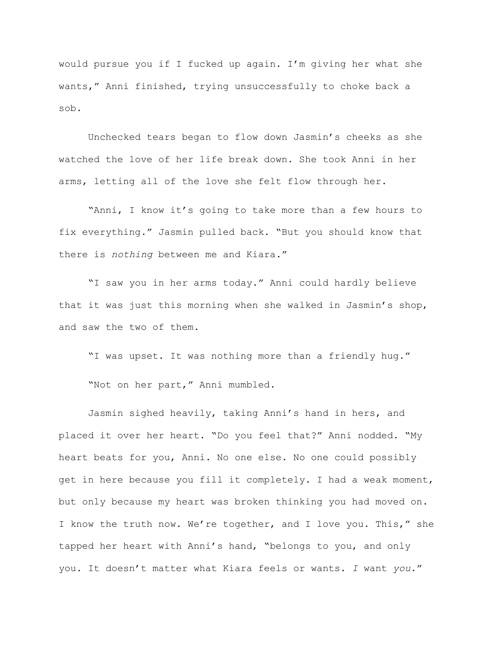would pursue you if I fucked up again. I'm giving her what she wants," Anni finished, trying unsuccessfully to choke back a sob.

Unchecked tears began to flow down Jasmin's cheeks as she watched the love of her life break down. She took Anni in her arms, letting all of the love she felt flow through her.

"Anni, I know it's going to take more than a few hours to fix everything." Jasmin pulled back. "But you should know that there is *nothing* between me and Kiara."

"I saw you in her arms today." Anni could hardly believe that it was just this morning when she walked in Jasmin's shop, and saw the two of them.

"I was upset. It was nothing more than a friendly hug." "Not on her part," Anni mumbled.

Jasmin sighed heavily, taking Anni's hand in hers, and placed it over her heart. "Do you feel that?" Anni nodded. "My heart beats for you, Anni. No one else. No one could possibly get in here because you fill it completely. I had a weak moment, but only because my heart was broken thinking you had moved on. I know the truth now. We're together, and I love you. This," she tapped her heart with Anni's hand, "belongs to you, and only you. It doesn't matter what Kiara feels or wants. *I* want *you*."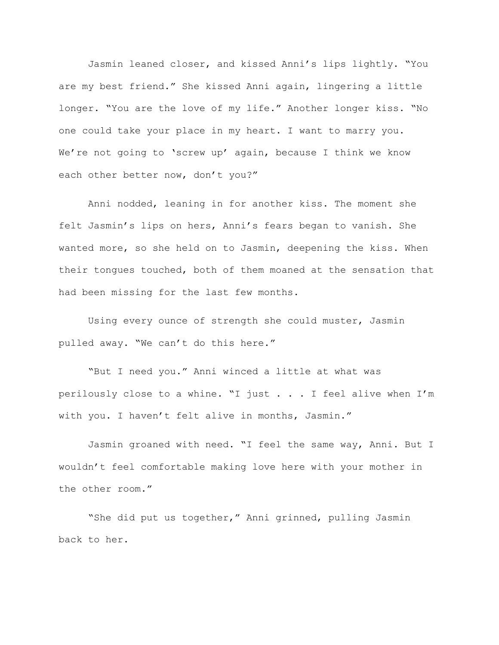Jasmin leaned closer, and kissed Anni's lips lightly. "You are my best friend." She kissed Anni again, lingering a little longer. "You are the love of my life." Another longer kiss. "No one could take your place in my heart. I want to marry you. We're not going to 'screw up' again, because I think we know each other better now, don't you?"

Anni nodded, leaning in for another kiss. The moment she felt Jasmin's lips on hers, Anni's fears began to vanish. She wanted more, so she held on to Jasmin, deepening the kiss. When their tongues touched, both of them moaned at the sensation that had been missing for the last few months.

Using every ounce of strength she could muster, Jasmin pulled away. "We can't do this here."

"But I need you." Anni winced a little at what was perilously close to a whine. "I just . . . I feel alive when I'm with you. I haven't felt alive in months, Jasmin."

Jasmin groaned with need. "I feel the same way, Anni. But I wouldn't feel comfortable making love here with your mother in the other room."

"She did put us together," Anni grinned, pulling Jasmin back to her.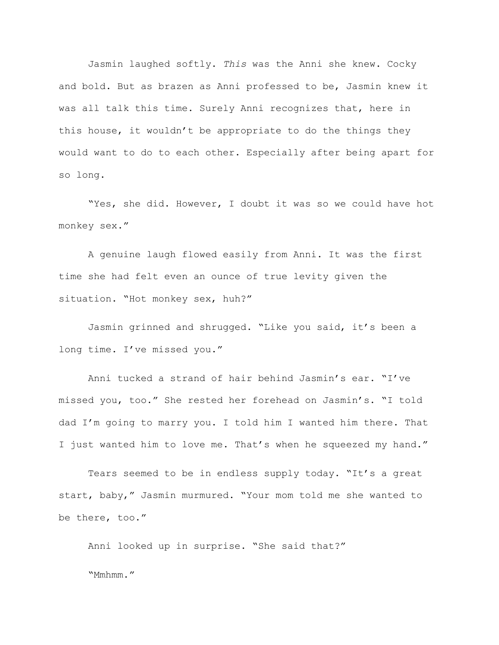Jasmin laughed softly. *This* was the Anni she knew. Cocky and bold. But as brazen as Anni professed to be, Jasmin knew it was all talk this time. Surely Anni recognizes that, here in this house, it wouldn't be appropriate to do the things they would want to do to each other. Especially after being apart for so long.

"Yes, she did. However, I doubt it was so we could have hot monkey sex."

A genuine laugh flowed easily from Anni. It was the first time she had felt even an ounce of true levity given the situation. "Hot monkey sex, huh?"

Jasmin grinned and shrugged. "Like you said, it's been a long time. I've missed you."

Anni tucked a strand of hair behind Jasmin's ear. "I've missed you, too." She rested her forehead on Jasmin's. "I told dad I'm going to marry you. I told him I wanted him there. That I just wanted him to love me. That's when he squeezed my hand."

Tears seemed to be in endless supply today. "It's a great start, baby," Jasmin murmured. "Your mom told me she wanted to be there, too."

Anni looked up in surprise. "She said that?" "Mmhmm."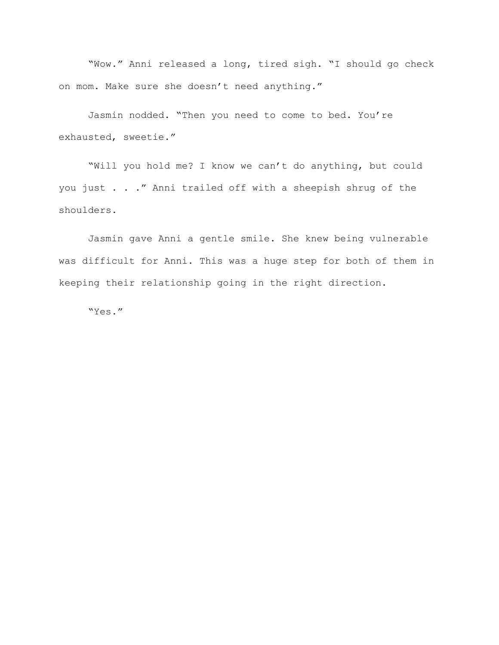"Wow." Anni released a long, tired sigh. "I should go check on mom. Make sure she doesn't need anything."

Jasmin nodded. "Then you need to come to bed. You're exhausted, sweetie."

"Will you hold me? I know we can't do anything, but could you just . . ." Anni trailed off with a sheepish shrug of the shoulders.

Jasmin gave Anni a gentle smile. She knew being vulnerable was difficult for Anni. This was a huge step for both of them in keeping their relationship going in the right direction.

"Yes."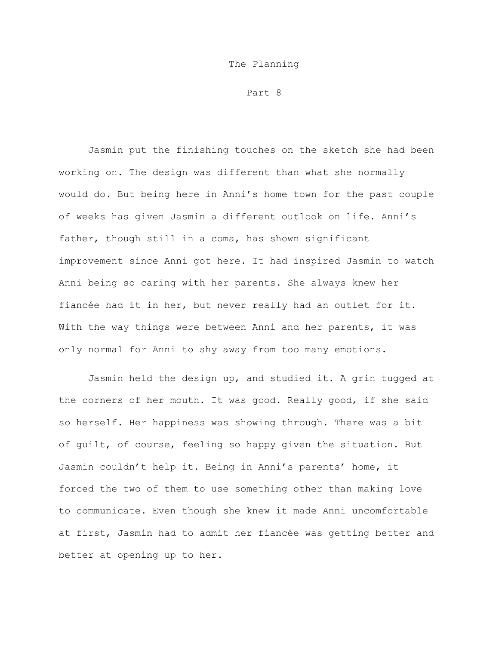## The Planning

Part 8

Jasmin put the finishing touches on the sketch she had been working on. The design was different than what she normally would do. But being here in Anni's home town for the past couple of weeks has given Jasmin a different outlook on life. Anni's father, though still in a coma, has shown significant improvement since Anni got here. It had inspired Jasmin to watch Anni being so caring with her parents. She always knew her fiancée had it in her, but never really had an outlet for it. With the way things were between Anni and her parents, it was only normal for Anni to shy away from too many emotions.

Jasmin held the design up, and studied it. A grin tugged at the corners of her mouth. It was good. Really good, if she said so herself. Her happiness was showing through. There was a bit of guilt, of course, feeling so happy given the situation. But Jasmin couldn't help it. Being in Anni's parents' home, it forced the two of them to use something other than making love to communicate. Even though she knew it made Anni uncomfortable at first, Jasmin had to admit her fiancée was getting better and better at opening up to her.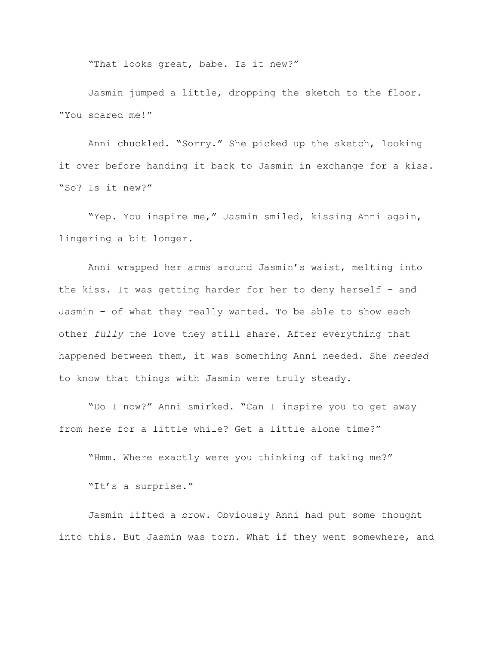"That looks great, babe. Is it new?"

Jasmin jumped a little, dropping the sketch to the floor. "You scared me!"

Anni chuckled. "Sorry." She picked up the sketch, looking it over before handing it back to Jasmin in exchange for a kiss. "So? Is it new?"

"Yep. You inspire me," Jasmin smiled, kissing Anni again, lingering a bit longer.

Anni wrapped her arms around Jasmin's waist, melting into the kiss. It was getting harder for her to deny herself – and Jasmin – of what they really wanted. To be able to show each other *fully* the love they still share. After everything that happened between them, it was something Anni needed. She *needed* to know that things with Jasmin were truly steady.

"Do I now?" Anni smirked. "Can I inspire you to get away from here for a little while? Get a little alone time?"

"Hmm. Where exactly were you thinking of taking me?"

"It's a surprise."

Jasmin lifted a brow. Obviously Anni had put some thought into this. But Jasmin was torn. What if they went somewhere, and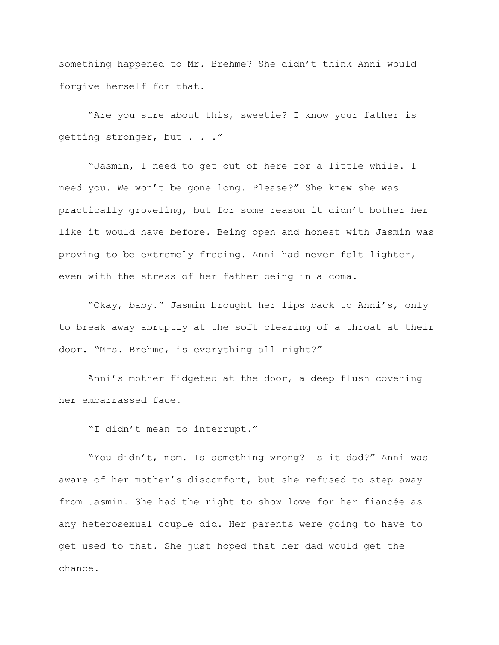something happened to Mr. Brehme? She didn't think Anni would forgive herself for that.

"Are you sure about this, sweetie? I know your father is getting stronger, but . . ."

"Jasmin, I need to get out of here for a little while. I need you. We won't be gone long. Please?" She knew she was practically groveling, but for some reason it didn't bother her like it would have before. Being open and honest with Jasmin was proving to be extremely freeing. Anni had never felt lighter, even with the stress of her father being in a coma.

"Okay, baby." Jasmin brought her lips back to Anni's, only to break away abruptly at the soft clearing of a throat at their door. "Mrs. Brehme, is everything all right?"

Anni's mother fidgeted at the door, a deep flush covering her embarrassed face.

"I didn't mean to interrupt."

"You didn't, mom. Is something wrong? Is it dad?" Anni was aware of her mother's discomfort, but she refused to step away from Jasmin. She had the right to show love for her fiancée as any heterosexual couple did. Her parents were going to have to get used to that. She just hoped that her dad would get the chance.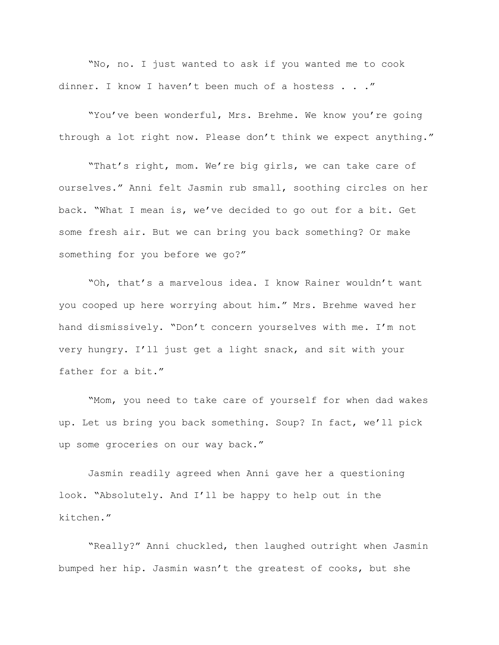"No, no. I just wanted to ask if you wanted me to cook dinner. I know I haven't been much of a hostess . . ."

"You've been wonderful, Mrs. Brehme. We know you're going through a lot right now. Please don't think we expect anything."

"That's right, mom. We're big girls, we can take care of ourselves." Anni felt Jasmin rub small, soothing circles on her back. "What I mean is, we've decided to go out for a bit. Get some fresh air. But we can bring you back something? Or make something for you before we go?"

"Oh, that's a marvelous idea. I know Rainer wouldn't want you cooped up here worrying about him." Mrs. Brehme waved her hand dismissively. "Don't concern yourselves with me. I'm not very hungry. I'll just get a light snack, and sit with your father for a bit."

"Mom, you need to take care of yourself for when dad wakes up. Let us bring you back something. Soup? In fact, we'll pick up some groceries on our way back."

Jasmin readily agreed when Anni gave her a questioning look. "Absolutely. And I'll be happy to help out in the kitchen."

"Really?" Anni chuckled, then laughed outright when Jasmin bumped her hip. Jasmin wasn't the greatest of cooks, but she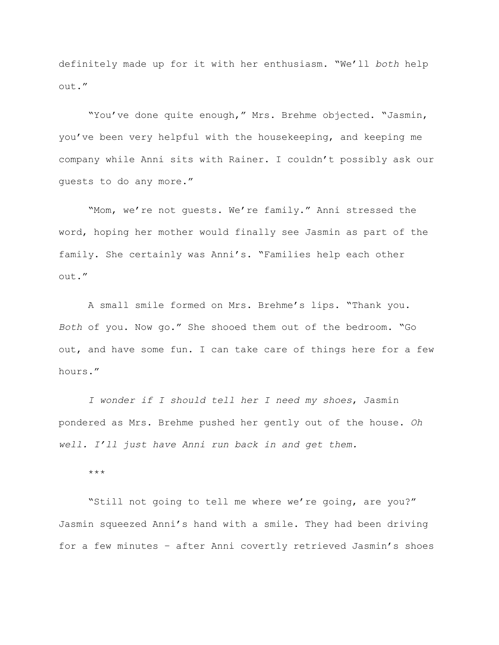definitely made up for it with her enthusiasm. "We'll *both* help out."

"You've done quite enough," Mrs. Brehme objected. "Jasmin, you've been very helpful with the housekeeping, and keeping me company while Anni sits with Rainer. I couldn't possibly ask our guests to do any more."

"Mom, we're not guests. We're family." Anni stressed the word, hoping her mother would finally see Jasmin as part of the family. She certainly was Anni's. "Families help each other out."

A small smile formed on Mrs. Brehme's lips. "Thank you. *Both* of you. Now go." She shooed them out of the bedroom. "Go out, and have some fun. I can take care of things here for a few hours."

*I wonder if I should tell her I need my shoes*, Jasmin pondered as Mrs. Brehme pushed her gently out of the house. *Oh well. I'll just have Anni run back in and get them.*

\*\*\*

"Still not going to tell me where we're going, are you?" Jasmin squeezed Anni's hand with a smile. They had been driving for a few minutes – after Anni covertly retrieved Jasmin's shoes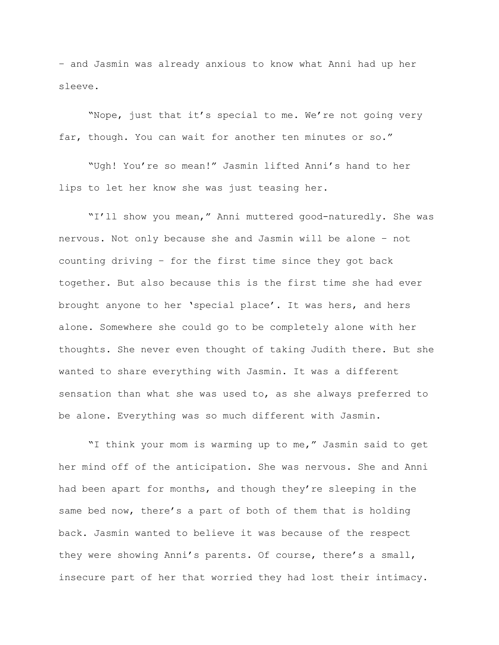– and Jasmin was already anxious to know what Anni had up her sleeve.

"Nope, just that it's special to me. We're not going very far, though. You can wait for another ten minutes or so."

"Ugh! You're so mean!" Jasmin lifted Anni's hand to her lips to let her know she was just teasing her.

"I'll show you mean," Anni muttered good-naturedly. She was nervous. Not only because she and Jasmin will be alone – not counting driving – for the first time since they got back together. But also because this is the first time she had ever brought anyone to her 'special place'. It was hers, and hers alone. Somewhere she could go to be completely alone with her thoughts. She never even thought of taking Judith there. But she wanted to share everything with Jasmin. It was a different sensation than what she was used to, as she always preferred to be alone. Everything was so much different with Jasmin.

"I think your mom is warming up to me," Jasmin said to get her mind off of the anticipation. She was nervous. She and Anni had been apart for months, and though they're sleeping in the same bed now, there's a part of both of them that is holding back. Jasmin wanted to believe it was because of the respect they were showing Anni's parents. Of course, there's a small, insecure part of her that worried they had lost their intimacy.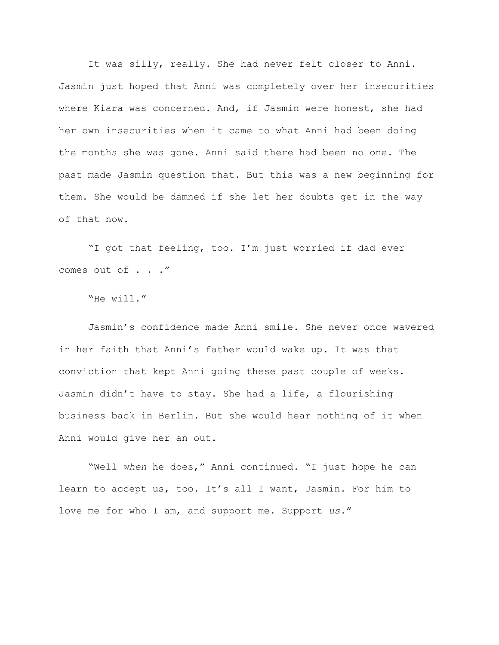It was silly, really. She had never felt closer to Anni. Jasmin just hoped that Anni was completely over her insecurities where Kiara was concerned. And, if Jasmin were honest, she had her own insecurities when it came to what Anni had been doing the months she was gone. Anni said there had been no one. The past made Jasmin question that. But this was a new beginning for them. She would be damned if she let her doubts get in the way of that now.

"I got that feeling, too. I'm just worried if dad ever comes out of . . ."

```
"He will."
```
Jasmin's confidence made Anni smile. She never once wavered in her faith that Anni's father would wake up. It was that conviction that kept Anni going these past couple of weeks. Jasmin didn't have to stay. She had a life, a flourishing business back in Berlin. But she would hear nothing of it when Anni would give her an out.

"Well *when* he does," Anni continued. "I just hope he can learn to accept us, too. It's all I want, Jasmin. For him to love me for who I am, and support me. Support *us*."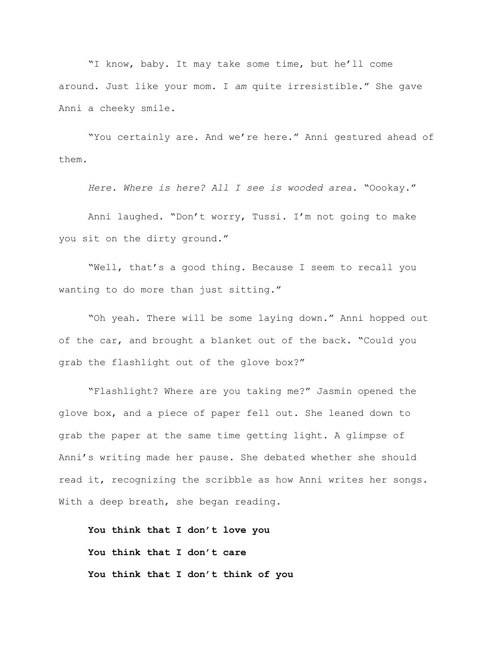"I know, baby. It may take some time, but he'll come around. Just like your mom. I *am* quite irresistible." She gave Anni a cheeky smile.

"You certainly are. And we're here." Anni gestured ahead of them.

*Here. Where is here? All I see is wooded area.* "Oookay."

Anni laughed. "Don't worry, Tussi. I'm not going to make you sit on the dirty ground."

"Well, that's a good thing. Because I seem to recall you wanting to do more than just sitting."

"Oh yeah. There will be some laying down." Anni hopped out of the car, and brought a blanket out of the back. "Could you grab the flashlight out of the glove box?"

"Flashlight? Where are you taking me?" Jasmin opened the glove box, and a piece of paper fell out. She leaned down to grab the paper at the same time getting light. A glimpse of Anni's writing made her pause. She debated whether she should read it, recognizing the scribble as how Anni writes her songs. With a deep breath, she began reading.

**You think that I don't love you You think that I don't care You think that I don't think of you**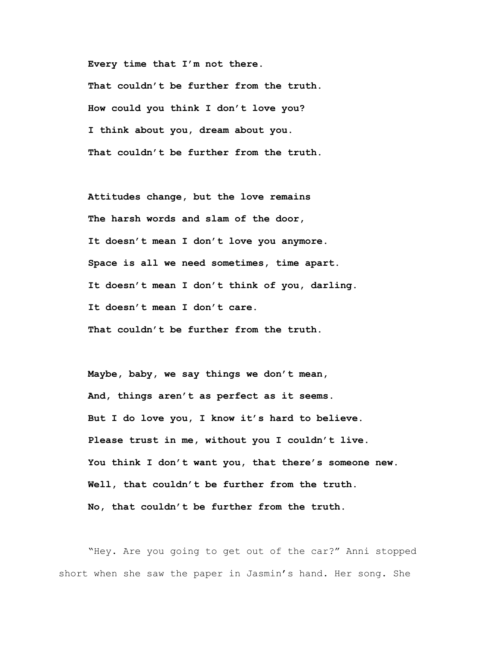**Every time that I'm not there.**

**That couldn't be further from the truth. How could you think I don't love you? I think about you, dream about you. That couldn't be further from the truth.**

**Attitudes change, but the love remains The harsh words and slam of the door, It doesn't mean I don't love you anymore. Space is all we need sometimes, time apart. It doesn't mean I don't think of you, darling. It doesn't mean I don't care. That couldn't be further from the truth.**

**Maybe, baby, we say things we don't mean, And, things aren't as perfect as it seems. But I do love you, I know it's hard to believe. Please trust in me, without you I couldn't live. You think I don't want you, that there's someone new. Well, that couldn't be further from the truth. No, that couldn't be further from the truth.**

"Hey. Are you going to get out of the car?" Anni stopped short when she saw the paper in Jasmin's hand. Her song. She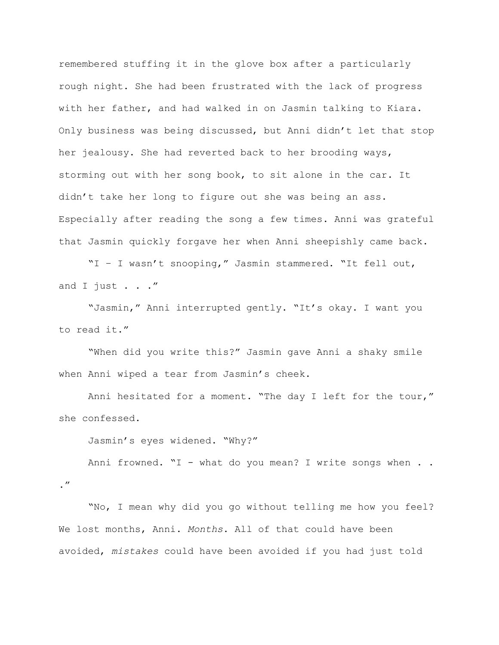remembered stuffing it in the glove box after a particularly rough night. She had been frustrated with the lack of progress with her father, and had walked in on Jasmin talking to Kiara. Only business was being discussed, but Anni didn't let that stop her jealousy. She had reverted back to her brooding ways, storming out with her song book, to sit alone in the car. It didn't take her long to figure out she was being an ass. Especially after reading the song a few times. Anni was grateful that Jasmin quickly forgave her when Anni sheepishly came back.

"I – I wasn't snooping," Jasmin stammered. "It fell out, and I just  $\ldots$  ."

"Jasmin," Anni interrupted gently. "It's okay. I want you to read it."

"When did you write this?" Jasmin gave Anni a shaky smile when Anni wiped a tear from Jasmin's cheek.

Anni hesitated for a moment. "The day I left for the tour," she confessed.

Jasmin's eyes widened. "Why?"

."

Anni frowned.  $\texttt{``I - what do you mean? I write songs when . .}$ 

"No, I mean why did you go without telling me how you feel? We lost months, Anni. *Months*. All of that could have been avoided, *mistakes* could have been avoided if you had just told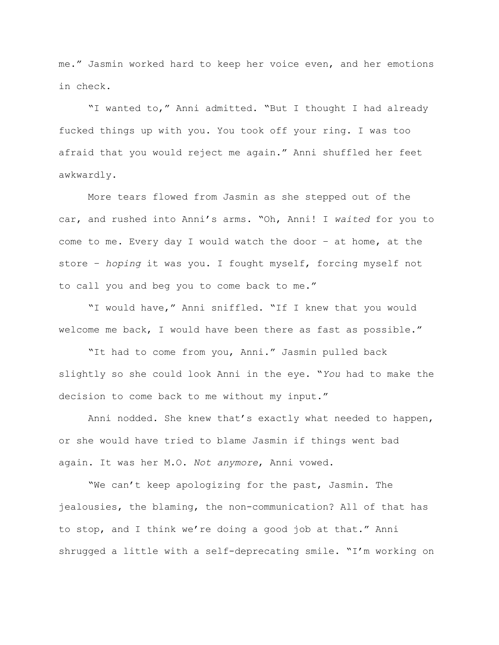me." Jasmin worked hard to keep her voice even, and her emotions in check.

"I wanted to," Anni admitted. "But I thought I had already fucked things up with you. You took off your ring. I was too afraid that you would reject me again." Anni shuffled her feet awkwardly.

More tears flowed from Jasmin as she stepped out of the car, and rushed into Anni's arms. "Oh, Anni! I *waited* for you to come to me. Every day I would watch the door – at home, at the store – *hoping* it was you. I fought myself, forcing myself not to call you and beg you to come back to me."

"I would have," Anni sniffled. "If I knew that you would welcome me back, I would have been there as fast as possible."

"It had to come from you, Anni." Jasmin pulled back slightly so she could look Anni in the eye. "*You* had to make the decision to come back to me without my input."

Anni nodded. She knew that's exactly what needed to happen, or she would have tried to blame Jasmin if things went bad again. It was her M.O. *Not anymore*, Anni vowed.

"We can't keep apologizing for the past, Jasmin. The jealousies, the blaming, the non-communication? All of that has to stop, and I think we're doing a good job at that." Anni shrugged a little with a self-deprecating smile. "I'm working on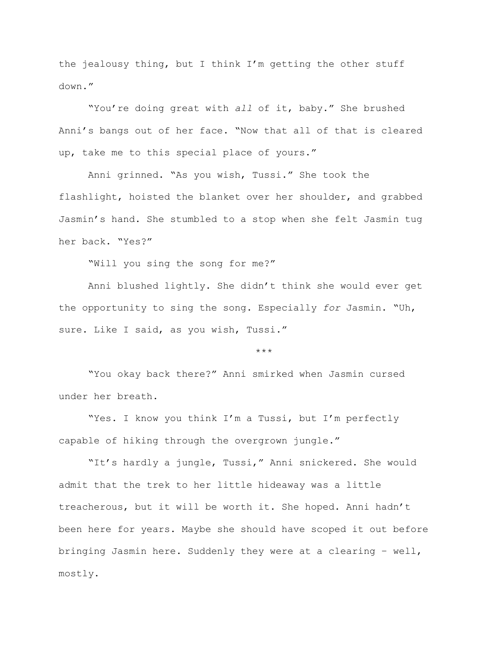the jealousy thing, but I think I'm getting the other stuff down."

"You're doing great with *all* of it, baby." She brushed Anni's bangs out of her face. "Now that all of that is cleared up, take me to this special place of yours."

Anni grinned. "As you wish, Tussi." She took the flashlight, hoisted the blanket over her shoulder, and grabbed Jasmin's hand. She stumbled to a stop when she felt Jasmin tug her back. "Yes?"

"Will you sing the song for me?"

Anni blushed lightly. She didn't think she would ever get the opportunity to sing the song. Especially *for* Jasmin. "Uh, sure. Like I said, as you wish, Tussi."

\*\*\*

"You okay back there?" Anni smirked when Jasmin cursed under her breath.

"Yes. I know you think I'm a Tussi, but I'm perfectly capable of hiking through the overgrown jungle."

"It's hardly a jungle, Tussi," Anni snickered. She would admit that the trek to her little hideaway was a little treacherous, but it will be worth it. She hoped. Anni hadn't been here for years. Maybe she should have scoped it out before bringing Jasmin here. Suddenly they were at a clearing – well, mostly.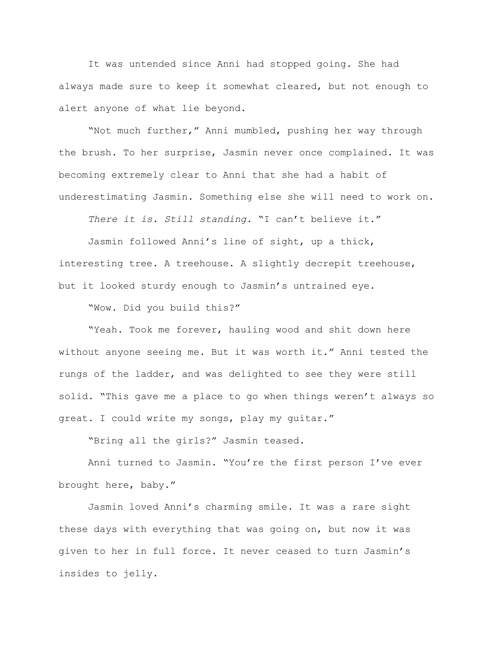It was untended since Anni had stopped going. She had always made sure to keep it somewhat cleared, but not enough to alert anyone of what lie beyond.

"Not much further," Anni mumbled, pushing her way through the brush. To her surprise, Jasmin never once complained. It was becoming extremely clear to Anni that she had a habit of underestimating Jasmin. Something else she will need to work on.

*There it is*. *Still standing.* "I can't believe it."

Jasmin followed Anni's line of sight, up a thick, interesting tree. A treehouse. A slightly decrepit treehouse, but it looked sturdy enough to Jasmin's untrained eye.

"Wow. Did you build this?"

"Yeah. Took me forever, hauling wood and shit down here without anyone seeing me. But it was worth it." Anni tested the rungs of the ladder, and was delighted to see they were still solid. "This gave me a place to go when things weren't always so great. I could write my songs, play my guitar."

"Bring all the girls?" Jasmin teased.

Anni turned to Jasmin. "You're the first person I've ever brought here, baby."

Jasmin loved Anni's charming smile. It was a rare sight these days with everything that was going on, but now it was given to her in full force. It never ceased to turn Jasmin's insides to jelly.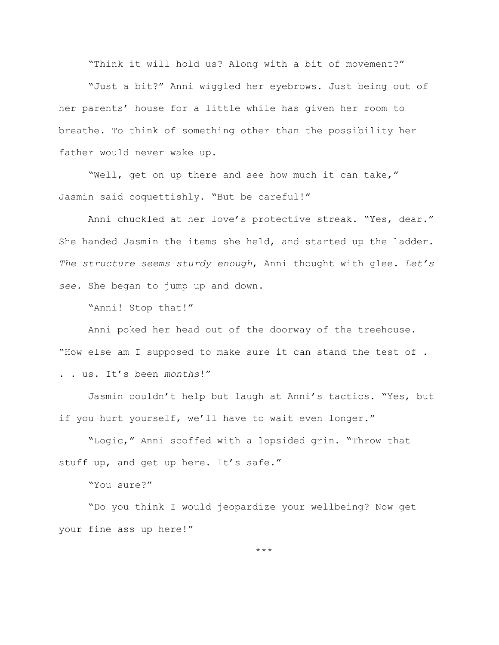"Think it will hold us? Along with a bit of movement?"

"Just a bit?" Anni wiggled her eyebrows. Just being out of her parents' house for a little while has given her room to breathe. To think of something other than the possibility her father would never wake up.

"Well, get on up there and see how much it can take," Jasmin said coquettishly. "But be careful!"

Anni chuckled at her love's protective streak. "Yes, dear." She handed Jasmin the items she held, and started up the ladder. *The structure seems sturdy enough*, Anni thought with glee. *Let's see.* She began to jump up and down.

"Anni! Stop that!"

Anni poked her head out of the doorway of the treehouse. "How else am I supposed to make sure it can stand the test of . . . us. It's been *months*!"

Jasmin couldn't help but laugh at Anni's tactics. "Yes, but if you hurt yourself, we'll have to wait even longer."

"Logic," Anni scoffed with a lopsided grin. "Throw that stuff up, and get up here. It's safe."

"You sure?"

"Do you think I would jeopardize your wellbeing? Now get your fine ass up here!"

\*\*\*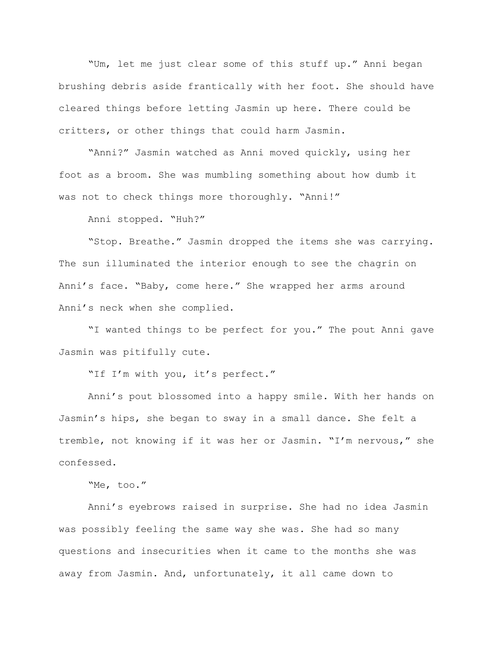"Um, let me just clear some of this stuff up." Anni began brushing debris aside frantically with her foot. She should have cleared things before letting Jasmin up here. There could be critters, or other things that could harm Jasmin.

"Anni?" Jasmin watched as Anni moved quickly, using her foot as a broom. She was mumbling something about how dumb it was not to check things more thoroughly. "Anni!"

Anni stopped. "Huh?"

"Stop. Breathe." Jasmin dropped the items she was carrying. The sun illuminated the interior enough to see the chagrin on Anni's face. "Baby, come here." She wrapped her arms around Anni's neck when she complied.

"I wanted things to be perfect for you." The pout Anni gave Jasmin was pitifully cute.

"If I'm with you, it's perfect."

Anni's pout blossomed into a happy smile. With her hands on Jasmin's hips, she began to sway in a small dance. She felt a tremble, not knowing if it was her or Jasmin. "I'm nervous," she confessed.

"Me, too."

Anni's eyebrows raised in surprise. She had no idea Jasmin was possibly feeling the same way she was. She had so many questions and insecurities when it came to the months she was away from Jasmin. And, unfortunately, it all came down to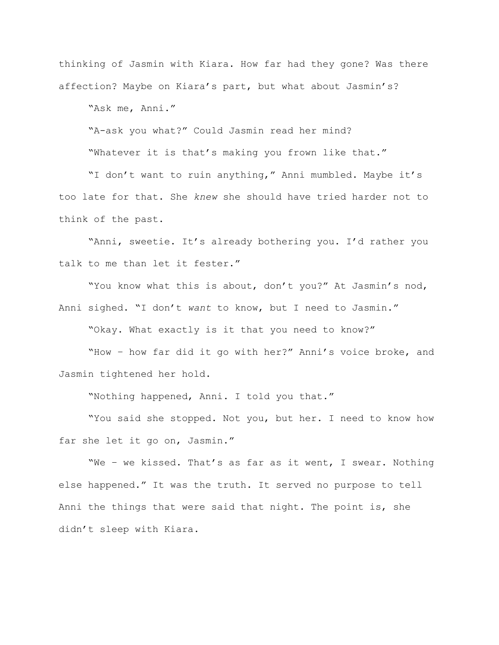thinking of Jasmin with Kiara. How far had they gone? Was there affection? Maybe on Kiara's part, but what about Jasmin's?

"Ask me, Anni."

"A-ask you what?" Could Jasmin read her mind?

"Whatever it is that's making you frown like that."

"I don't want to ruin anything," Anni mumbled. Maybe it's too late for that. She *knew* she should have tried harder not to think of the past.

"Anni, sweetie. It's already bothering you. I'd rather you talk to me than let it fester."

"You know what this is about, don't you?" At Jasmin's nod, Anni sighed. "I don't *want* to know, but I need to Jasmin."

"Okay. What exactly is it that you need to know?"

"How – how far did it go with her?" Anni's voice broke, and Jasmin tightened her hold.

"Nothing happened, Anni. I told you that."

"You said she stopped. Not you, but her. I need to know how far she let it go on, Jasmin."

"We – we kissed. That's as far as it went, I swear. Nothing else happened." It was the truth. It served no purpose to tell Anni the things that were said that night. The point is, she didn't sleep with Kiara.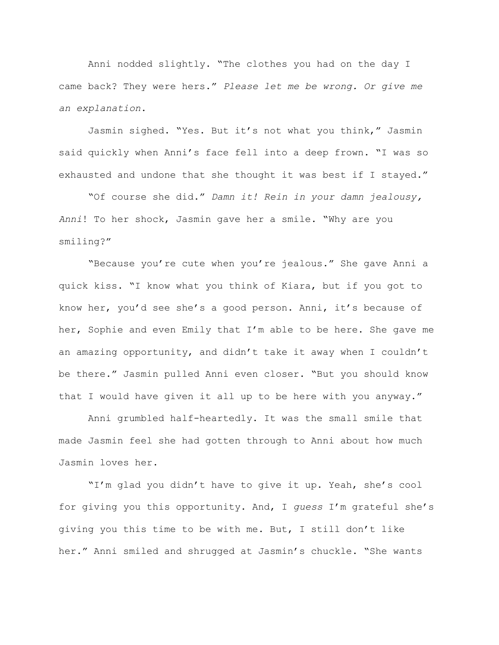Anni nodded slightly. "The clothes you had on the day I came back? They were hers." *Please let me be wrong. Or give me an explanation*.

Jasmin sighed. "Yes. But it's not what you think," Jasmin said quickly when Anni's face fell into a deep frown. "I was so exhausted and undone that she thought it was best if I stayed."

"Of course she did." *Damn it! Rein in your damn jealousy, Anni*! To her shock, Jasmin gave her a smile. "Why are you smiling?"

"Because you're cute when you're jealous." She gave Anni a quick kiss. "I know what you think of Kiara, but if you got to know her, you'd see she's a good person. Anni, it's because of her, Sophie and even Emily that I'm able to be here. She gave me an amazing opportunity, and didn't take it away when I couldn't be there." Jasmin pulled Anni even closer. "But you should know that I would have given it all up to be here with you anyway."

Anni grumbled half-heartedly. It was the small smile that made Jasmin feel she had gotten through to Anni about how much Jasmin loves her.

"I'm glad you didn't have to give it up. Yeah, she's cool for giving you this opportunity. And, I *guess* I'm grateful she's giving you this time to be with me. But, I still don't like her." Anni smiled and shrugged at Jasmin's chuckle. "She wants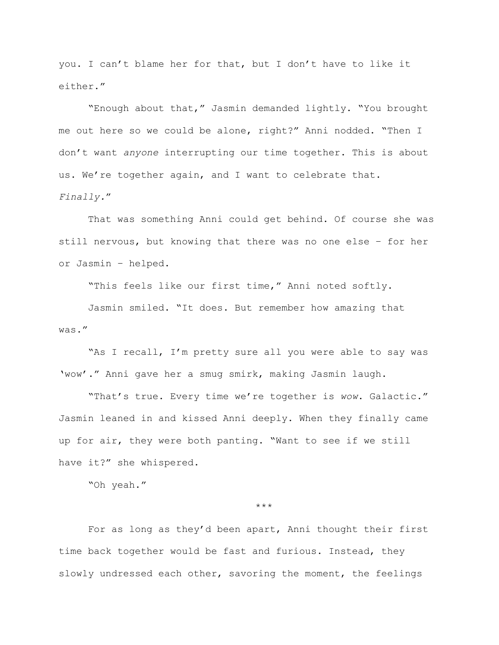you. I can't blame her for that, but I don't have to like it either."

"Enough about that," Jasmin demanded lightly. "You brought me out here so we could be alone, right?" Anni nodded. "Then I don't want *anyone* interrupting our time together. This is about us. We're together again, and I want to celebrate that. *Finally.*"

That was something Anni could get behind. Of course she was still nervous, but knowing that there was no one else – for her or Jasmin – helped.

"This feels like our first time," Anni noted softly.

Jasmin smiled. "It does. But remember how amazing that was."

"As I recall, I'm pretty sure all you were able to say was 'wow'." Anni gave her a smug smirk, making Jasmin laugh.

"That's true. Every time we're together is *wow*. Galactic." Jasmin leaned in and kissed Anni deeply. When they finally came up for air, they were both panting. "Want to see if we still have it?" she whispered.

"Oh yeah."

\*\*\*

For as long as they'd been apart, Anni thought their first time back together would be fast and furious. Instead, they slowly undressed each other, savoring the moment, the feelings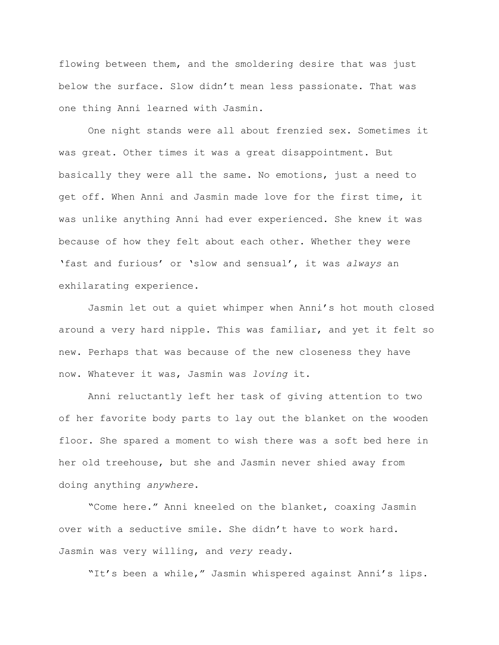flowing between them, and the smoldering desire that was just below the surface. Slow didn't mean less passionate. That was one thing Anni learned with Jasmin.

One night stands were all about frenzied sex. Sometimes it was great. Other times it was a great disappointment. But basically they were all the same. No emotions, just a need to get off. When Anni and Jasmin made love for the first time, it was unlike anything Anni had ever experienced. She knew it was because of how they felt about each other. Whether they were 'fast and furious' or 'slow and sensual', it was *always* an exhilarating experience.

Jasmin let out a quiet whimper when Anni's hot mouth closed around a very hard nipple. This was familiar, and yet it felt so new. Perhaps that was because of the new closeness they have now. Whatever it was, Jasmin was *loving* it.

Anni reluctantly left her task of giving attention to two of her favorite body parts to lay out the blanket on the wooden floor. She spared a moment to wish there was a soft bed here in her old treehouse, but she and Jasmin never shied away from doing anything *anywhere*.

"Come here." Anni kneeled on the blanket, coaxing Jasmin over with a seductive smile. She didn't have to work hard. Jasmin was very willing, and *very* ready.

"It's been a while," Jasmin whispered against Anni's lips.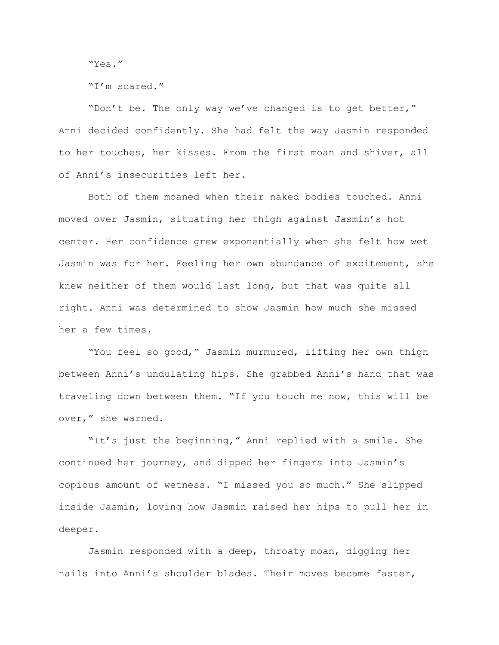"Yes."

"I'm scared."

"Don't be. The only way we've changed is to get better," Anni decided confidently. She had felt the way Jasmin responded to her touches, her kisses. From the first moan and shiver, all of Anni's insecurities left her.

Both of them moaned when their naked bodies touched. Anni moved over Jasmin, situating her thigh against Jasmin's hot center. Her confidence grew exponentially when she felt how wet Jasmin was for her. Feeling her own abundance of excitement, she knew neither of them would last long, but that was quite all right. Anni was determined to show Jasmin how much she missed her a few times.

"You feel so good," Jasmin murmured, lifting her own thigh between Anni's undulating hips. She grabbed Anni's hand that was traveling down between them. "If you touch me now, this will be over," she warned.

"It's just the beginning," Anni replied with a smile. She continued her journey, and dipped her fingers into Jasmin's copious amount of wetness. "I missed you so much." She slipped inside Jasmin, loving how Jasmin raised her hips to pull her in deeper.

Jasmin responded with a deep, throaty moan, digging her nails into Anni's shoulder blades. Their moves became faster,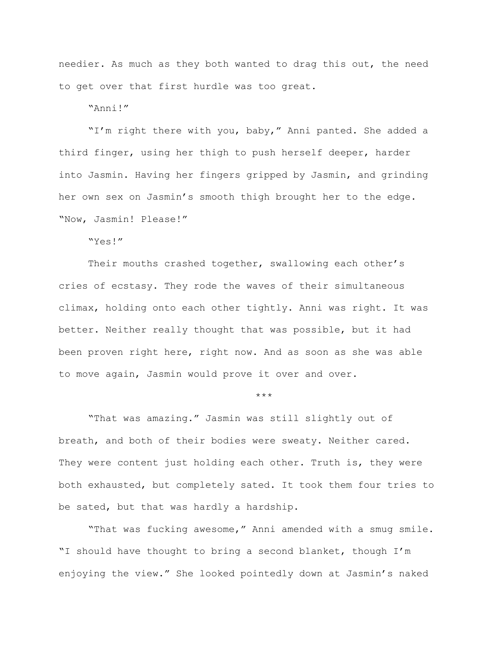needier. As much as they both wanted to drag this out, the need to get over that first hurdle was too great.

"Anni!"

"I'm right there with you, baby," Anni panted. She added a third finger, using her thigh to push herself deeper, harder into Jasmin. Having her fingers gripped by Jasmin, and grinding her own sex on Jasmin's smooth thigh brought her to the edge. "Now, Jasmin! Please!"

"Yes!"

Their mouths crashed together, swallowing each other's cries of ecstasy. They rode the waves of their simultaneous climax, holding onto each other tightly. Anni was right. It was better. Neither really thought that was possible, but it had been proven right here, right now. And as soon as she was able to move again, Jasmin would prove it over and over.

\*\*\*

"That was amazing." Jasmin was still slightly out of breath, and both of their bodies were sweaty. Neither cared. They were content just holding each other. Truth is, they were both exhausted, but completely sated. It took them four tries to be sated, but that was hardly a hardship.

"That was fucking awesome," Anni amended with a smug smile. "I should have thought to bring a second blanket, though I'm enjoying the view." She looked pointedly down at Jasmin's naked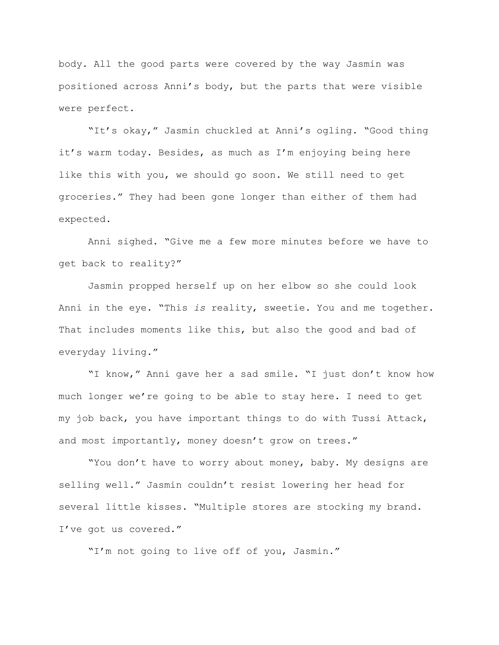body. All the good parts were covered by the way Jasmin was positioned across Anni's body, but the parts that were visible were perfect.

"It's okay," Jasmin chuckled at Anni's ogling. "Good thing it's warm today. Besides, as much as I'm enjoying being here like this with you, we should go soon. We still need to get groceries." They had been gone longer than either of them had expected.

Anni sighed. "Give me a few more minutes before we have to get back to reality?"

Jasmin propped herself up on her elbow so she could look Anni in the eye. "This *is* reality, sweetie. You and me together. That includes moments like this, but also the good and bad of everyday living."

"I know," Anni gave her a sad smile. "I just don't know how much longer we're going to be able to stay here. I need to get my job back, you have important things to do with Tussi Attack, and most importantly, money doesn't grow on trees."

"You don't have to worry about money, baby. My designs are selling well." Jasmin couldn't resist lowering her head for several little kisses. "Multiple stores are stocking my brand. I've got us covered."

"I'm not going to live off of you, Jasmin."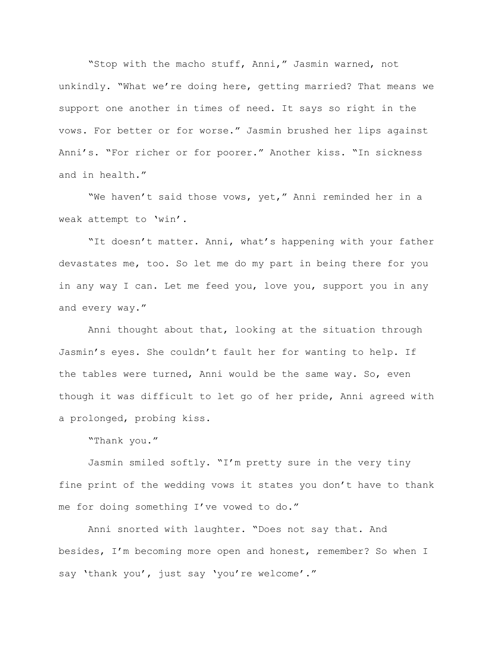"Stop with the macho stuff, Anni," Jasmin warned, not unkindly. "What we're doing here, getting married? That means we support one another in times of need. It says so right in the vows. For better or for worse." Jasmin brushed her lips against Anni's. "For richer or for poorer." Another kiss. "In sickness and in health."

"We haven't said those vows, yet," Anni reminded her in a weak attempt to 'win'.

"It doesn't matter. Anni, what's happening with your father devastates me, too. So let me do my part in being there for you in any way I can. Let me feed you, love you, support you in any and every way."

Anni thought about that, looking at the situation through Jasmin's eyes. She couldn't fault her for wanting to help. If the tables were turned, Anni would be the same way. So, even though it was difficult to let go of her pride, Anni agreed with a prolonged, probing kiss.

"Thank you."

Jasmin smiled softly. "I'm pretty sure in the very tiny fine print of the wedding vows it states you don't have to thank me for doing something I've vowed to do."

Anni snorted with laughter. "Does not say that. And besides, I'm becoming more open and honest, remember? So when I say 'thank you', just say 'you're welcome'."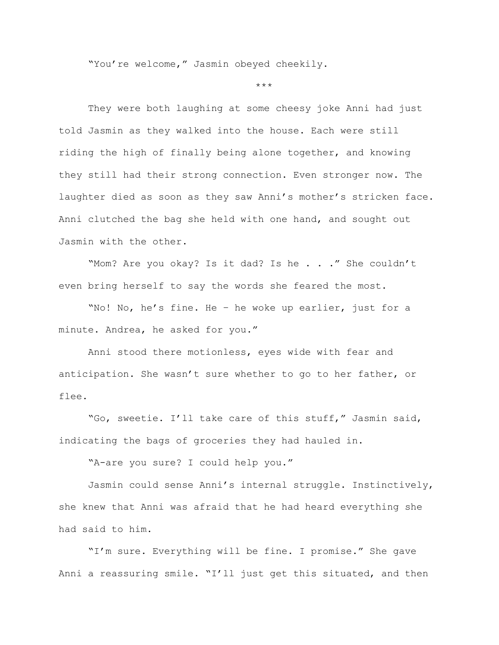"You're welcome," Jasmin obeyed cheekily.

\*\*\*

They were both laughing at some cheesy joke Anni had just told Jasmin as they walked into the house. Each were still riding the high of finally being alone together, and knowing they still had their strong connection. Even stronger now. The laughter died as soon as they saw Anni's mother's stricken face. Anni clutched the bag she held with one hand, and sought out Jasmin with the other.

"Mom? Are you okay? Is it dad? Is he . . ." She couldn't even bring herself to say the words she feared the most.

"No! No, he's fine. He – he woke up earlier, just for a minute. Andrea, he asked for you."

Anni stood there motionless, eyes wide with fear and anticipation. She wasn't sure whether to go to her father, or flee.

"Go, sweetie. I'll take care of this stuff," Jasmin said, indicating the bags of groceries they had hauled in.

"A-are you sure? I could help you."

Jasmin could sense Anni's internal struggle. Instinctively, she knew that Anni was afraid that he had heard everything she had said to him.

"I'm sure. Everything will be fine. I promise." She gave Anni a reassuring smile. "I'll just get this situated, and then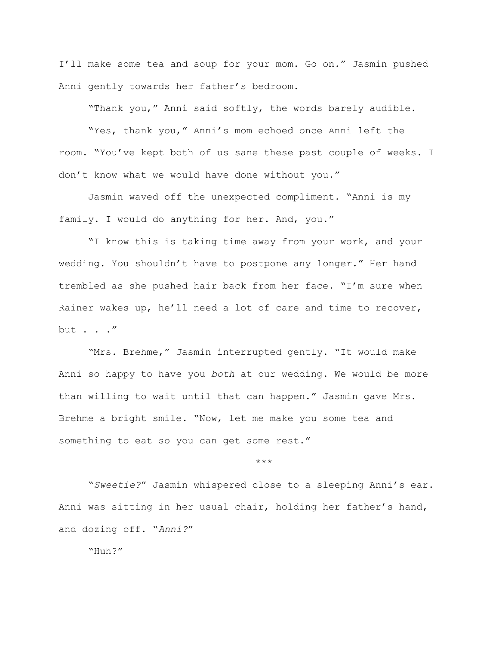I'll make some tea and soup for your mom. Go on." Jasmin pushed Anni gently towards her father's bedroom.

"Thank you," Anni said softly, the words barely audible.

"Yes, thank you," Anni's mom echoed once Anni left the room. "You've kept both of us sane these past couple of weeks. I don't know what we would have done without you."

Jasmin waved off the unexpected compliment. "Anni is my family. I would do anything for her. And, you."

"I know this is taking time away from your work, and your wedding. You shouldn't have to postpone any longer." Her hand trembled as she pushed hair back from her face. "I'm sure when Rainer wakes up, he'll need a lot of care and time to recover, but . . ."

"Mrs. Brehme," Jasmin interrupted gently. "It would make Anni so happy to have you *both* at our wedding. We would be more than willing to wait until that can happen." Jasmin gave Mrs. Brehme a bright smile. "Now, let me make you some tea and something to eat so you can get some rest."

\*\*\*

"*Sweetie?*" Jasmin whispered close to a sleeping Anni's ear. Anni was sitting in her usual chair, holding her father's hand, and dozing off. "*Anni?*"

"Huh?"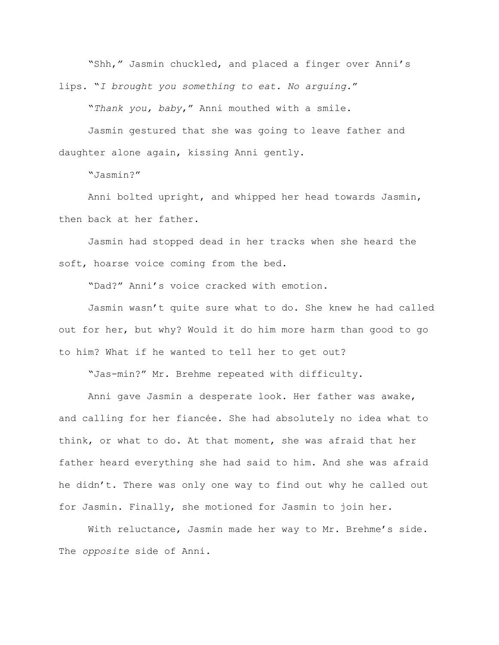"Shh," Jasmin chuckled, and placed a finger over Anni's lips. "*I brought you something to eat. No arguing.*"

"*Thank you, baby*," Anni mouthed with a smile.

Jasmin gestured that she was going to leave father and daughter alone again, kissing Anni gently.

"Jasmin?"

Anni bolted upright, and whipped her head towards Jasmin, then back at her father.

Jasmin had stopped dead in her tracks when she heard the soft, hoarse voice coming from the bed.

"Dad?" Anni's voice cracked with emotion.

Jasmin wasn't quite sure what to do. She knew he had called out for her, but why? Would it do him more harm than good to go to him? What if he wanted to tell her to get out?

"Jas-min?" Mr. Brehme repeated with difficulty.

Anni gave Jasmin a desperate look. Her father was awake, and calling for her fiancée. She had absolutely no idea what to think, or what to do. At that moment, she was afraid that her father heard everything she had said to him. And she was afraid he didn't. There was only one way to find out why he called out for Jasmin. Finally, she motioned for Jasmin to join her.

With reluctance, Jasmin made her way to Mr. Brehme's side. The *opposite* side of Anni.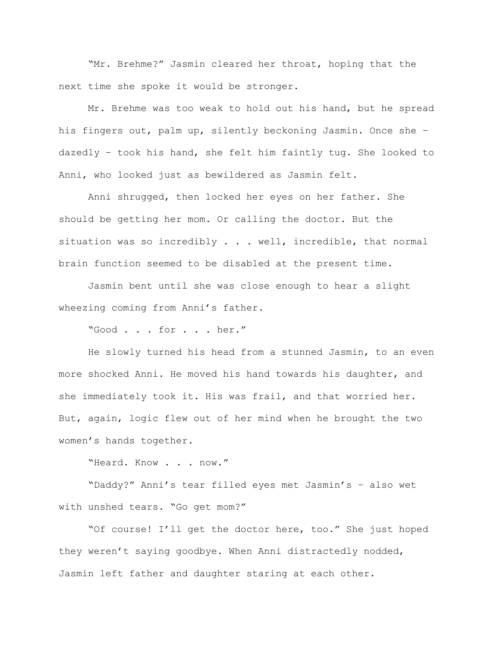"Mr. Brehme?" Jasmin cleared her throat, hoping that the next time she spoke it would be stronger.

Mr. Brehme was too weak to hold out his hand, but he spread his fingers out, palm up, silently beckoning Jasmin. Once she – dazedly – took his hand, she felt him faintly tug. She looked to Anni, who looked just as bewildered as Jasmin felt.

Anni shrugged, then locked her eyes on her father. She should be getting her mom. Or calling the doctor. But the situation was so incredibly . . . well, incredible, that normal brain function seemed to be disabled at the present time.

Jasmin bent until she was close enough to hear a slight wheezing coming from Anni's father.

"Good . . . for . . . her."

He slowly turned his head from a stunned Jasmin, to an even more shocked Anni. He moved his hand towards his daughter, and she immediately took it. His was frail, and that worried her. But, again, logic flew out of her mind when he brought the two women's hands together.

"Heard. Know . . . now."

"Daddy?" Anni's tear filled eyes met Jasmin's – also wet with unshed tears. "Go get mom?"

"Of course! I'll get the doctor here, too." She just hoped they weren't saying goodbye. When Anni distractedly nodded, Jasmin left father and daughter staring at each other.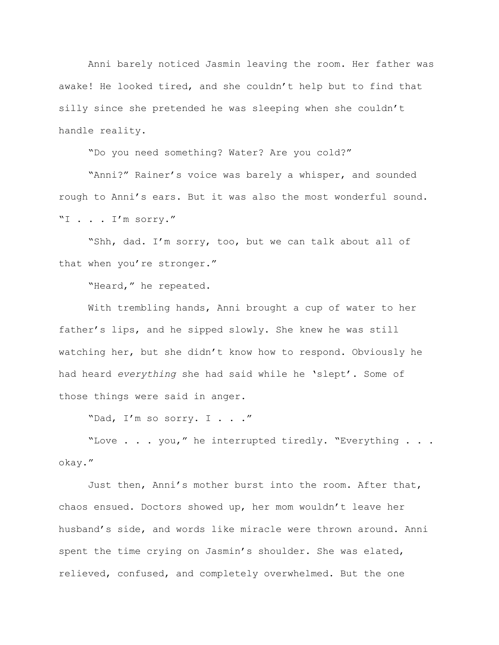Anni barely noticed Jasmin leaving the room. Her father was awake! He looked tired, and she couldn't help but to find that silly since she pretended he was sleeping when she couldn't handle reality.

"Do you need something? Water? Are you cold?"

"Anni?" Rainer's voice was barely a whisper, and sounded rough to Anni's ears. But it was also the most wonderful sound. "I . . . I'm sorry."

"Shh, dad. I'm sorry, too, but we can talk about all of that when you're stronger."

"Heard," he repeated.

With trembling hands, Anni brought a cup of water to her father's lips, and he sipped slowly. She knew he was still watching her, but she didn't know how to respond. Obviously he had heard *everything* she had said while he 'slept'. Some of those things were said in anger.

"Dad, I'm so sorry. I . . ."

"Love . . . you," he interrupted tiredly. "Everything . . . okay."

Just then, Anni's mother burst into the room. After that, chaos ensued. Doctors showed up, her mom wouldn't leave her husband's side, and words like miracle were thrown around. Anni spent the time crying on Jasmin's shoulder. She was elated, relieved, confused, and completely overwhelmed. But the one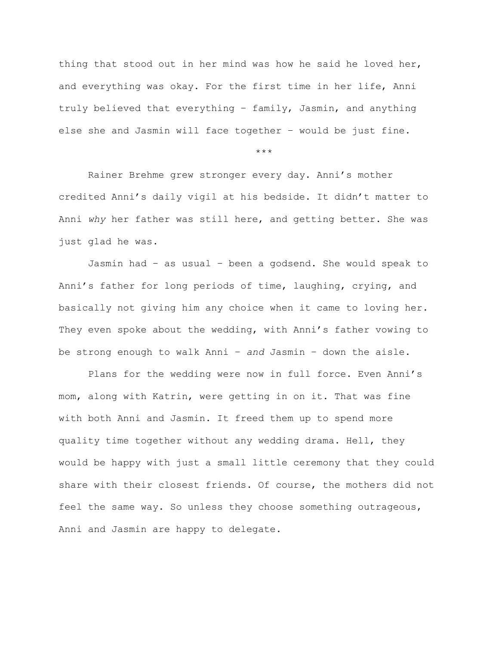thing that stood out in her mind was how he said he loved her, and everything was okay. For the first time in her life, Anni truly believed that everything – family, Jasmin, and anything else she and Jasmin will face together – would be just fine.

\*\*\*

Rainer Brehme grew stronger every day. Anni's mother credited Anni's daily vigil at his bedside. It didn't matter to Anni *why* her father was still here, and getting better. She was just glad he was.

Jasmin had – as usual – been a godsend. She would speak to Anni's father for long periods of time, laughing, crying, and basically not giving him any choice when it came to loving her. They even spoke about the wedding, with Anni's father vowing to be strong enough to walk Anni – *and* Jasmin – down the aisle.

Plans for the wedding were now in full force. Even Anni's mom, along with Katrin, were getting in on it. That was fine with both Anni and Jasmin. It freed them up to spend more quality time together without any wedding drama. Hell, they would be happy with just a small little ceremony that they could share with their closest friends. Of course, the mothers did not feel the same way. So unless they choose something outrageous, Anni and Jasmin are happy to delegate.